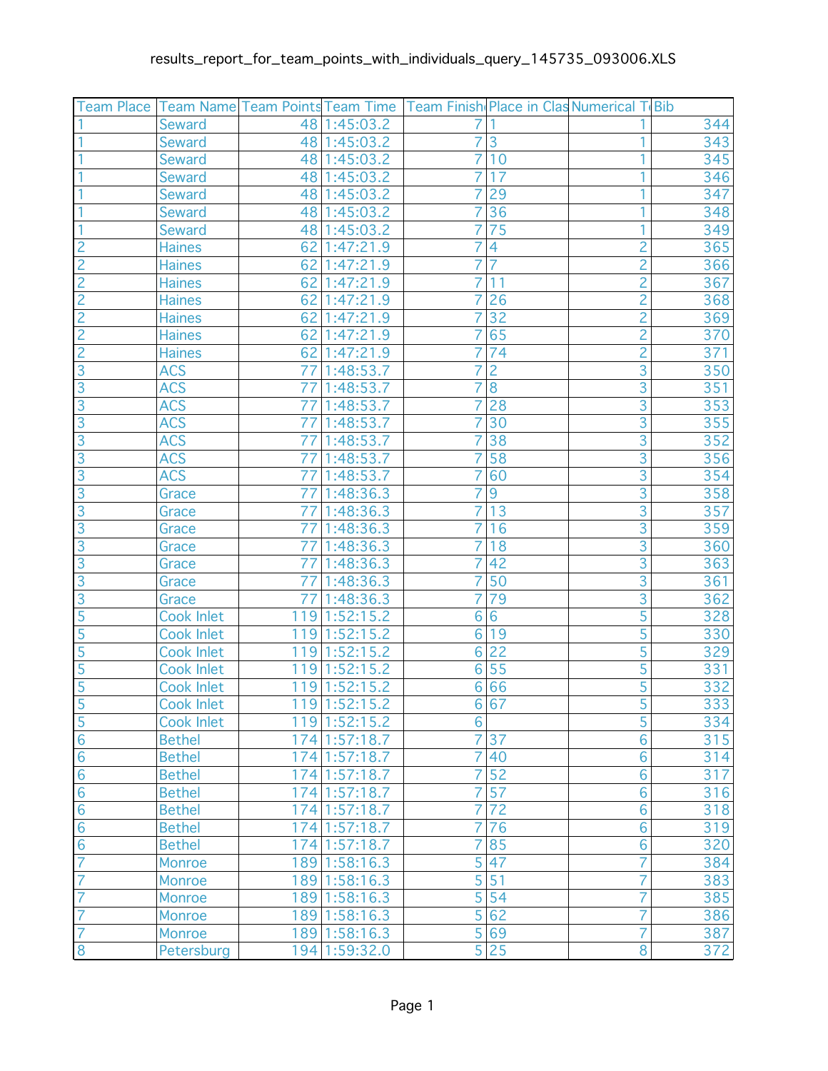| Team Place     |                   | Team Name Team Points Team Time |                             | Team Finish Place in Clas Numerical T Bib |                 |                |     |
|----------------|-------------------|---------------------------------|-----------------------------|-------------------------------------------|-----------------|----------------|-----|
|                | <b>Seward</b>     |                                 | 48 1:45:03.2                | 7                                         |                 |                | 344 |
|                | <b>Seward</b>     |                                 | 48 1:45:03.2                | 7                                         | 3               | 1              | 343 |
|                | <b>Seward</b>     |                                 | 48 1:45:03.2                | $\overline{7}$                            | 10              | 1              | 345 |
|                | <b>Seward</b>     |                                 | 48 1:45:03.2                | 7                                         | 17              |                | 346 |
|                | <b>Seward</b>     |                                 | 48 1:45:03.2                | 7                                         | 29              |                | 347 |
|                | <b>Seward</b>     |                                 | 48 1:45:03.2                | $\overline{7}$                            | 36              |                | 348 |
|                | <b>Seward</b>     |                                 | 48 1:45:03.2                | 7                                         | 75              | 1              | 349 |
| $\overline{c}$ | <b>Haines</b>     | 62                              | 1:47:21.9                   |                                           | 4               | $\overline{c}$ | 365 |
| $\overline{2}$ | <b>Haines</b>     |                                 | 62 1:47:21.9                | 7                                         | $\overline{7}$  | $\overline{2}$ | 366 |
| $\overline{2}$ | <b>Haines</b>     |                                 | 62 1:47:21.9                | 7                                         | 11              | $\overline{2}$ | 367 |
| $\overline{2}$ | <b>Haines</b>     | 62                              | 1:47:21.9                   | 7                                         | 26              | $\overline{c}$ | 368 |
| $\overline{c}$ | <b>Haines</b>     | 62                              | 1:47:21.9                   | $\overline{7}$                            | $\overline{32}$ | $\overline{2}$ | 369 |
| $\overline{2}$ | <b>Haines</b>     |                                 | 62 1:47:21.9                | 7                                         | 65              | $\overline{2}$ | 370 |
| $\overline{c}$ | <b>Haines</b>     | 62                              | 1:47:21.9                   | 7                                         | 74              | $\overline{2}$ | 371 |
| $\overline{3}$ | <b>ACS</b>        | 77                              | 1:48:53.7                   | $\overline{7}$                            | $\overline{2}$  | $\overline{3}$ | 350 |
| $\overline{3}$ | <b>ACS</b>        | 77                              | 1:48:53.7                   | 7                                         | $\overline{8}$  | $\overline{3}$ | 351 |
| $\overline{3}$ | <b>ACS</b>        | 77                              | 1:48:53.7                   | 7                                         | 28              | $\overline{3}$ | 353 |
| $\overline{3}$ | <b>ACS</b>        | 77                              | 1:48:53.7                   | $\overline{7}$                            | 30              | $\overline{3}$ | 355 |
| $\overline{3}$ | <b>ACS</b>        | 77                              | 1:48:53.7                   | 7                                         | 38              | $\overline{3}$ | 352 |
| $\overline{3}$ | <b>ACS</b>        | 77                              | 1:48:53.7                   | 7                                         | 58              | $\overline{3}$ | 356 |
| $\overline{3}$ | <b>ACS</b>        | 77                              | 1:48:53.7                   | 7                                         | 60              | $\overline{3}$ | 354 |
| $\overline{3}$ | Grace             | 77                              | 1:48:36.3                   | 7                                         | 9               | $\overline{3}$ | 358 |
| $\overline{3}$ | Grace             | 77                              | 1:48:36.3                   | 7                                         | 13              | $\overline{3}$ | 357 |
| $\overline{3}$ | Grace             | 77                              | 1:48:36.3                   | $\overline{7}$                            | 16              | $\overline{3}$ | 359 |
| $\overline{3}$ | Grace             | 771                             | 1:48:36.3                   | 7                                         | 18              | $\overline{3}$ | 360 |
| $\overline{3}$ | Grace             | 77                              | 1:48:36.3                   | 7                                         | 42              | $\overline{3}$ | 363 |
| $\overline{3}$ | Grace             | 77                              | 1:48:36.3                   | $\overline{7}$                            | 50              | $\overline{3}$ | 361 |
| $\overline{3}$ | Grace             | 77                              | 1:48:36.3                   | 7                                         | 79              | $\overline{3}$ | 362 |
| 5              | <b>Cook Inlet</b> | 119                             | 1:52:15.2                   | 6                                         | $\overline{6}$  | 5              | 328 |
| $\overline{5}$ | Cook Inlet        | 119                             | 1:52:15.2                   | 6                                         | 19              | $\overline{5}$ | 330 |
| 5              | <b>Cook Inlet</b> |                                 | $\overline{119}$ 1:52:1 5.2 | 6                                         | 22              | $\overline{5}$ | 329 |
| 5              | <b>Cook Inlet</b> | 119                             | 1:52:15.2                   | 6                                         | 55              | 5              | 331 |
| $\overline{5}$ | <b>Cook Inlet</b> |                                 | 119 1:52:15.2               | 6                                         | 66              | $\overline{5}$ | 332 |
| $\overline{5}$ | Cook Inlet        |                                 | 119 1:52:15.2               |                                           | 6 67            | 5              | 333 |
| $\frac{5}{6}$  | <b>Cook Inlet</b> |                                 | 119 1:52:15.2               | 6                                         |                 | 5              | 334 |
|                | <b>Bethel</b>     |                                 | 174 1:57:18.7               | 7                                         | 37              | $\overline{6}$ | 315 |
| $\overline{6}$ | <b>Bethel</b>     |                                 | 174 1:57:18.7               | 7                                         | 40              | $\overline{6}$ | 314 |
| $\overline{6}$ | <b>Bethel</b>     |                                 | 174 1:57:18.7               | 7                                         | 52              | $\overline{6}$ | 317 |
| $\overline{6}$ | <b>Bethel</b>     |                                 | 174 1:57:18.7               | 7                                         | $\overline{57}$ | 6              | 316 |
| $\overline{6}$ | <b>Bethel</b>     |                                 | 174 1:57:18.7               | 7                                         | $\overline{72}$ | $\overline{6}$ | 318 |
| $\overline{6}$ | <b>Bethel</b>     |                                 | $\overline{174}$ 1:57:18.7  | 7                                         | 76              | $\overline{6}$ | 319 |
| $\overline{6}$ | <b>Bethel</b>     |                                 | $\overline{174}$ 1:57:18.7  | 7                                         | 85              | $\overline{6}$ | 320 |
| $\overline{7}$ | <b>Monroe</b>     |                                 | 189 1:58:16.3               | 5                                         | 47              | 7              | 384 |
| $\overline{7}$ | Monroe            |                                 | 189 1:58:16.3               | 5                                         | 51              | 7              | 383 |
| $\overline{7}$ | Monroe            |                                 | 189 1:58:16.3               | $\overline{5}$                            | 54              | 7              | 385 |
| $\overline{7}$ | Monroe            |                                 | 189 1:58:16.3               | $\overline{5}$                            | 62              | 7              | 386 |
| 7              | Monroe            |                                 | 189 1:58:16.3               | $\overline{5}$                            | 69              | 7              | 387 |
| 8              | Petersburg        |                                 | 194 1:59:32.0               | $\overline{5}$                            | 25              | $\overline{8}$ | 372 |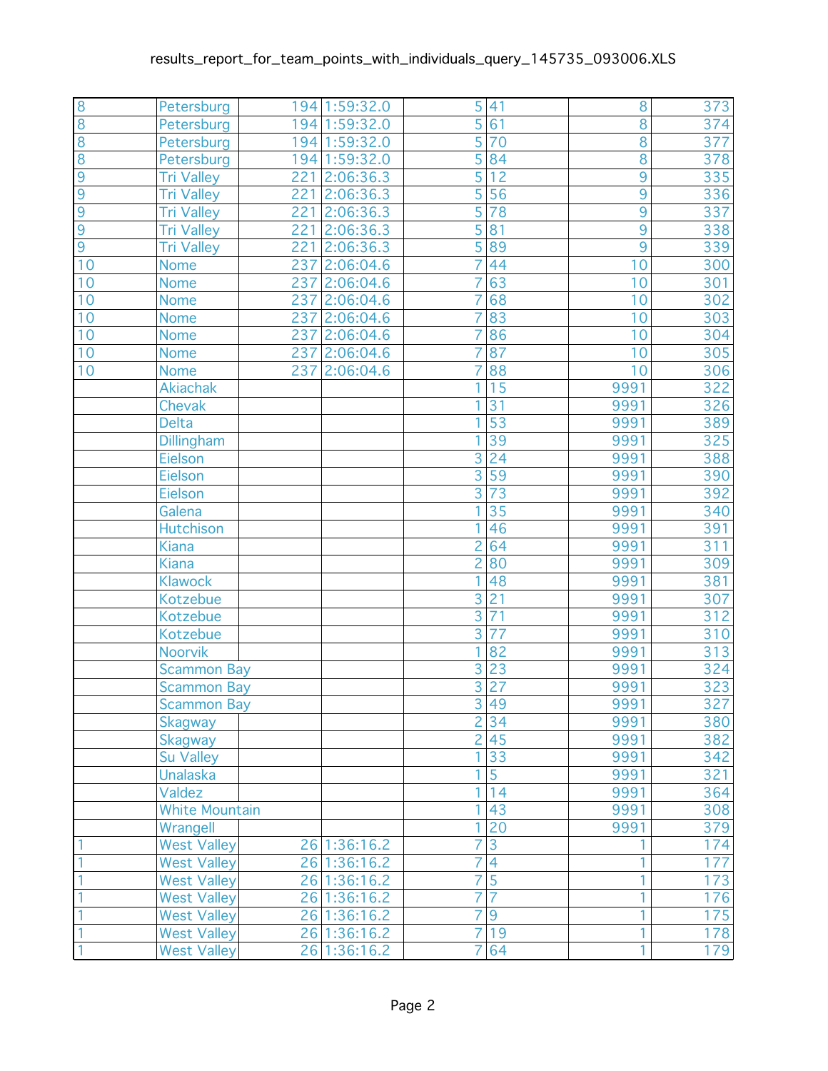| $\overline{8}$ | Petersburg               | 194 1:59:32.0 | 5              | 41              | 8               | 373               |
|----------------|--------------------------|---------------|----------------|-----------------|-----------------|-------------------|
| $\overline{8}$ | Petersburg               | 194 1:59:32.0 | $\overline{5}$ | 61              | $\overline{8}$  | 374               |
| $\overline{8}$ | Petersburg               | 194 1:59:32.0 | 5              | 70              | $\overline{8}$  | 377               |
| $\overline{8}$ | Petersburg               | 194 1:59:32.0 | $\overline{5}$ | 84              | $\overline{8}$  | $\frac{1}{378}$   |
| $\overline{9}$ | <b>Tri Valley</b><br>221 | 2:06:36.3     | $\overline{5}$ | $\overline{12}$ | $\overline{9}$  | $\overline{335}$  |
| $\overline{9}$ | Tri Valley<br>221        | 2:06:36.3     | 5              | 56              | 9               | 336               |
| $\overline{9}$ | <b>Tri Valley</b><br>221 | 2:06:36.3     | $\overline{5}$ | $\overline{78}$ | $\overline{9}$  | $\frac{1}{337}$   |
| $\overline{9}$ | 221<br><b>Tri Valley</b> | 2:06:36.3     | 5              | 81              | $\overline{9}$  | 338               |
| $\overline{9}$ | Tri Valley<br>221        | 2:06:36.3     | 5              | 89              | $\overline{9}$  | 339               |
| 10             | 237<br><b>Nome</b>       | 2:06:04.6     | 7              | 44              | 10              | 300               |
| 10             | <b>Nome</b>              | 237 2:06:04.6 | 7              | 63              | 10              | 301               |
| 10             | 237<br><b>Nome</b>       | 2:06:04.6     | 7              | 68              | 10              | 302               |
| 10             | 237<br><b>Nome</b>       | 2:06:04.6     | $\overline{7}$ | 83              | $\overline{10}$ | 303               |
| 10             | <b>Nome</b>              | 237 2:06:04.6 | 7              | 86              | 10              | 304               |
| 10             | <b>Nome</b>              | 237 2:06:04.6 |                | 87              | 10              | 305               |
| 10             | 237<br><b>Nome</b>       | 2:06:04.6     | 7              | 88              | 10              | 306               |
|                | <b>Akiachak</b>          |               | 1              | 15              | 9991            | $\frac{1}{322}$   |
|                | <b>Chevak</b>            |               | 1              | $\overline{31}$ | 9991            | 326               |
|                | <b>Delta</b>             |               | 1              | $\overline{53}$ | 9991            | 389               |
|                | Dillingham               |               | 1              | 39              | 9991            | 325               |
|                | Eielson                  |               | 3              | 24              | 9991            | 388               |
|                | Eielson                  |               | $\overline{3}$ | $\overline{59}$ | 9991            | 390               |
|                | Eielson                  |               | $\overline{3}$ | 73              | 9991            | 392               |
|                | Galena                   |               | 1              | $\overline{35}$ | 9991            | 340               |
|                | Hutchison                |               | 1              | 46              | 9991            | 391               |
|                | <b>Kiana</b>             |               | 2              | 64              | 9991            | 311               |
|                | <b>Kiana</b>             |               | 2              | 80              | 9991            | 309               |
|                | <b>Klawock</b>           |               | 1              | 48              | 9991            | 381               |
|                | Kotzebue                 |               | $\overline{3}$ | $\overline{21}$ | 9991            | 307               |
|                | Kotzebue                 |               | $\overline{3}$ | $\overline{71}$ | 9991            | $\overline{3}$ 12 |
|                | Kotzebue                 |               | $\overline{3}$ | $\overline{77}$ | 9991            | 310               |
|                | Noorvik                  |               | 1              | 82              | 9991            | 313               |
|                | <b>Scammon Bay</b>       |               | 3              | 23              | 9991            | 324               |
|                | <b>Scammon Bay</b>       |               | $\overline{3}$ | $\overline{27}$ | 9991            | 323               |
|                | Scammon Bay              |               |                | 3 49            | 9991            | 327               |
|                | <b>Skagway</b>           |               | $\overline{2}$ | 34              | 9991            | 380               |
|                | <b>Skagway</b>           |               |                | 2 45            | 9991            | 382               |
|                | Su Valley                |               | 1.             | 33              | 9991            | 342               |
|                | <b>Unalaska</b>          |               | 1              | $\overline{5}$  | 9991            | 321               |
|                | Valdez                   |               | 1              | 14              | 9991            | 364               |
|                | <b>White Mountain</b>    |               | 1              | 43              | 9991            | 308               |
|                | Wrangell                 |               | 1              | $\overline{20}$ | 9991            | 379               |
|                | <b>West Valley</b>       | 26 1:36:16.2  | $\overline{7}$ | $\overline{3}$  |                 | 174               |
|                | <b>West Valley</b>       | 26 1:36:16.2  | 7              | $\overline{4}$  | 1               | 177               |
| 1              | <b>West Valley</b>       | 26 1:36:16.2  | 7              | $\overline{5}$  | 1               | 173               |
| 1              | <b>West Valley</b>       | 26 1:36:16.2  | 7              | 7               | 1               | 176               |
| 1              | <b>West Valley</b>       | 26 1:36:16.2  | 7              | $\overline{9}$  | 1               | 175               |
| 1              | <b>West Valley</b>       | 26 1:36:16.2  | 7              | 19              | 1               | 178               |
|                | <b>West Valley</b>       | 26 1:36:16.2  | $\overline{7}$ | 64              | 1               | 179               |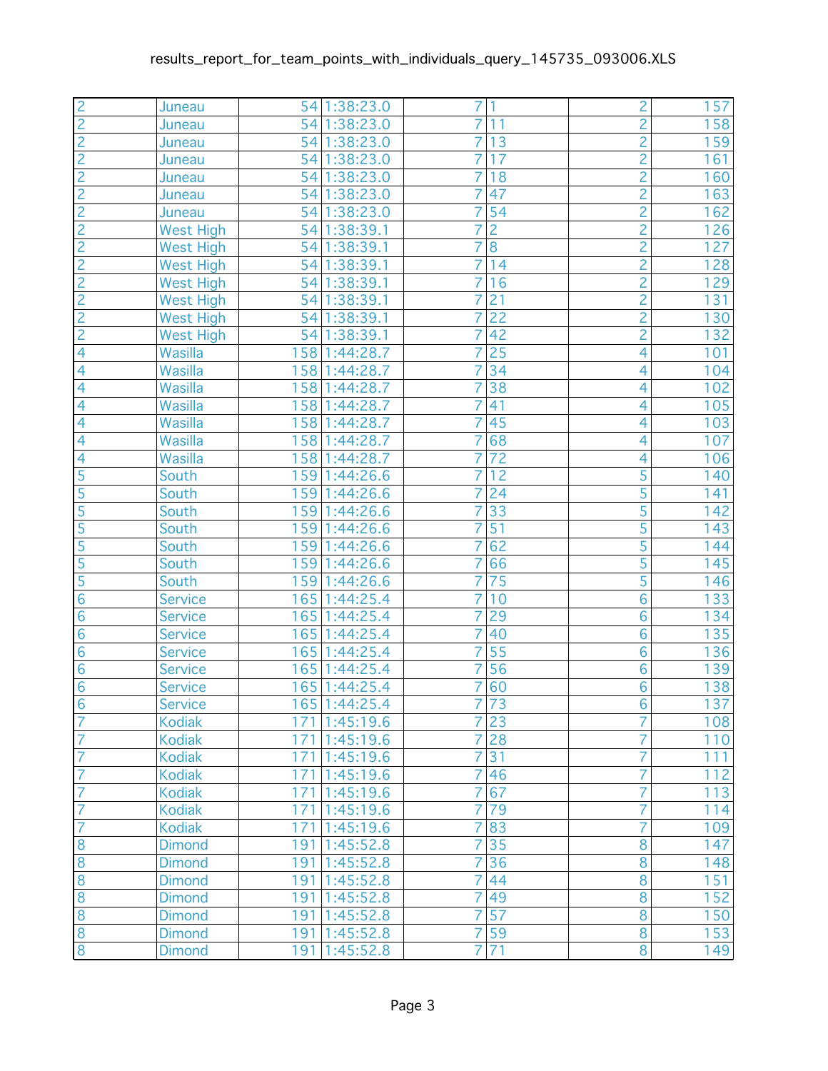| $\overline{c}$ | Juneau           |     | 54 1:38:23.0  | 7              | 1                | $\overline{c}$ | 157              |
|----------------|------------------|-----|---------------|----------------|------------------|----------------|------------------|
| $\overline{2}$ | Juneau           |     | 54 1:38:23.0  | $\overline{7}$ | 11               | $\overline{2}$ | 158              |
| $\overline{c}$ | Juneau           |     | 54 1:38:23.0  | 7              | 13               | $\overline{c}$ | 159              |
| $\overline{2}$ | Juneau           |     | 54 1:38:23.0  | $\overline{7}$ | 17               | $\overline{2}$ | 161              |
| $\overline{2}$ | Juneau           |     | 54 1:38:23.0  | $\overline{7}$ | 18               | $\overline{2}$ | 160              |
| $\overline{c}$ | Juneau           |     | 54 1:38:23.0  | 7              | 47               | $\overline{c}$ | 163              |
| $\overline{2}$ | Juneau           |     | 54 1:38:23.0  | $\overline{7}$ | 54               | $\overline{2}$ | 162              |
| $\overline{2}$ | <b>West High</b> |     | 54 1:38:39.1  | 7              | $\overline{c}$   | $\overline{2}$ | 126              |
| $\overline{c}$ | West High        |     | 54 1:38:39.1  | 7              | $\overline{8}$   | $\frac{2}{2}$  | 127              |
| $\overline{2}$ | <b>West High</b> |     | 54 1:38:39.1  | $\overline{7}$ | 14               |                | 128              |
| $\overline{2}$ | <b>West High</b> |     | 54 1:38:39.1  | $\overline{7}$ | 16               | $\overline{2}$ | 129              |
|                | <b>West High</b> | 54  | 1:38:39.1     | 7              | 21               | $\overline{c}$ | 131              |
| $\frac{2}{2}$  | West High        |     | 54 1:38:39.1  | $\overline{7}$ | $\overline{22}$  | $\overline{2}$ | 130              |
|                | <b>West High</b> |     | 54 1:38:39.1  | 7              | 42               | $\overline{2}$ | 132              |
| $\overline{4}$ | Wasilla          |     | 158 1:44:28.7 | 7              | $\overline{25}$  | 4              | 101              |
| $\overline{4}$ | Wasilla          |     | 158 1:44:28.7 | $\overline{7}$ | 34               | 4              | 104              |
| $\overline{4}$ | Wasilla          |     | 158 1:44:28.7 | $\overline{7}$ | $\overline{38}$  | 4              | 102              |
| $\overline{4}$ | Wasilla          |     | 158 1:44:28.7 | $\overline{7}$ | 41               | 4              | 105              |
| $\overline{4}$ | Wasilla          |     | 158 1:44:28.7 | $\overline{7}$ | 45               | 4              | 103              |
| $\overline{4}$ | Wasilla          | 158 | 1:44:28.7     | 7              | 68               | $\overline{4}$ | 107              |
| $\overline{4}$ | Wasilla          |     | 158 1:44:28.7 | 7              | 72               | 4              | 106              |
| $\overline{5}$ | South            |     | 159 1:44:26.6 | $\overline{7}$ | 12               | 5              | 140              |
| $\overline{5}$ | South            |     | 159 1:44:26.6 | $\overline{7}$ | 24               | 5              | 141              |
| 5              | South            | 159 | 1:44:26.6     | 7              | 33               | 5              | 142              |
| $\overline{5}$ | South            | 159 | 1:44:26.6     | $\overline{7}$ | $\overline{51}$  | $\overline{5}$ | 143              |
| $\overline{5}$ | South            | 159 | 1:44:26.6     | 7              | 62               | $\overline{5}$ | 144              |
| 5              | South            |     | 159 1:44:26.6 | 7              | 66               | 5              | 145              |
| $\overline{5}$ | South            |     | 159 1:44:26.6 | $\overline{7}$ | 75               | $\overline{5}$ | 146              |
| $\overline{6}$ | <b>Service</b>   |     | 165 1:44:25.4 | $\overline{7}$ | 10               | $\overline{6}$ | 133              |
| $\overline{6}$ | <b>Service</b>   | 165 | 1:44:25.4     | $\overline{7}$ | 29               | $\overline{6}$ | 134              |
| $\overline{6}$ | <b>Service</b>   | 165 | 1:44:25.4     | $\overline{7}$ | 40               | $\overline{6}$ | 135              |
| $\overline{6}$ | <b>Service</b>   |     | 165 1:44:25.4 | 7              | 55               | $\overline{6}$ | 136              |
| $\overline{6}$ | <b>Service</b>   |     | 165 1:44:25.4 | 7              | 56               | $\overline{6}$ | 139              |
| $\overline{6}$ | <b>Service</b>   |     | 165 1:44:25.4 | $\overline{7}$ | 60               | $\overline{6}$ | 138              |
| $\overline{6}$ | <b>Service</b>   |     | 165 1:44:25.4 |                | $7\overline{73}$ | $\overline{6}$ | $\overline{137}$ |
| $\overline{7}$ | <b>Kodiak</b>    |     | 171 1:45:19.6 | $\overline{7}$ | 23               | 7              | 108              |
| $\overline{7}$ | <b>Kodiak</b>    |     | 171 1:45:19.6 | $\overline{7}$ | 28               | 7              | 110              |
| $\overline{7}$ | <b>Kodiak</b>    |     | 171 1:45:19.6 | 7              | 31               | 7              | 111              |
| $\overline{7}$ | <b>Kodiak</b>    |     | 171 1:45:19.6 | 7              | 46               | 7              | 112              |
| $\overline{7}$ | <b>Kodiak</b>    |     | 171 1:45:19.6 | $\overline{7}$ | 67               | 7              | 113              |
| $\overline{7}$ | <b>Kodiak</b>    | 171 | 1:45:19.6     | $\overline{7}$ | 79               | 7              | 114              |
| $\overline{7}$ | <b>Kodiak</b>    |     | 171 1:45:19.6 | 7              | 83               | 7              | 109              |
| $\overline{8}$ | <b>Dimond</b>    |     | 191 1:45:52.8 | 7              | 35               | 8              | 147              |
| $\overline{8}$ | <b>Dimond</b>    | 191 | 1:45:52.8     | 7              | 36               | $\overline{8}$ | 148              |
| $\overline{8}$ | <b>Dimond</b>    |     | 191 1:45:52.8 | 7              | 44               | 8              | 151              |
| $\overline{8}$ | <b>Dimond</b>    |     | 191 1:45:52.8 | $\overline{7}$ | 49               | 8              | 152              |
| 8              | <b>Dimond</b>    |     | 191 1:45:52.8 | $\overline{7}$ | $\overline{57}$  | 8              | 150              |
| $\overline{8}$ | <b>Dimond</b>    | 191 | 1:45:52.8     | $\overline{7}$ | 59               | 8              | 153              |
| $\overline{8}$ | <b>Dimond</b>    | 191 | 1:45:52.8     | $\overline{7}$ | $\overline{71}$  | $\overline{8}$ | 149              |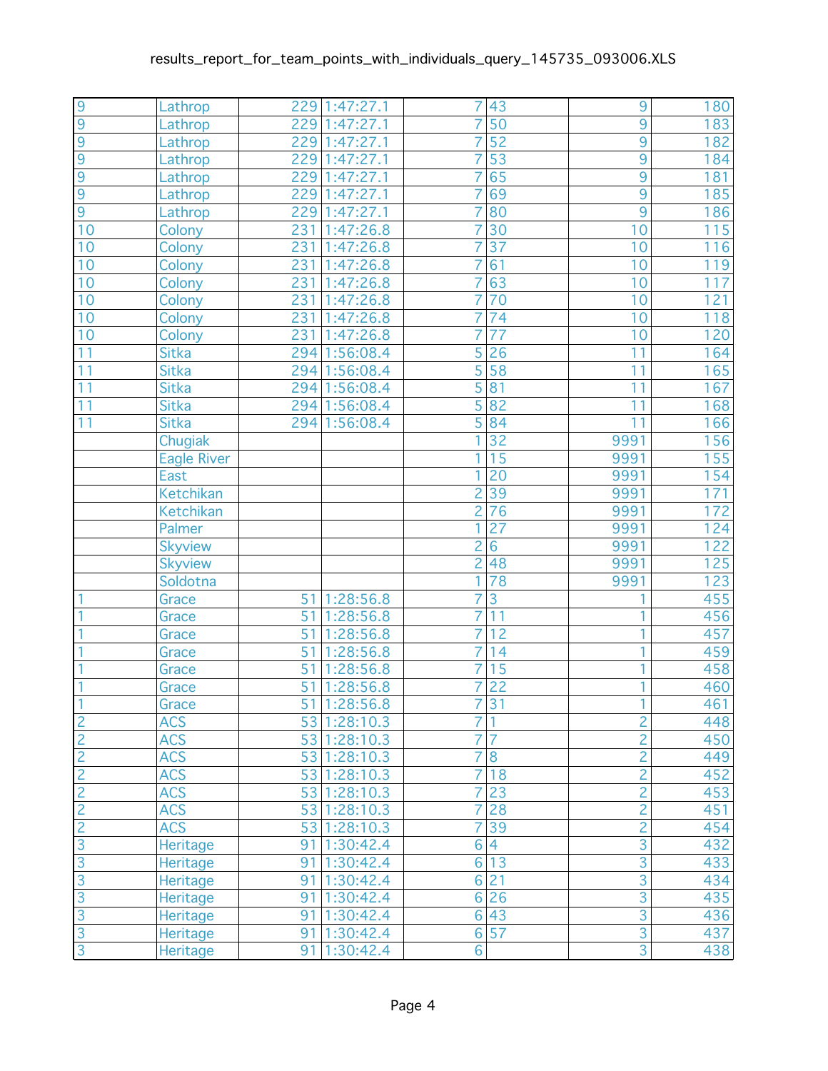| 9                           | Lathrop            | 229 | 1:47:27.1     | 7                | 43              | 9                         | 180               |
|-----------------------------|--------------------|-----|---------------|------------------|-----------------|---------------------------|-------------------|
| $\overline{9}$              | Lathrop            | 229 | 1:47:27.1     | 7                | $\overline{50}$ | $\overline{9}$            | 183               |
| 9                           | Lathrop            | 229 | 1:47:27.1     | 7                | 52              | $\overline{9}$            | 182               |
| 9                           | Lathrop            | 229 | 1:47:27.1     | 7                | 53              | $\overline{9}$            | 184               |
| $\overline{9}$              | Lathrop            | 229 | 1:47:27.1     | 7                | 65              | $\overline{9}$            | 181               |
| 9                           | Lathrop            | 229 | 1:47:27.1     | 7                | 69              | 9                         | 185               |
| $\overline{9}$              | Lathrop            | 229 | 1:47:27.1     | $\overline{7}$   | 80              | $\overline{9}$            | 186               |
| 10                          | Colony             | 231 | 1:47:26.8     | 7                | $\overline{30}$ | 10                        | $\overline{115}$  |
| 10                          | Colony             | 231 | 1:47:26.8     | 7                | $\overline{37}$ | 10                        | 116               |
| 10                          | Colony             | 231 | 1:47:26.8     | $\overline{7}$   | 61              | 10                        | $\overline{1}$ 19 |
| 10                          | Colony             | 231 | 1:47:26.8     | 7                | 63              | 10                        | 117               |
| 10                          | Colony             | 231 | 1:47:26.8     | 7                | 70              | 10                        | 121               |
| 10                          | Colony             | 231 | 1:47:26.8     | $\overline{7}$   | 74              | 10                        | 118               |
| 10                          | Colony             | 231 | 1:47:26.8     | 7                | $\overline{77}$ | 10                        | 120               |
| 11                          | <b>Sitka</b>       | 294 | 1:56:08.4     | 5                | 26              | 11                        | 164               |
| 11                          | <b>Sitka</b>       |     | 294 1:56:08.4 | 5                | 58              | 11                        | 165               |
| 11                          | <b>Sitka</b>       |     | 294 1:56:08.4 | $\overline{5}$   | $\overline{81}$ | 11                        | 167               |
| 11                          | Sitka              | 294 | 1:56:08.4     | 5                | 82              | 11                        | 168               |
| 11                          | Sitka              | 294 | 1:56:08.4     | 5                | 84              | 11                        | 166               |
|                             | Chugiak            |     |               | 1                | $\overline{32}$ | 9991                      | 156               |
|                             | <b>Eagle River</b> |     |               | 1                | 15              | 9991                      | 155               |
|                             | East               |     |               | 1                | 20              | 9991                      | 154               |
|                             | Ketchikan          |     |               | $\overline{2}$   | 39              | 9991                      | 171               |
|                             | Ketchikan          |     |               | $\overline{c}$   | 76              | 9991                      | 172               |
|                             | Palmer             |     |               | 1                | 27              | 9991                      | 124               |
|                             | <b>Skyview</b>     |     |               | $\overline{2}$   | $\overline{6}$  | 9991                      | 122               |
|                             | <b>Skyview</b>     |     |               | $\overline{c}$   | 48              | 9991                      | 125               |
|                             | Soldotna           |     |               | 1                | 78              | 9991                      | 123               |
|                             | Grace              | 51  | 1:28:56.8     | 7                | $\overline{3}$  | 1                         | 455               |
|                             | Grace              | 51  | 1:28:56.8     | 7                | 11              | 1                         | 456               |
|                             | Grace              | 51  | 1:28:56.8     | 7                | 12              | 1                         | 457               |
|                             | Grace              | 51  | 1:28:56.8     | 7                | 14              | 1                         | 459               |
|                             | Grace              | 51  | 1:28:56.8     | 7                | 15              | 1                         | 458               |
| 1                           | Grace              | 51  | 1:28:56.8     | $\overline{7}$   | 22              | 1                         | 460               |
| 1                           | Grace              |     | 51 1:28:56.8  |                  | 7 31            | $\overline{1}$            | 461               |
|                             | <b>ACS</b>         |     | 53 1:28:10.3  | 7                |                 | $\overline{c}$            | 448               |
|                             | <b>ACS</b>         |     | 53 1:28:10.3  | 7                |                 | $\overline{2}$            | 450               |
| $\frac{2}{2}$ $\frac{2}{2}$ | <b>ACS</b>         |     | 53 1:28:10.3  | 7                | 8               | $\frac{2}{2}$             | 449               |
|                             | <b>ACS</b>         |     | 53 1:28:10.3  | 7                | 18              |                           | 452               |
|                             | <b>ACS</b>         |     | 53 1:28:10.3  | $\overline{7}$   | 23              | $\overline{2}$            | 453               |
| $\overline{2}$              | <b>ACS</b>         |     | 53 1:28:10.3  | $\overline{7}$   | 28              | $\overline{2}$            | 451               |
| $\overline{c}$              | <b>ACS</b>         |     | 53 1:28:10.3  | 7                | 39              | $\overline{c}$            | 454               |
| $\overline{3}$              | Heritage           |     | 91 1:30:42.4  | 6                | $\overline{4}$  | $\overline{3}$            | 432               |
| $\overline{3}$              | <b>Heritage</b>    |     | 91 1:30:42.4  | $6 \overline{6}$ | 13              | $\frac{1}{3}$             | 433               |
| $\overline{3}$              | Heritage           | 91  | 1:30:42.4     | $6 \overline{6}$ | 21              | $\overline{3}$            | 434               |
| 3                           | Heritage           | 91  | 1:30:42.4     | $6 \overline{6}$ | 26              | $\overline{3}$            | 435               |
| 3                           | Heritage           | 91  | 1:30:42.4     | 6                | 43              | $\overline{3}$            | 436               |
| $\overline{3}$              | Heritage           | 91  | 1:30:42.4     | 6                | 57              | $\overline{3}$            | 437               |
| $\overline{3}$              | Heritage           | 91  | 1:30:42.4     | 6                |                 | $\overline{\overline{3}}$ | 438               |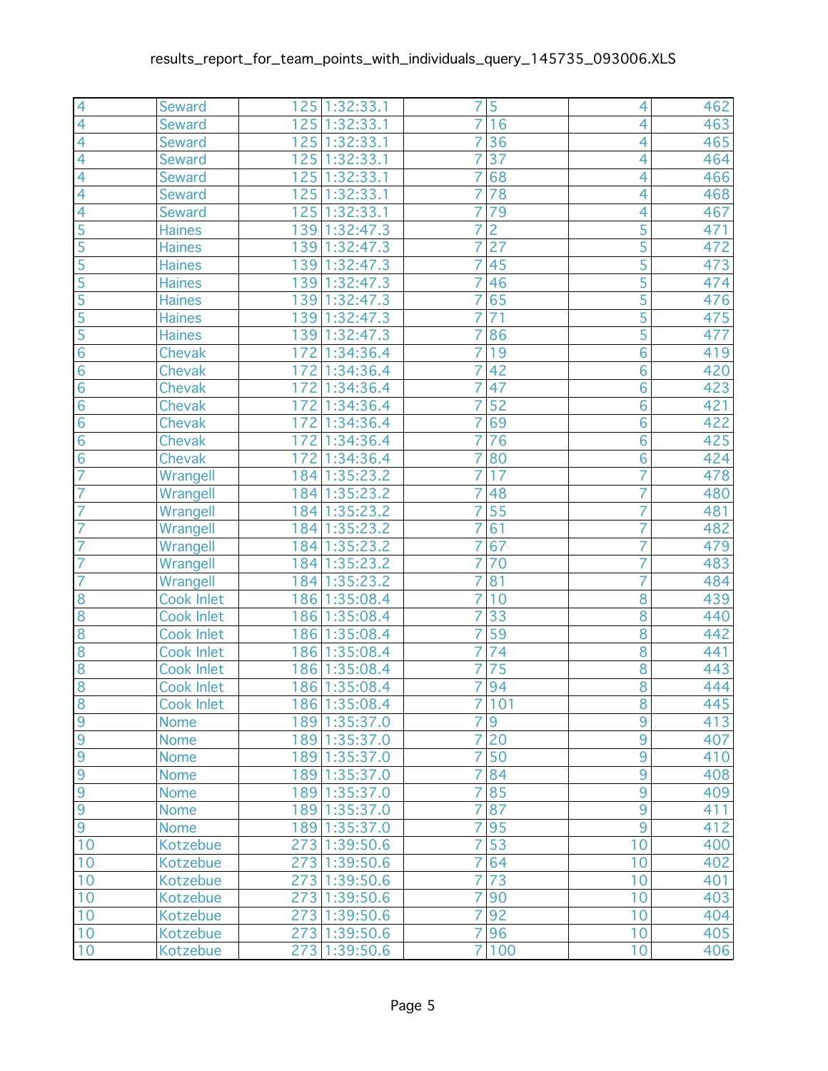| $\overline{4}$  | <b>Seward</b>     | 125 1:32:33.1    | 7              | 5               | 4               | 462 |
|-----------------|-------------------|------------------|----------------|-----------------|-----------------|-----|
| $\overline{4}$  | <b>Seward</b>     | 125 1:32:33.1    | 7              | 16              | 4               | 463 |
| 4               | <b>Seward</b>     | 125 1:32:33.1    | 7              | 36              | 4               | 465 |
| $\overline{4}$  | <b>Seward</b>     | 125 1:32:33.1    | $\overline{7}$ | $\overline{37}$ | 4               | 464 |
| $\overline{4}$  | <b>Seward</b>     | 125 1:32:33.1    | 7              | 68              | 4               | 466 |
| $\overline{4}$  | <b>Seward</b>     | 125<br>1:32:33.1 | 7              | 78              | 4               | 468 |
| $\overline{4}$  | <b>Seward</b>     | 125<br>1:32:33.1 | 7              | 79              | 4               | 467 |
| $\overline{5}$  | <b>Haines</b>     | 1:32:47.3<br>139 | 7              | $\overline{2}$  | $\overline{5}$  | 471 |
| 5               | <b>Haines</b>     | 139<br>1:32:47.3 | 7              | 27              | 5               | 472 |
| $\overline{5}$  | <b>Haines</b>     | 139 1:32:47.3    | 7              | 45              | $\overline{5}$  | 473 |
| $\overline{5}$  | <b>Haines</b>     | 139 1:32:47.3    | 7              | 46              | 5               | 474 |
| 5               | <b>Haines</b>     | 139<br>1:32:47.3 | 7              | 65              | 5               | 476 |
| $\overline{5}$  | <b>Haines</b>     | 139 1:32:47.3    | $\overline{7}$ | $\overline{71}$ | $\overline{5}$  | 475 |
| $\overline{5}$  | <b>Haines</b>     | 139 1:32:47.3    | 7              | 86              | $\overline{5}$  | 477 |
| $\overline{6}$  | <b>Chevak</b>     | 172 1:34:36.4    | 7              | 19              | $\overline{6}$  | 419 |
| $6\phantom{1}6$ | Chevak            | 172 1:34:36.4    | $\overline{7}$ | 42              | 6               | 420 |
| 6               | Chevak            | 172 1:34:36.4    | 7              | 47              | $\overline{6}$  | 423 |
| $\overline{6}$  | Chevak            | 172<br>1:34:36.4 | 7              | 52              | 6               | 421 |
| $\overline{6}$  | Chevak            | 172 1:34:36.4    | 7              | 69              | $\overline{6}$  | 422 |
| $\overline{6}$  | Chevak            | 172 1:34:36.4    | 7              | 76              | $\overline{6}$  | 425 |
| $\overline{6}$  | <b>Chevak</b>     | 172<br>1:34:36.4 | 7              | 80              | 6               | 424 |
| $\overline{7}$  | Wrangell          | 184 1:35:23.2    | $\overline{7}$ | 17              | 7               | 478 |
| $\overline{7}$  | Wrangell          | 184 1:35:23.2    | 7              | 48              | 7               | 480 |
| $\overline{7}$  | Wrangell          | 184 1:35:23.2    | 7              | 55              | 7               | 481 |
| $\overline{7}$  | Wrangell          | 184 1:35:23.2    | 7              | 61              | 7               | 482 |
| 7               | Wrangell          | 184 1:35:23.2    | 7              | 67              | 7               | 479 |
| 7               | Wrangell          | 184 1:35:23.2    | 7              | 70              | 7               | 483 |
| $\overline{7}$  | Wrangell          | 184 1:35:23.2    | 7              | 81              | 7               | 484 |
| 8               | <b>Cook Inlet</b> | 186 1:35:08.4    | 7              | 10              | $\overline{8}$  | 439 |
| 8               | <b>Cook Inlet</b> | 186<br>1:35:08.4 | 7              | 33              | 8               | 440 |
| $\overline{8}$  | <b>Cook Inlet</b> | 186 1:35:08.4    | 7              | 59              | $\overline{8}$  | 442 |
| $\overline{8}$  | <b>Cook Inlet</b> | 186 1:35:08.4    | 7              | 74              | $\overline{8}$  | 441 |
| $\overline{8}$  | <b>Cook Inlet</b> | 186 1:35:08.4    | 7              | 75              | $\overline{8}$  | 443 |
| $\overline{8}$  | <b>Cook Inlet</b> | 186 1:35:08.4    | 7              | 94              | $\overline{8}$  | 444 |
| $\overline{8}$  | Cook Inlet        | 186 1:35:08.4    |                | 7 101           | $\overline{8}$  | 445 |
| $\overline{9}$  | <b>Nome</b>       | 189 1:35:37.0    | 7              | $9\,$           | 9               | 413 |
| $\overline{9}$  | <b>Nome</b>       | 189 1:35:37.0    | $\overline{7}$ | 20              | $\overline{9}$  | 407 |
| $\overline{9}$  | <b>Nome</b>       | 189 1:35:37.0    | 7              | 50              | $\overline{9}$  | 410 |
| $\overline{9}$  | <b>Nome</b>       | 189 1:35:37.0    | 7              | 84              | $\overline{9}$  | 408 |
| $\overline{9}$  | <b>Nome</b>       | 189 1:35:37.0    | 7              | 85              | $\overline{9}$  | 409 |
| 9               | <b>Nome</b>       | 189 1:35:37.0    | 7              | 87              | $\overline{9}$  | 411 |
| $\overline{9}$  | <b>Nome</b>       | 189 1:35:37.0    | 7              | 95              | $\overline{9}$  | 412 |
| 10              | Kotzebue          | 273 1:39:50.6    | 7              | 53              | 10              | 400 |
| 10              | Kotzebue          | 273 1:39:50.6    | 7              | 64              | 10              | 402 |
| 10              | Kotzebue          | 273 1:39:50.6    | 7              | 73              | 10              | 401 |
| 10              | Kotzebue          | 273 1:39:50.6    | $\overline{7}$ | 90              | 10              | 403 |
| 10              | Kotzebue          | 273 1:39:50.6    | $\overline{7}$ | 92              | 10              | 404 |
| 10              | Kotzebue          | 273 1:39:50.6    | 7              | 96              | 10              | 405 |
| 10              | Kotzebue          | 273 1:39:50.6    | $\overline{7}$ | 100             | $\overline{1}0$ | 406 |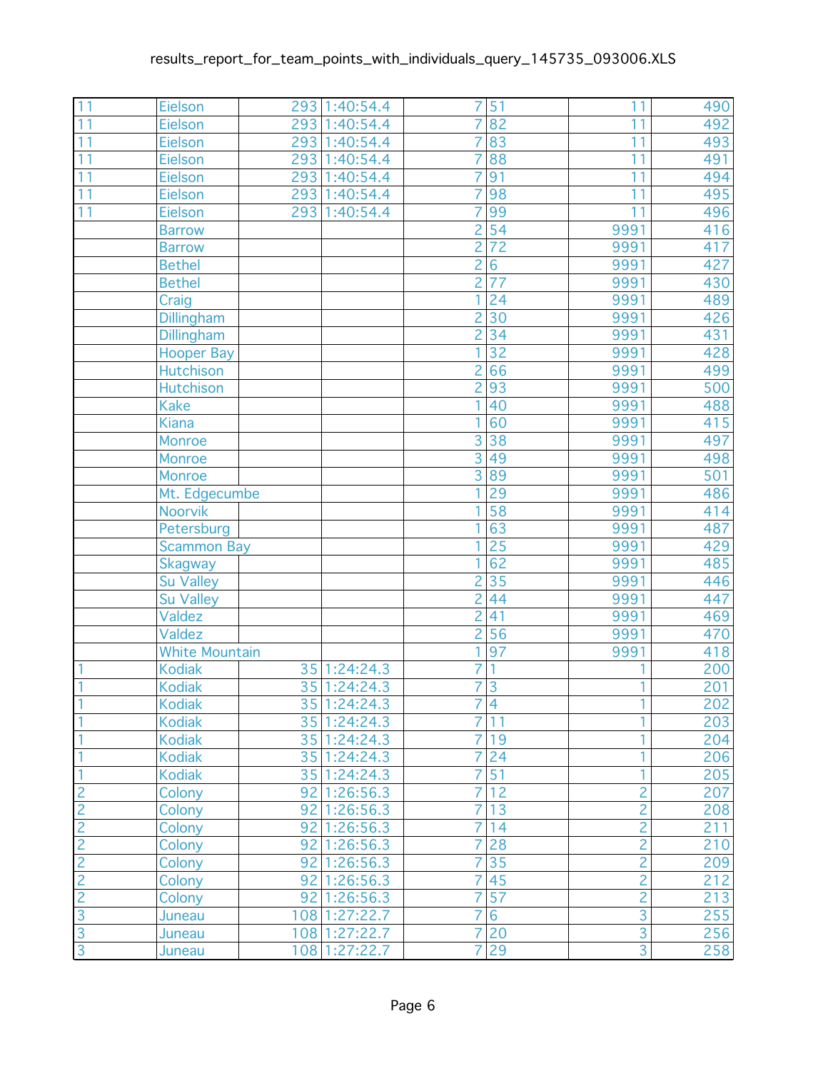| 11             | Eielson                                | 293 1:40:54.4 | 7                   | 51              | 11             | 490        |
|----------------|----------------------------------------|---------------|---------------------|-----------------|----------------|------------|
| 11             | Eielson                                | 293 1:40:54.4 | 7                   | 82              | 11             | 492        |
| 11             | Eielson                                | 293 1:40:54.4 | 7                   | 83              | 11             | 493        |
| 11             | Eielson                                | 293 1:40:54.4 | 7                   | 88              | 11             | 491        |
| 11             | Eielson                                | 293 1:40:54.4 | 7                   | $\overline{91}$ | 11             | 494        |
| 11             | Eielson                                | 293 1:40:54.4 | 7                   | 98              | 11             | 495        |
| 11             | Eielson                                | 293 1:40:54.4 | 7                   | 99              | 11             | 496        |
|                | <b>Barrow</b>                          |               | $\overline{2}$      | $\overline{54}$ | 9991           | 416        |
|                | <b>Barrow</b>                          |               | $\overline{c}$      | $\overline{72}$ | 9991           | 417        |
|                | <b>Bethel</b>                          |               | $\overline{c}$      | $\overline{6}$  | 9991           | 427        |
|                | <b>Bethel</b>                          |               | $\overline{2}$      | $\overline{77}$ | 9991           | 430        |
|                | Craig                                  |               |                     | $\overline{24}$ | 9991           | 489        |
|                | <b>Dillingham</b>                      |               | $\overline{c}$      | $\overline{30}$ | 9991           | 426        |
|                | <b>Dillingham</b>                      |               | $\overline{2}$      | $\overline{34}$ | 9991           | 431        |
|                | <b>Hooper Bay</b>                      |               |                     | $\overline{32}$ | 9991           | 428        |
|                | <b>Hutchison</b>                       |               | $\overline{c}$      | 66              | 9991           | 499        |
|                | <b>Hutchison</b>                       |               | $\overline{2}$      | 93              | 9991           | 500        |
|                | <b>Kake</b>                            |               | 1                   | 40              | 9991           | 488        |
|                | <b>Kiana</b>                           |               | 1                   | 60              | 9991           | 415        |
|                | <b>Monroe</b>                          |               | $\overline{3}$      | 38              | 9991           | 497        |
|                | Monroe                                 |               | $\overline{3}$      | 49              | 9991           | 498        |
|                | <b>Monroe</b>                          |               | $\overline{3}$      | 89              | 9991           | 501        |
|                | Mt. Edgecumbe                          |               | 1                   | 29              | 9991           | 486        |
|                | Noorvik                                |               |                     | 58              | 9991           | 414        |
|                | Petersburg                             |               | 1                   | $\overline{63}$ | 9991           | 487        |
|                | <b>Scammon Bay</b>                     |               |                     | $\overline{25}$ | 9991           | 429        |
|                | <b>Skagway</b>                         |               |                     | 62              | 9991           | 485        |
|                | <b>Su Valley</b>                       |               | $\overline{c}$      | $\overline{35}$ | 9991           | 446        |
|                | <b>Su Valley</b>                       |               | $\overline{2}$      | 44              | 9991           | 447        |
|                | Valdez                                 |               | $\overline{c}$      | 41              | 9991           | 469        |
|                | Valdez                                 |               | $\overline{2}$<br>1 | 56              | 9991           | 470<br>418 |
|                | <b>White Mountain</b><br><b>Kodiak</b> | 35 1:24:24.3  | 7                   | 97<br>1         | 9991<br>1      | 200        |
| 1<br>1         |                                        | 35 1:24:24.3  | 7                   | $\overline{3}$  | 1              | 201        |
| $\overline{1}$ | <b>Kodiak</b><br>Kodiak                | 35 1:24:24.3  | $\overline{7}$      | $\overline{4}$  | $\overline{1}$ | 202        |
| 1              | <b>Kodiak</b>                          | 35 1:24:24.3  | $\overline{7}$      | 11              | 1              | 203        |
|                | <b>Kodiak</b>                          | 35 1:24:24.3  | $\overline{7}$      | 19              | 1              | 204        |
|                | <b>Kodiak</b>                          | 35 1:24:24.3  | 7                   | 24              | 1              | 206        |
| 1              | <b>Kodiak</b>                          | 35 1:24:24.3  | 7                   | 51              | 1              | 205        |
| $\overline{c}$ | Colony                                 | 92 1:26:56.3  | $\overline{7}$      | 12              | $\overline{2}$ | 207        |
| $\overline{2}$ | Colony                                 | 92 1:26:56.3  | 7                   | 13              | $\overline{2}$ | 208        |
|                | Colony                                 | 92 1:26:56.3  | $\overline{7}$      | 14              | $\overline{c}$ | 211        |
| $\frac{2}{2}$  | Colony                                 | 92 1:26:56.3  | 7                   | 28              | $\overline{2}$ | 210        |
| $\overline{2}$ | Colony                                 | 92 1:26:56.3  | 7                   | 35              | $\overline{2}$ | 209        |
| $\overline{c}$ | Colony                                 | 92 1:26:56.3  | 7                   | 45              | $\overline{c}$ | 212        |
| $\overline{2}$ | Colony                                 | 92 1:26:56.3  | 7                   | 57              | $\overline{2}$ | 213        |
| $\overline{3}$ | Juneau                                 | 108 1:27:22.7 | $\overline{7}$      | $6\phantom{a}$  | $\overline{3}$ | 255        |
| $\overline{3}$ | Juneau                                 | 108 1:27:22.7 | 7                   | 20              |                | 256        |
| $\overline{3}$ | Juneau                                 | 108 1:27:22.7 | $\overline{7}$      | 29              | $\frac{3}{3}$  | 258        |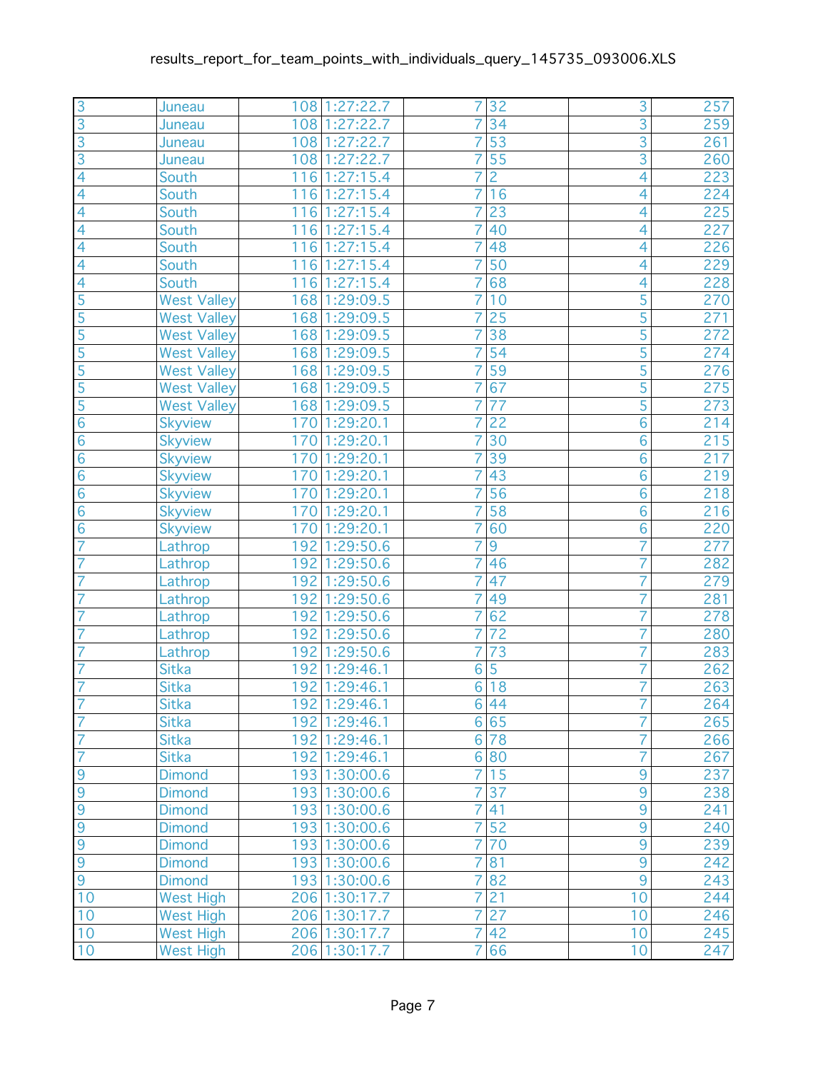| $\overline{3}$                       | Juneau             | 108 1:27:22.7 | 7                | 32              | $\overline{3}$ | 257 |
|--------------------------------------|--------------------|---------------|------------------|-----------------|----------------|-----|
| $\overline{3}$                       | Juneau             | 108 1:27:22.7 | $\overline{7}$   | 34              | $\overline{3}$ | 259 |
| $\overline{3}$                       | Juneau             | 108 1:27:22.7 | 7                | $\overline{53}$ | $\overline{3}$ | 261 |
| $\overline{3}$                       | Juneau             | 108 1:27:22.7 | $\overline{7}$   | 55              | $\overline{3}$ | 260 |
| $\overline{4}$                       | South              | 116 1:27:15.4 | 7                | $\overline{2}$  | 4              | 223 |
| $\overline{4}$                       | South              | 116 1:27:15.4 | 7                | 16              | 4              | 224 |
| $\overline{4}$                       | South              | 116 1:27:15.4 | $\overline{7}$   | 23              | 4              | 225 |
| $\overline{4}$                       | South              | 116 1:27:15.4 | $\overline{7}$   | 40              | $\overline{4}$ | 227 |
| 4                                    | South              | 116 1:27:15.4 | 7                | 48              | 4              | 226 |
| $\overline{4}$                       | South              | 116 1:27:15.4 | $\overline{7}$   | 50              | 4              | 229 |
| $\overline{4}$                       | South              | 116 1:27:15.4 | $\overline{7}$   | 68              | 4              | 228 |
| $\overline{5}$                       | <b>West Valley</b> | 168 1:29:09.5 | $\overline{7}$   | 10              | 5              | 270 |
| $\overline{\overline{\overline{5}}}$ | <b>West Valley</b> | 168 1:29:09.5 | $\overline{7}$   | 25              | $\overline{5}$ | 271 |
| $\overline{5}$                       | <b>West Valley</b> | 168 1:29:09.5 | $\overline{7}$   | $\overline{38}$ | $\overline{5}$ | 272 |
| 5                                    | <b>West Valley</b> | 168 1:29:09.5 | 7                | 54              | $\overline{5}$ | 274 |
| $\overline{5}$                       | <b>West Valley</b> | 168 1:29:09.5 | $\overline{7}$   | $\overline{59}$ | $\overline{5}$ | 276 |
| $\overline{5}$                       | <b>West Valley</b> | 168 1:29:09.5 | 7                | 67              | $\overline{5}$ | 275 |
| 5                                    | <b>West Valley</b> | 168 1:29:09.5 | $\overline{7}$   | 77              | 5              | 273 |
| $\overline{6}$                       | <b>Skyview</b>     | 170 1:29:20.1 | $\overline{7}$   | $\overline{22}$ | $\overline{6}$ | 214 |
| $\overline{6}$                       | <b>Skyview</b>     | 170 1:29:20.1 | $\overline{7}$   | $\overline{30}$ | $\overline{6}$ | 215 |
| $\overline{6}$                       | <b>Skyview</b>     | 170 1:29:20.1 | 7                | 39              | $\overline{6}$ | 217 |
| $\overline{6}$                       | <b>Skyview</b>     | 170 1:29:20.1 | $\overline{7}$   | 43              | 6              | 219 |
| $\overline{6}$                       | <b>Skyview</b>     | 170 1:29:20.1 | 7                | $\overline{56}$ | $\overline{6}$ | 218 |
| $\overline{6}$                       | <b>Skyview</b>     | 170 1:29:20.1 | 7                | 58              | $\overline{6}$ | 216 |
| $\overline{6}$                       | Skyview            | 170 1:29:20.1 | 7                | 60              | $\overline{6}$ | 220 |
| $\overline{7}$                       | Lathrop            | 192 1:29:50.6 |                  | $\overline{9}$  | 7              | 277 |
| $\overline{7}$                       | Lathrop            | 192 1:29:50.6 | 7                | 46              | 7              | 282 |
| $\overline{7}$                       | Lathrop            | 192 1:29:50.6 | $\overline{7}$   | 47              | 7              | 279 |
| 7                                    | Lathrop            | 192 1:29:50.6 | $\overline{7}$   | 49              | $\overline{7}$ | 281 |
|                                      | Lathrop            | 192 1:29:50.6 | $\overline{7}$   | 62              | 7              | 278 |
| 7                                    | Lathrop            | 192 1:29:50.6 | $\overline{7}$   | $\overline{72}$ | 7              | 280 |
| $\overline{7}$                       | Lathrop            | 192 1:29:50.6 | $\overline{7}$   | 73              | 7              | 283 |
| $\overline{7}$                       | <b>Sitka</b>       | 192 1:29:46.1 | 6                | 5               | 7              | 262 |
| $\overline{7}$                       | <b>Sitka</b>       | 192 1:29:46.1 | 6                | 18              | 7              | 263 |
| $\overline{7}$                       | <b>Sitka</b>       | 192 1:29:46.1 |                  | 6 44            | $\overline{7}$ | 264 |
| $\overline{7}$                       | <b>Sitka</b>       | 192 1:29:46.1 |                  | 6 65            | 7              | 265 |
| 7                                    | <b>Sitka</b>       | 192 1:29:46.1 | $6 \overline{6}$ | 78              | 7              | 266 |
| $\overline{7}$                       | <b>Sitka</b>       | 192 1:29:46.1 |                  | 6 80            | 7              | 267 |
| 9                                    | <b>Dimond</b>      | 193 1:30:00.6 | 7                | 15              | 9              | 237 |
| $\overline{9}$                       | <b>Dimond</b>      | 193 1:30:00.6 | $\overline{7}$   | 37              | $\overline{9}$ | 238 |
| 9                                    | <b>Dimond</b>      | 193 1:30:00.6 | $\overline{7}$   | 41              | $\overline{9}$ | 241 |
| $\frac{9}{9}$                        | <b>Dimond</b>      | 193 1:30:00.6 | $\overline{7}$   | 52              | 9              | 240 |
|                                      | <b>Dimond</b>      | 193 1:30:00.6 | $\overline{7}$   | 70              | $\overline{9}$ | 239 |
| $\overline{9}$                       | <b>Dimond</b>      | 193 1:30:00.6 | 7                | 81              | $\overline{9}$ | 242 |
| 9                                    | <b>Dimond</b>      | 193 1:30:00.6 | 7                | 82              | $\overline{9}$ | 243 |
| 10                                   | <b>West High</b>   | 206 1:30:17.7 | $\overline{7}$   | 21              | 10             | 244 |
| 10                                   | <b>West High</b>   | 206 1:30:17.7 | $\overline{7}$   | $\overline{27}$ | 10             | 246 |
| 10                                   | <b>West High</b>   | 206 1:30:17.7 | $\overline{7}$   | 42              | 10             | 245 |
| 10                                   | <b>West High</b>   | 206 1:30:17.7 | $\overline{7}$   | 66              | 10             | 247 |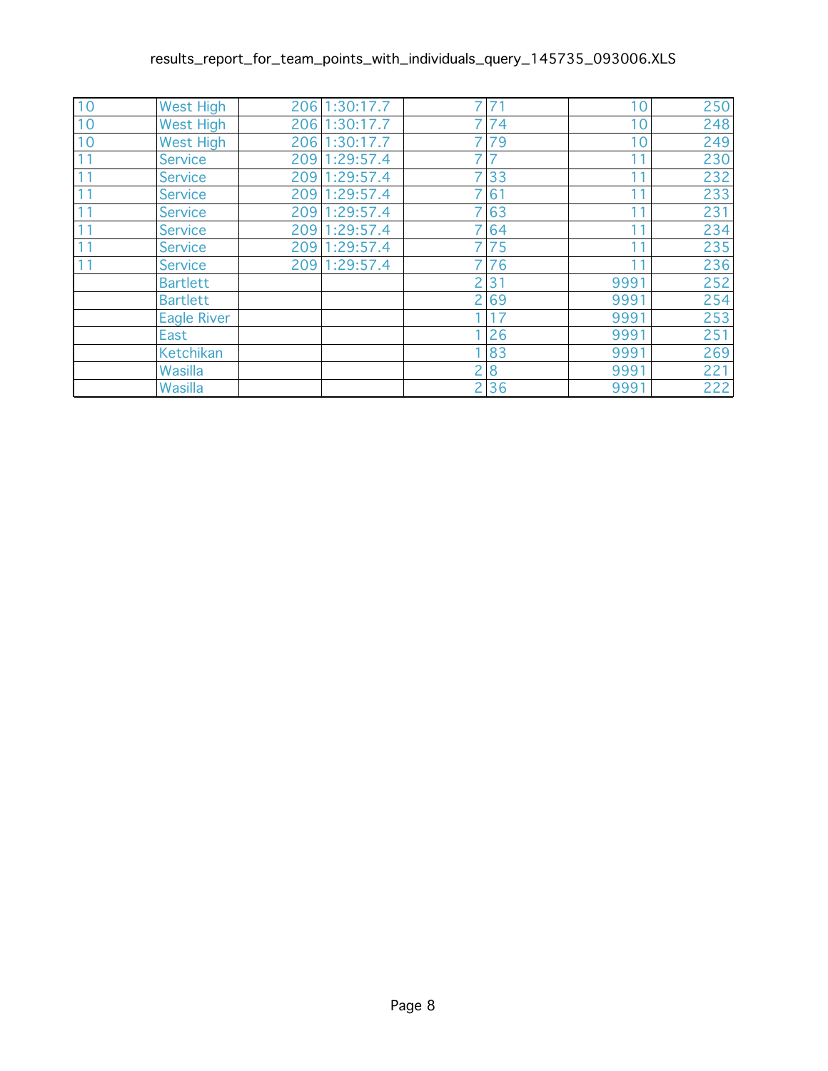| 10 | <b>West High</b>   | 206 1:30:17.7 |                | 71 | 10   | 250 |
|----|--------------------|---------------|----------------|----|------|-----|
| 10 | <b>West High</b>   | 206 1:30:17.7 |                | 74 | 10   | 248 |
| 10 | <b>West High</b>   | 206 1:30:17.7 |                | 79 | 10   | 249 |
| 11 | <b>Service</b>     | 209 1:29:57.4 | 7              |    | 11   | 230 |
| 11 | <b>Service</b>     | 209 1:29:57.4 | $\overline{7}$ | 33 | 11   | 232 |
| 11 | <b>Service</b>     | 209 1:29:57.4 |                | 61 | 11   | 233 |
| 11 | <b>Service</b>     | 209 1:29:57.4 |                | 63 | 11   | 231 |
| 11 | <b>Service</b>     | 209 1:29:57.4 |                | 64 | 11   | 234 |
| 11 | <b>Service</b>     | 209 1:29:57.4 |                | 75 | 11   | 235 |
| 11 | <b>Service</b>     | 209 1:29:57.4 |                | 76 | 11   | 236 |
|    | <b>Bartlett</b>    |               | 2              | 31 | 9991 | 252 |
|    | <b>Bartlett</b>    |               | 2              | 69 | 9991 | 254 |
|    | <b>Eagle River</b> |               |                | 17 | 9991 | 253 |
|    | East               |               |                | 26 | 9991 | 251 |
|    | Ketchikan          |               |                | 83 | 9991 | 269 |
|    | Wasilla            |               | $\overline{c}$ | 8  | 9991 | 221 |
|    | Wasilla            |               | 2              | 36 | 9991 | 222 |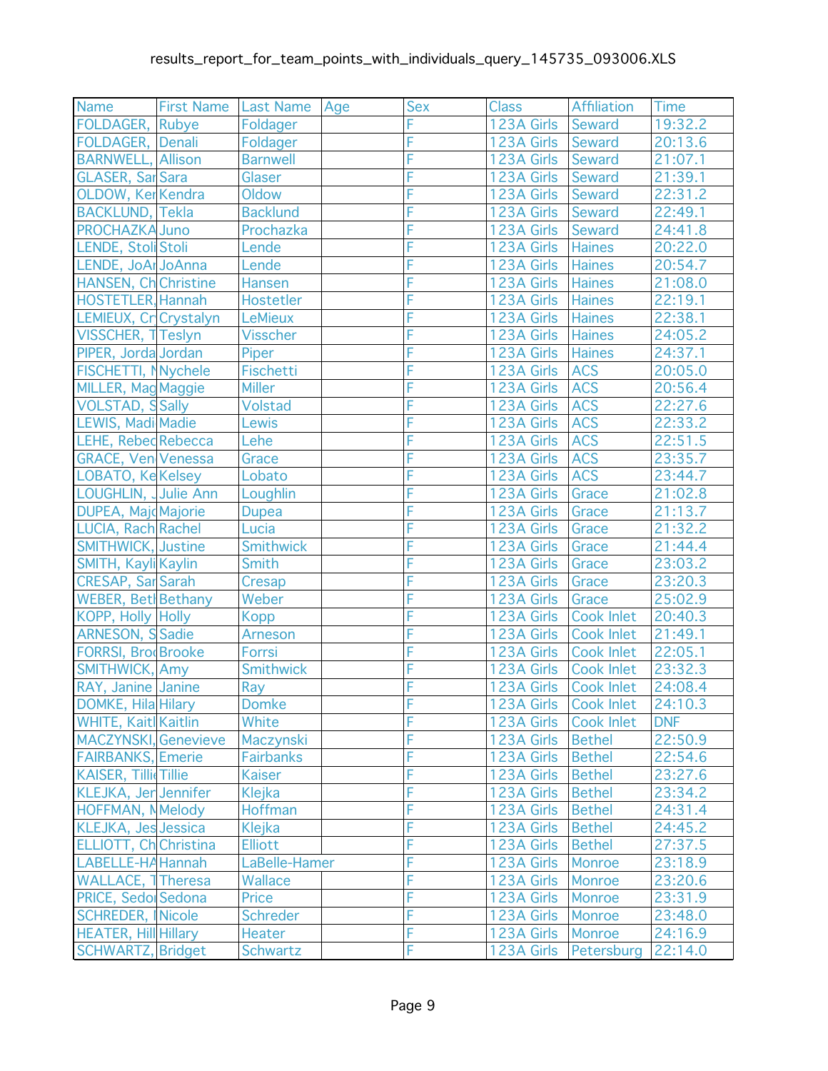| <b>Name</b>                  | <b>First Name</b> | Last Name   Age  | Sex | <b>Class</b>          | Affiliation           | <b>Time</b> |
|------------------------------|-------------------|------------------|-----|-----------------------|-----------------------|-------------|
| FOLDAGER, Rubye              |                   | Foldager         | F   | 123A Girls   Seward   |                       | 19:32.2     |
| FOLDAGER, Denali             |                   | Foldager         | F   | 123A Girls Seward     |                       | 20:13.6     |
| <b>BARNWELL, Allison</b>     |                   | <b>Barnwell</b>  | F   | 123A Girls Seward     |                       | 21:07.1     |
| <b>GLASER, Sar Sara</b>      |                   | Glaser           | F   | 123A Girls            | Seward                | 21:39.1     |
| OLDOW, KerKendra             |                   | Oldow            | F   | 123A Girls            | Seward                | 22:31.2     |
| <b>BACKLUND, Tekla</b>       |                   | <b>Backlund</b>  | F   | 123A Girls Seward     |                       | 22:49.1     |
| <b>PROCHAZKA Juno</b>        |                   | Prochazka        | F   | 123A Girls Seward     |                       | 24:41.8     |
| LENDE, Stoll Stoli           |                   | Lende            | F   | 123A Girls Haines     |                       | 20:22.0     |
| LENDE, JoAr JoAnna           |                   | Lende            | F   | 123A Girls   Haines   |                       | 20:54.7     |
| <b>HANSEN, Ch Christine</b>  |                   | Hansen           | F   | 123A Girls   Haines   |                       | 21:08.0     |
| <b>HOSTETLER, Hannah</b>     |                   | Hostetler        | F   | 123A Girls   Haines   |                       | 22:19.1     |
| LEMIEUX, Cr Crystalyn        |                   | <b>LeMieux</b>   | F   | 123A Girls   Haines   |                       | 22:38.1     |
| VISSCHER, TTeslyn            |                   | <b>Visscher</b>  | F   | 123A Girls Haines     |                       | 24:05.2     |
| PIPER, Jorda Jordan          |                   | Piper            | F   | 123A Girls            | Haines                | 24:37.1     |
| FISCHETTI, NNychele          |                   | Fischetti        | F   | 123A Girls            | <b>ACS</b>            | 20:05.0     |
| MILLER, Mag Maggie           |                   | <b>Miller</b>    | F   | 123A Girls            | <b>ACS</b>            | 20:56.4     |
| <b>VOLSTAD, SSally</b>       |                   | Volstad          | F   | 123A Girls            | <b>ACS</b>            | 22:27.6     |
| <b>LEWIS, Madi Madie</b>     |                   | Lewis            | F   | 123A Girls            | <b>ACS</b>            | 22:33.2     |
| <b>LEHE, Rebed Rebecca</b>   |                   | Lehe             | F   | 123A Girls            | <b>ACS</b>            | 22:51.5     |
| <b>GRACE, Ven Venessa</b>    |                   | Grace            | F   | 123A Girls            | <b>ACS</b>            | 23:35.7     |
| LOBATO, Ke Kelsey            |                   | Lobato           | F   | 123A Girls            | <b>ACS</b>            | 23:44.7     |
| LOUGHLIN, Julie Ann          |                   | Loughlin         | F   | 123A Girls            | Grace                 | 21:02.8     |
| <b>DUPEA, Majd Majorie</b>   |                   | <b>Dupea</b>     | F   | 123A Girls            | Grace                 | 21:13.7     |
| LUCIA, Rach Rachel           |                   | Lucia            | F   | 123A Girls            | Grace                 | 21:32.2     |
| <b>SMITHWICK, Justine</b>    |                   | Smithwick        | F   | 123A Girls            | Grace                 | 21:44.4     |
| SMITH, Kayli Kaylin          |                   | Smith            | F   | 123A Girls            | Grace                 | 23:03.2     |
| <b>CRESAP, Sar Sarah</b>     |                   | Cresap           | F   | 123A Girls            | Grace                 | 23:20.3     |
| WEBER, Bet Bethany           |                   | Weber            | F   | 123A Girls            | Grace                 | 25:02.9     |
| KOPP, Holly Holly            |                   | <b>Kopp</b>      | F   | 123A Girls            | Cook Inlet            | 20:40.3     |
| <b>ARNESON, S Sadie</b>      |                   | <b>Arneson</b>   | F   | 123A Girls Cook Inlet |                       | 21:49.1     |
| <b>FORRSI, BrodBrooke</b>    |                   | Forrsi           | F   | 123A Girls Cook Inlet |                       | 22:05.1     |
| SMITHWICK, Amy               |                   | <b>Smithwick</b> | F   | 123A Girls Cook Inlet |                       | 23:32.3     |
| RAY, Janine Janine           |                   | Ray              | F   | 123A Girls Cook Inlet |                       | 24:08.4     |
| <b>DOMKE, Hila Hilary</b>    |                   | <b>Domke</b>     | F   |                       | 123A Girls Cook Inlet | 24:10.3     |
| <b>WHITE, Kaitl Kaitlin</b>  |                   | White            | F   | 123A Girls            | <b>Cook Inlet</b>     | <b>DNF</b>  |
| MACZYNSKI. Genevieve         |                   | Maczynski        | F   | 123A Girls            | <b>Bethel</b>         | 22:50.9     |
| <b>FAIRBANKS, Emerie</b>     |                   | <b>Fairbanks</b> | F   | 123A Girls            | <b>Bethel</b>         | 22:54.6     |
| <b>KAISER, Tillie Tillie</b> |                   | <b>Kaiser</b>    | F   | 123A Girls            | <b>Bethel</b>         | 23:27.6     |
| <b>KLEJKA, Jer Jennifer</b>  |                   | <b>Klejka</b>    | F   | 123A Girls            | <b>Bethel</b>         | 23:34.2     |
| <b>HOFFMAN, N</b> Melody     |                   | Hoffman          | F   | 123A Girls            | <b>Bethel</b>         | 24:31.4     |
| <b>KLEJKA, Jes Jessica</b>   |                   | Klejka           | F   | 123A Girls            | <b>Bethel</b>         | 24:45.2     |
| ELLIOTT, Ch Christina        |                   | <b>Elliott</b>   | F   | 123A Girls            | <b>Bethel</b>         | 27:37.5     |
| LABELLE-HA Hannah            |                   | LaBelle-Hamer    | F   | 123A Girls            | <b>Monroe</b>         | 23:18.9     |
| <b>WALLACE, 1 Theresa</b>    |                   | Wallace          | F   | 123A Girls            | Monroe                | 23:20.6     |
| PRICE, Sedo Sedona           |                   | Price            | F   | 123A Girls            | <b>Monroe</b>         | 23:31.9     |
| <b>SCHREDER, Nicole</b>      |                   | <b>Schreder</b>  | F   | 123A Girls            | <b>Monroe</b>         | 23:48.0     |
| <b>HEATER, Hill Hillary</b>  |                   | <b>Heater</b>    | F   | 123A Girls            | <b>Monroe</b>         | 24:16.9     |
| <b>SCHWARTZ, Bridget</b>     |                   | Schwartz         | F   | 123A Girls            | Petersburg            | 22:14.0     |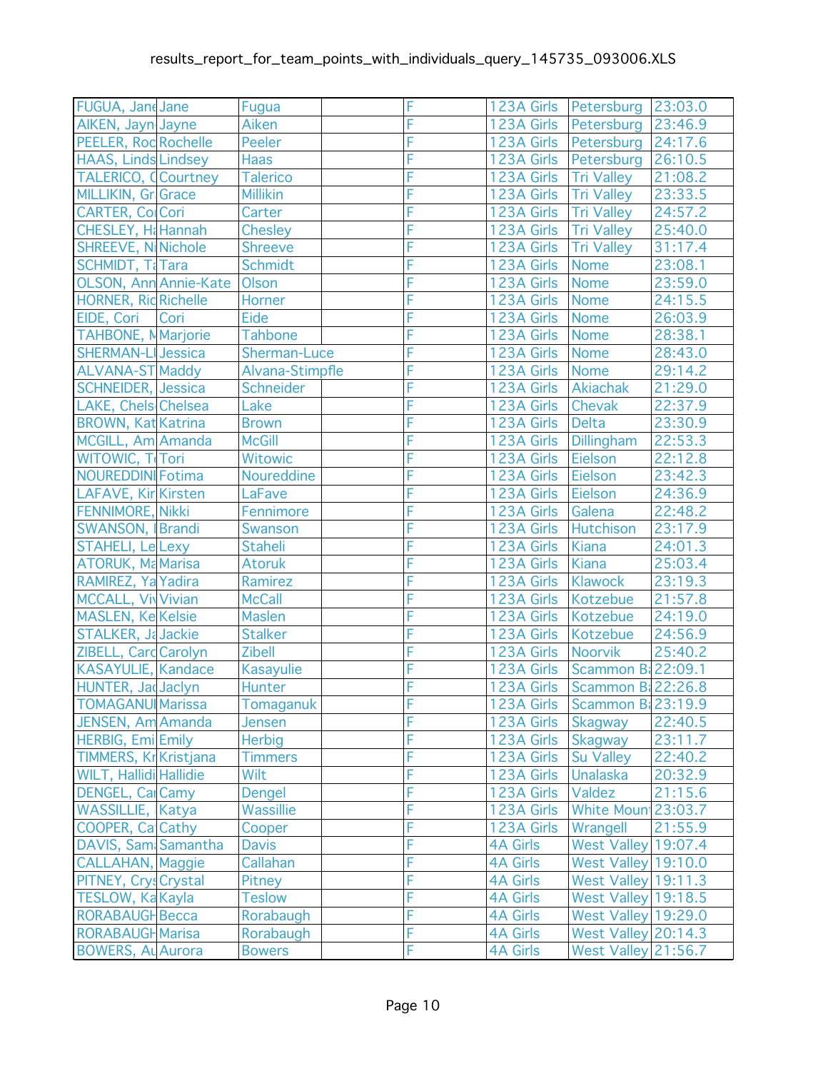| FUGUA, Jane Jane              | Fugua             | F |                      | 123A Girls   Petersburg      | 23:03.0 |
|-------------------------------|-------------------|---|----------------------|------------------------------|---------|
| AlKEN, Jayn Jayne             | Aiken             | F | 123A Girls           | Petersburg                   | 23:46.9 |
| PEELER, Rod Rochelle          | Peeler            | F | 123A Girls           | Petersburg                   | 24:17.6 |
| <b>HAAS, Linds Lindsey</b>    | <b>Haas</b>       | F | 123A Girls           | Petersburg                   | 26:10.5 |
| <b>TALERICO, Courtney</b>     | <b>Talerico</b>   | F | 123A Girls           | <b>Tri Valley</b>            | 21:08.2 |
| MILLIKIN, Gr Grace            | <b>Millikin</b>   | F | 123A Girls           | <b>Tri Valley</b>            | 23:33.5 |
| <b>CARTER, ColCori</b>        | Carter            | F | 123A Girls           | Tri Valley                   | 24:57.2 |
| CHESLEY, H&Hannah             | <b>Chesley</b>    | F | 123A Girls           | <b>Tri Valley</b>            | 25:40.0 |
| <b>SHREEVE, NiNichole</b>     | <b>Shreeve</b>    | F | 123A Girls           | <b>Tri Valley</b>            | 31:17.4 |
| <b>SCHMIDT, T&amp;Tara</b>    | <b>Schmidt</b>    | F | 123A Girls           | <b>Nome</b>                  | 23:08.1 |
| OLSON, Ann Annie-Kate         | Olson             | F | 123A Girls           | <b>Nome</b>                  | 23:59.0 |
| <b>HORNER, Rid Richelle</b>   | Horner            | F | 123A Girls           | Nome                         | 24:15.5 |
| EIDE, Cori<br>Cori            | Eide              | F | 123A Girls           | Nome                         | 26:03.9 |
| <b>TAHBONE, MMarjorie</b>     | <b>Tahbone</b>    | F | 123A Girls           | <b>Nome</b>                  | 28:38.1 |
| <b>SHERMAN-LI Jessica</b>     | Sherman-Luce      | F | 123A Girls           | Nome                         | 28:43.0 |
| <b>ALVANA-ST Maddy</b>        | Alvana-Stimpfle   | F | 123A Girls Nome      |                              | 29:14.2 |
| <b>SCHNEIDER, Jessica</b>     | Schneider         | F | 123A Girls           | Akiachak                     | 21:29.0 |
| LAKE, Chels Chelsea           | Lake              | F | 123A Girls           | Chevak                       | 22:37.9 |
| <b>BROWN, Kat Katrina</b>     | <b>Brown</b>      | F | 123A Girls           | <b>Delta</b>                 | 23:30.9 |
| MCGILL, Am Amanda             | <b>McGill</b>     | F | 123A Girls           | <b>Dillingham</b>            | 22:53.3 |
| WITOWIC, T Tori               | <b>Witowic</b>    | F | 123A Girls           | Eielson                      | 22:12.8 |
| <b>NOUREDDINI Fotima</b>      | <b>Noureddine</b> | F | 123A Girls           | Eielson                      | 23:42.3 |
| LAFAVE, Kir Kirsten           | LaFave            | F | 123A Girls           | Eielson                      | 24:36.9 |
| <b>FENNIMORE, Nikki</b>       | Fennimore         | F | 123A Girls           | Galena                       | 22:48.2 |
| SWANSON, Brandi               | Swanson           | F | 123A Girls Hutchison |                              | 23:17.9 |
| <b>STAHELI, Le Lexy</b>       | <b>Staheli</b>    | F | 123A Girls           | <b>Kiana</b>                 | 24:01.3 |
| <b>ATORUK, Ma Marisa</b>      | <b>Atoruk</b>     | F | 123A Girls           | Kiana                        | 25:03.4 |
| RAMIREZ, Ya Yadira            | Ramirez           | F | 123A Girls           | Klawock                      | 23:19.3 |
| <b>MCCALL, VivVivian</b>      | <b>McCall</b>     | F | 123A Girls           | Kotzebue                     | 21:57.8 |
| <b>MASLEN, Ke Kelsie</b>      | <b>Maslen</b>     | F | 123A Girls           | Kotzebue                     | 24:19.0 |
| STALKER, Ja Jackie            | <b>Stalker</b>    | F | 123A Girls           | Kotzebue                     | 24:56.9 |
| ZIBELL, Card Carolyn          | <b>Zibell</b>     | F | 123A Girls           | Noorvik                      | 25:40.2 |
| <b>KASAYULIE, Kandace</b>     | <b>Kasayulie</b>  | F | 123A Girls           | Scammon B: 22:09.1           |         |
| HUNTER, Jac Jaclyn            | Hunter            | F | 123A Girls           | Scammon B 22:26.8            |         |
| <b>TOMAGANU</b> Marissa       | Tomaganuk         | F |                      | 123A Girls Scammon B 23:19.9 |         |
| JENSEN, Am Amanda             | Jensen            | F | 123A Girls           | <b>Skagway</b>               | 22:40.5 |
| <b>HERBIG, EmilEmily</b>      | <b>Herbig</b>     | F | 123A Girls           | Skagway                      | 23:11.7 |
| <b>TIMMERS, Kr</b> Kristjana  | <b>Timmers</b>    | F | 123A Girls           | Su Valley                    | 22:40.2 |
| <b>WILT, Hallidi Hallidie</b> | <b>Wilt</b>       | F | 123A Girls           | <b>Unalaska</b>              | 20:32.9 |
| <b>DENGEL, Cal Camy</b>       | Dengel            | F | 123A Girls           | Valdez                       | 21:15.6 |
| WASSILLIE, Katya              | Wassillie         | F | 123A Girls           | White Moun 23:03.7           |         |
| COOPER, Ca Cathy              | Cooper            | F | 123A Girls           | Wrangell                     | 21:55.9 |
| DAVIS, Sam Samantha           | <b>Davis</b>      | F | <b>4A Girls</b>      | <b>West Valley 19:07.4</b>   |         |
| CALLAHAN, Maggie              | Callahan          | F | <b>4A Girls</b>      | West Valley 19:10.0          |         |
| PITNEY, Cryscrystal           | Pitney            | F | <b>4A Girls</b>      | West Valley 19:11.3          |         |
| <b>TESLOW, KaKayla</b>        | <b>Teslow</b>     | F | <b>4A Girls</b>      | <b>West Valley 19:18.5</b>   |         |
| RORABAUGH Becca               | Rorabaugh         | F | <b>4A Girls</b>      | <b>West Valley 19:29.0</b>   |         |
| <b>RORABAUGH Marisa</b>       | Rorabaugh         | F | <b>4A Girls</b>      | West Valley $20:14.3$        |         |
| <b>BOWERS, AL Aurora</b>      | <b>Bowers</b>     | F | <b>4A Girls</b>      | West Valley 21:56.7          |         |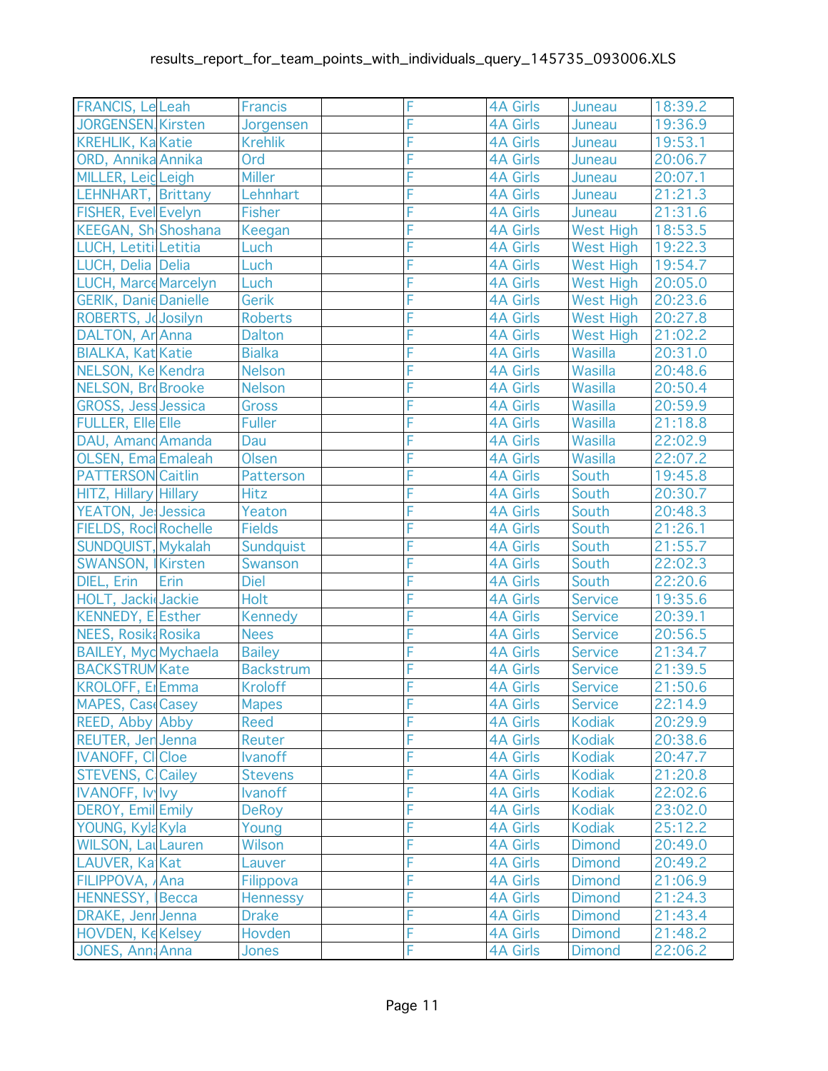| FRANCIS, Le Leah             | <b>Francis</b>   | F | <b>4A Girls</b> | Juneau           | 18:39.2 |
|------------------------------|------------------|---|-----------------|------------------|---------|
| JORGENSEN, Kirsten           | Jorgensen        | F | <b>4A Girls</b> | Juneau           | 19:36.9 |
| <b>KREHLIK, Ka Katie</b>     | <b>Krehlik</b>   | F | <b>4A Girls</b> | Juneau           | 19:53.1 |
| ORD, Annika Annika           | Ord              | F | <b>4A Girls</b> | Juneau           | 20:06.7 |
| MILLER, Leig Leigh           | <b>Miller</b>    | F | <b>4A Girls</b> | Juneau           | 20:07.1 |
| LEHNHART, Brittany           | Lehnhart         | F | <b>4A Girls</b> | Juneau           | 21:21.3 |
| FISHER, Evel Evelyn          | <b>Fisher</b>    | F | <b>4A Girls</b> | Juneau           | 21:31.6 |
| KEEGAN, Sh Shoshana          | Keegan           | F | <b>4A Girls</b> | <b>West High</b> | 18:53.5 |
| LUCH, Letiti Letitia         | Luch             | F | <b>4A Girls</b> | <b>West High</b> | 19:22.3 |
| LUCH, Delia Delia            | Luch             | F | <b>4A Girls</b> | <b>West High</b> | 19:54.7 |
| LUCH, Marce Marcelyn         | Luch             | F | <b>4A Girls</b> | <b>West High</b> | 20:05.0 |
| <b>GERIK, Danie Danielle</b> | Gerik            | F | <b>4A Girls</b> | <b>West High</b> | 20:23.6 |
| ROBERTS, Josilyn             | <b>Roberts</b>   | F | <b>4A Girls</b> | West High        | 20:27.8 |
| DALTON, Ar Anna              | <b>Dalton</b>    | F | <b>4A Girls</b> | West High        | 21:02.2 |
| <b>BIALKA, Kat Katie</b>     | <b>Bialka</b>    | F | <b>4A Girls</b> | Wasilla          | 20:31.0 |
| NELSON, Ke Kendra            | Nelson           | F | <b>4A Girls</b> | Wasilla          | 20:48.6 |
| <b>NELSON, BrdBrooke</b>     | Nelson           | F | <b>4A Girls</b> | Wasilla          | 20:50.4 |
| <b>GROSS, Jess Jessica</b>   | <b>Gross</b>     | F | <b>4A Girls</b> | Wasilla          | 20:59.9 |
| <b>FULLER, Elle Elle</b>     | <b>Fuller</b>    | F | <b>4A Girls</b> | Wasilla          | 21:18.8 |
| DAU, Amand Amanda            | Dau              | F | <b>4A Girls</b> | Wasilla          | 22:02.9 |
| <b>OLSEN, Ema Emaleah</b>    | Olsen            | F | <b>4A Girls</b> | Wasilla          | 22:07.2 |
| <b>PATTERSON Caitlin</b>     | Patterson        | F | <b>4A Girls</b> | South            | 19:45.8 |
| HITZ, Hillary Hillary        | <b>Hitz</b>      | F | <b>4A Girls</b> | South            | 20:30.7 |
| YEATON, Je Jessica           | Yeaton           | F | <b>4A Girls</b> | South            | 20:48.3 |
| FIELDS, Rocl Rochelle        | <b>Fields</b>    | F | <b>4A Girls</b> | South            | 21:26.1 |
| SUNDQUIST, Mykalah           | Sundquist        | F | <b>4A Girls</b> | South            | 21:55.7 |
| SWANSON, Kirsten             | Swanson          | F | <b>4A Girls</b> | South            | 22:02.3 |
| DIEL, Erin<br>Erin           | <b>Diel</b>      | F | <b>4A Girls</b> | South            | 22:20.6 |
| HOLT, Jacki Jackie           | Holt             | F | <b>4A Girls</b> | <b>Service</b>   | 19:35.6 |
| KENNEDY, E Esther            | <b>Kennedy</b>   | F | <b>4A Girls</b> | <b>Service</b>   | 20:39.1 |
| <b>NEES, Rosik: Rosika</b>   | <b>Nees</b>      | F | <b>4A Girls</b> | <b>Service</b>   | 20:56.5 |
| <b>BAILEY, Myd Mychaela</b>  | <b>Bailey</b>    | F | <b>4A Girls</b> | <b>Service</b>   | 21:34.7 |
| <b>BACKSTRUM Kate</b>        | <b>Backstrum</b> | F | <b>4A Girls</b> | <b>Service</b>   | 21:39.5 |
| KROLOFF, E Emma              | <b>Kroloff</b>   | F | <b>4A Girls</b> | Service          | 21:50.6 |
| MAPES, CaseCasey             | <b>Mapes</b>     | F | <b>4A Girls</b> | <b>Service</b>   | 22:14.9 |
| <b>REED, Abby Abby</b>       | Reed             | F | <b>4A Girls</b> | <b>Kodiak</b>    | 20:29.9 |
| <b>REUTER, Jen Jenna</b>     | Reuter           | F | <b>4A Girls</b> | <b>Kodiak</b>    | 20:38.6 |
| <b>IVANOFF, CICloe</b>       | <b>Ivanoff</b>   | F | <b>4A Girls</b> | <b>Kodiak</b>    | 20:47.7 |
| <b>STEVENS, C Cailey</b>     | <b>Stevens</b>   | F | <b>4A Girls</b> | <b>Kodiak</b>    | 21:20.8 |
| <b>IVANOFF, Iv Ivy</b>       | <b>Ivanoff</b>   | F | <b>4A Girls</b> | <b>Kodiak</b>    | 22:02.6 |
| DEROY, Emil Emily            | <b>DeRoy</b>     | F | <b>4A Girls</b> | <b>Kodiak</b>    | 23:02.0 |
| YOUNG, Kyla Kyla             | Young            | F | <b>4A Girls</b> | <b>Kodiak</b>    | 25:12.2 |
| <b>WILSON, Lal Lauren</b>    | Wilson           | F | <b>4A Girls</b> | <b>Dimond</b>    | 20:49.0 |
| LAUVER, Ka Kat               | Lauver           | F | <b>4A Girls</b> | <b>Dimond</b>    | 20:49.2 |
| FILIPPOVA, Ana               | Filippova        | F | <b>4A Girls</b> | <b>Dimond</b>    | 21:06.9 |
| HENNESSY, Becca              | <b>Hennessy</b>  | F | <b>4A Girls</b> | <b>Dimond</b>    | 21:24.3 |
| DRAKE, Jenr Jenna            | <b>Drake</b>     | F | <b>4A Girls</b> | <b>Dimond</b>    | 21:43.4 |
| <b>HOVDEN, Ke Kelsey</b>     | Hovden           | F | <b>4A Girls</b> | <b>Dimond</b>    | 21:48.2 |
| JONES, Ann: Anna             | <b>Jones</b>     | F | <b>4A Girls</b> | <b>Dimond</b>    | 22:06.2 |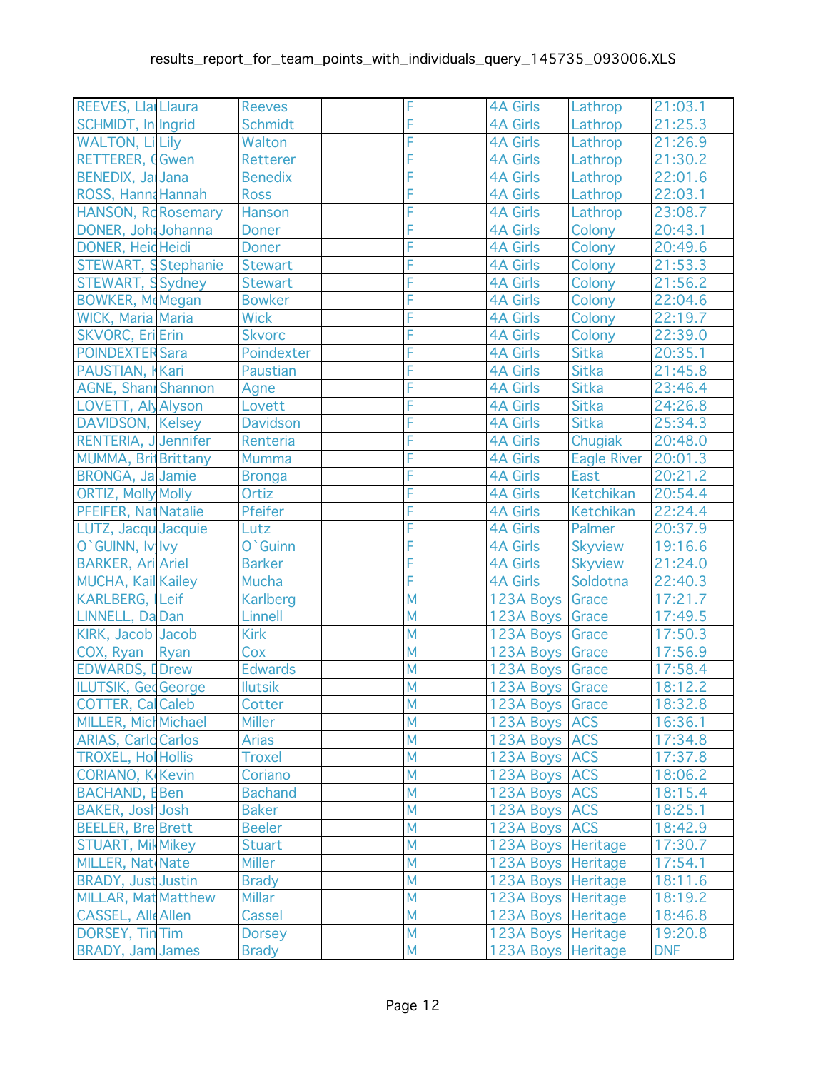| REEVES, Lla Llaura         | <b>Reeves</b>   | F              | <b>4A Girls</b>      | Lathrop        | 21:03.1    |
|----------------------------|-----------------|----------------|----------------------|----------------|------------|
| SCHMIDT, In Ingrid         | <b>Schmidt</b>  | F              | <b>4A Girls</b>      | Lathrop        | 21:25.3    |
| <b>WALTON, Li Lily</b>     | Walton          | F              | <b>4A Girls</b>      | Lathrop        | 21:26.9    |
| <b>RETTERER, CGwen</b>     | Retterer        | F              | <b>4A Girls</b>      | Lathrop        | 21:30.2    |
| BENEDIX, Ja Jana           | <b>Benedix</b>  | F              | <b>4A Girls</b>      | Lathrop        | 22:01.6    |
| ROSS, Hanna Hannah         | <b>Ross</b>     | F              | <b>4A Girls</b>      | Lathrop        | 22:03.1    |
| HANSON, Rd Rosemary        | Hanson          | F              | <b>4A Girls</b>      | Lathrop        | 23:08.7    |
| DONER, Joh; Johanna        | <b>Doner</b>    | F              | <b>4A Girls</b>      | Colony         | 20:43.1    |
| DONER, Heid Heidi          | <b>Doner</b>    | F              | <b>4A Girls</b>      | Colony         | 20:49.6    |
| STEWART, SStephanie        | <b>Stewart</b>  | F              | <b>4A Girls</b>      | Colony         | 21:53.3    |
| STEWART, SSydney           | <b>Stewart</b>  | F              | <b>4A Girls</b>      | Colony         | 21:56.2    |
| <b>BOWKER, MeMegan</b>     | <b>Bowker</b>   | F              | <b>4A Girls</b>      | Colony         | 22:04.6    |
| WICK, Maria Maria          | <b>Wick</b>     | F              | <b>4A Girls</b>      | Colony         | 22:19.7    |
| <b>SKVORC, Eri</b> Erin    | <b>Skvorc</b>   | F              | <b>4A Girls</b>      | Colony         | 22:39.0    |
| <b>POINDEXTER Sara</b>     | Poindexter      | F              | <b>4A Girls</b>      | <b>Sitka</b>   | 20:35.1    |
| PAUSTIAN, Kari             | Paustian        | F              | <b>4A Girls</b>      | <b>Sitka</b>   | 21:45.8    |
| <b>AGNE, Shani Shannon</b> | Agne            | F              | <b>4A Girls</b>      | <b>Sitka</b>   | 23:46.4    |
| LOVETT, Aly Alyson         | Lovett          | F              | <b>4A Girls</b>      | Sitka          | 24:26.8    |
| DAVIDSON, Kelsey           | <b>Davidson</b> | F              | <b>4A Girls</b>      | <b>Sitka</b>   | 25:34.3    |
| RENTERIA, J Jennifer       | Renteria        | F              | <b>4A Girls</b>      | Chugiak        | 20:48.0    |
| MUMMA, BritBrittany        | Mumma           | F              | <b>4A Girls</b>      | Eagle River    | 20:01.3    |
| <b>BRONGA, Ja Jamie</b>    | <b>Bronga</b>   | F              | <b>4A Girls</b>      | East           | 20:21.2    |
| <b>ORTIZ, Molly Molly</b>  | Ortiz           | Ē              | <b>4A Girls</b>      | Ketchikan      | 20:54.4    |
| PFEIFER, Nat Natalie       | Pfeifer         | F              | <b>4A Girls</b>      | Ketchikan      | 22:24.4    |
| LUTZ, Jacqu Jacquie        | Lutz            | F              | <b>4A Girls</b>      | Palmer         | 20:37.9    |
| O`GUINN, Iv Ivy            | O`Guinn         | F              | <b>4A Girls</b>      | <b>Skyview</b> | 19:16.6    |
| <b>BARKER, Ari Ariel</b>   | <b>Barker</b>   | F              | <b>4A Girls</b>      | <b>Skyview</b> | 21:24.0    |
| <b>MUCHA, Kail Kailey</b>  | Mucha           | F              | <b>4A Girls</b>      | Soldotna       | 22:40.3    |
| KARLBERG, Leif             | <b>Karlberg</b> | M              | 123A Boys Grace      |                | 17:21.7    |
| LINNELL, Da Dan            | Linnell         | M              | 123A Boys Grace      |                | 17:49.5    |
| KIRK, Jacob Jacob          | <b>Kirk</b>     | M              | 123A Boys Grace      |                | 17:50.3    |
| COX, Ryan<br>Ryan          | Cox             | M              | 123A Boys Grace      |                | 17:56.9    |
| <b>EDWARDS, IDrew</b>      | <b>Edwards</b>  | M              | 123A Boys Grace      |                | 17:58.4    |
| ILUTSIK, Ged George        | <b>Ilutsik</b>  | M              | 123A Boys Grace      |                | 18:12.2    |
| <b>COTTER, Cal Caleb</b>   | Cotter          | $\overline{M}$ | 123A Boys Grace      |                | 18:32.8    |
| MILLER, Micl Michael       | <b>Miller</b>   | M              | 123A Boys ACS        |                | 16:36.1    |
| <b>ARIAS, Carld Carlos</b> | <b>Arias</b>    | M              | 123A Boys ACS        |                | 17:34.8    |
| <b>TROXEL, HolHollis</b>   | <b>Troxel</b>   | M              | 123A Boys ACS        |                | 17:37.8    |
| <b>CORIANO, K Kevin</b>    | Coriano         | M              | 123A Boys ACS        |                | 18:06.2    |
| BACHAND, EBen              | <b>Bachand</b>  | M              | 123A Boys ACS        |                | 18:15.4    |
| <b>BAKER, Josh Josh</b>    | <b>Baker</b>    | M              | 123A Boys ACS        |                | 18:25.1    |
| <b>BEELER, Bre Brett</b>   | <b>Beeler</b>   | M              | 123A Boys ACS        |                | 18:42.9    |
| <b>STUART, Mill Mikey</b>  | <b>Stuart</b>   | M              | 123A Boys Heritage   |                | 17:30.7    |
| MILLER, Nat Nate           | <b>Miller</b>   | M              | 123A Boys Heritage   |                | 17:54.1    |
| <b>BRADY, Just Justin</b>  | <b>Brady</b>    | M              | 123A Boys   Heritage |                | 18:11.6    |
| <b>MILLAR, Mat Matthew</b> | <b>Millar</b>   | M              | 123A Boys   Heritage |                | 18:19.2    |
| <b>CASSEL, Alle Allen</b>  | Cassel          | M              | 123A Boys   Heritage |                | 18:46.8    |
| DORSEY, Tin Tim            | <b>Dorsey</b>   | M              | 123A Boys   Heritage |                | 19:20.8    |
| <b>BRADY, Jam James</b>    | <b>Brady</b>    | M              | 123A Boys   Heritage |                | <b>DNF</b> |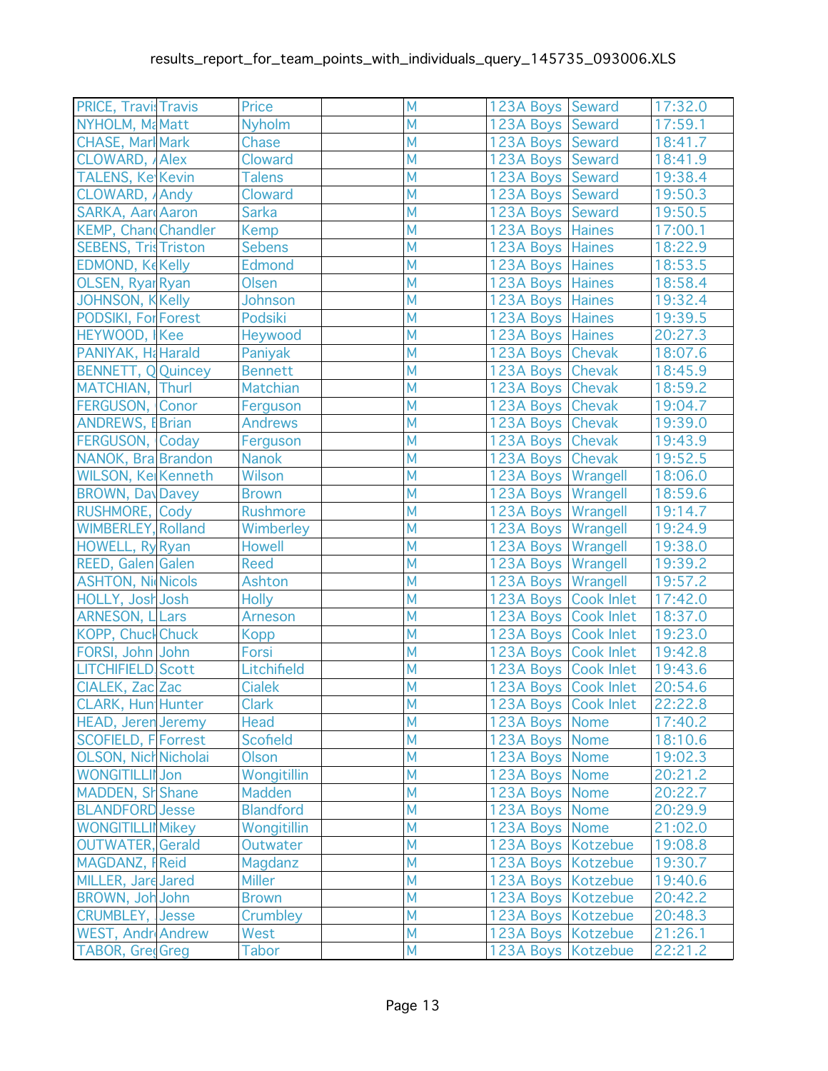| <b>PRICE, Travis Travis</b> | Price            | M                       | 123A Boys Seward     |                      | 17:32.0 |
|-----------------------------|------------------|-------------------------|----------------------|----------------------|---------|
| NYHOLM, MaMatt              | <b>Nyholm</b>    | M                       | 123A Boys Seward     |                      | 17:59.1 |
| <b>CHASE, Marl Mark</b>     | Chase            | M                       | 123A Boys Seward     |                      | 18:41.7 |
| CLOWARD, Alex               | Cloward          | M                       | 123A Boys Seward     |                      | 18:41.9 |
| <b>TALENS, Ke Kevin</b>     | <b>Talens</b>    | M                       | 123A Boys Seward     |                      | 19:38.4 |
| CLOWARD, Andy               | Cloward          | M                       | 123A Boys Seward     |                      | 19:50.3 |
| <b>SARKA, AardAaron</b>     | <b>Sarka</b>     | M                       | 123A Boys Seward     |                      | 19:50.5 |
| <b>KEMP, ChandChandler</b>  | <b>Kemp</b>      | M                       | 123A Boys Haines     |                      | 17:00.1 |
| <b>SEBENS, Tris Triston</b> | <b>Sebens</b>    | M                       | 123A Boys Haines     |                      | 18:22.9 |
| <b>EDMOND, KeKelly</b>      | Edmond           | M                       | 123A Boys Haines     |                      | 18:53.5 |
| OLSEN, Ryar Ryan            | Olsen            | M                       | 123A Boys Haines     |                      | 18:58.4 |
| JOHNSON, KKelly             | Johnson          | M                       | 123A Boys Haines     |                      | 19:32.4 |
| <b>PODSIKI, For Forest</b>  | Podsiki          | M                       | 123A Boys Haines     |                      | 19:39.5 |
| HEYWOOD, Kee                | Heywood          | M                       | 123A Boys Haines     |                      | 20:27.3 |
| PANIYAK, Ha Harald          | Paniyak          | M                       | 123A Boys Chevak     |                      | 18:07.6 |
| <b>BENNETT, Q Quincey</b>   | <b>Bennett</b>   | M                       | 123A Boys Chevak     |                      | 18:45.9 |
| MATCHIAN, Thurl             | Matchian         | M                       | 123A Boys Chevak     |                      | 18:59.2 |
| FERGUSON, Conor             | Ferguson         | M                       | 123A Boys Chevak     |                      | 19:04.7 |
| <b>ANDREWS, EBrian</b>      | <b>Andrews</b>   | M                       | 123A Boys Chevak     |                      | 19:39.0 |
| FERGUSON, Coday             | Ferguson         | M                       | 123A Boys Chevak     |                      | 19:43.9 |
| NANOK, Bra Brandon          | Nanok            | M                       | 123A Boys Chevak     |                      | 19:52.5 |
| WILSON, Ke Kenneth          | Wilson           | M                       | 123A Boys   Wrangell |                      | 18:06.0 |
| <b>BROWN, DavDavey</b>      | <b>Brown</b>     | M                       | 123A Boys   Wrangell |                      | 18:59.6 |
| <b>RUSHMORE, Cody</b>       | <b>Rushmore</b>  | M                       | 123A Boys Wrangell   |                      | 19:14.7 |
| WIMBERLEY, Rolland          | Wimberley        | M                       | 123A Boys Wrangell   |                      | 19:24.9 |
| HOWELL, Ry Ryan             | <b>Howell</b>    | M                       | 123A Boys Wrangell   |                      | 19:38.0 |
| <b>REED, Galen Galen</b>    | Reed             | M                       | 123A Boys Wrangell   |                      | 19:39.2 |
| <b>ASHTON, NicNicols</b>    | Ashton           | M                       | 123A Boys Wrangell   |                      | 19:57.2 |
| HOLLY, Josh Josh            | <b>Holly</b>     | M                       | 123A Boys Cook Inlet |                      | 17:42.0 |
| ARNESON, LLars              | <b>Arneson</b>   | M                       | 123A Boys Cook Inlet |                      | 18:37.0 |
| <b>KOPP, Chuck Chuck</b>    | <b>Kopp</b>      | M                       | 123A Boys Cook Inlet |                      | 19:23.0 |
| FORSI, John John            | Forsi            | M                       | 123A Boys Cook Inlet |                      | 19:42.8 |
| LITCHIFIELD Scott           | Litchifield      | M                       | 123A Boys Cook Inlet |                      | 19:43.6 |
| CIALEK, Zac Zac             | <b>Cialek</b>    | M                       | 123A Boys Cook Inlet |                      | 20:54.6 |
| CLARK, Hun Hunter           | <b>Clark</b>     | $\overline{\mathsf{M}}$ |                      | 123A Boys Cook Inlet | 22:22.8 |
| <b>HEAD, Jeren Jeremy</b>   | Head             | M                       | 123A Boys Nome       |                      | 17:40.2 |
| <b>SCOFIELD, F Forrest</b>  | <b>Scofield</b>  | M                       | 123A Boys Nome       |                      | 18:10.6 |
| OLSON, Nich Nicholai        | <b>Olson</b>     | M                       | 123A Boys Nome       |                      | 19:02.3 |
| <b>WONGITILLII</b> Jon      | Wongitillin      | M                       | 123A Boys Nome       |                      | 20:21.2 |
| MADDEN, SH Shane            | Madden           | M                       | 123A Boys Nome       |                      | 20:22.7 |
| <b>BLANDFORD Jesse</b>      | <b>Blandford</b> | M                       | 123A Boys Nome       |                      | 20:29.9 |
| <b>WONGITILLII Mikey</b>    | Wongitillin      | M                       | 123A Boys Nome       |                      | 21:02.0 |
| OUTWATER, Gerald            | Outwater         | M                       | 123A Boys   Kotzebue |                      | 19:08.8 |
| <b>MAGDANZ, FReid</b>       | Magdanz          | M                       | 123A Boys   Kotzebue |                      | 19:30.7 |
| MILLER, Jare Jared          | <b>Miller</b>    | M                       | 123A Boys   Kotzebue |                      | 19:40.6 |
| BROWN, Joh John             | <b>Brown</b>     | M                       | 123A Boys   Kotzebue |                      | 20:42.2 |
| <b>CRUMBLEY, Jesse</b>      | Crumbley         | M                       | 123A Boys   Kotzebue |                      | 20:48.3 |
| <b>WEST, Andr Andrew</b>    | <b>West</b>      | M                       | 123A Boys   Kotzebue |                      | 21:26.1 |
| <b>TABOR, GredGreg</b>      | Tabor            | M                       | 123A Boys   Kotzebue |                      | 22:21.2 |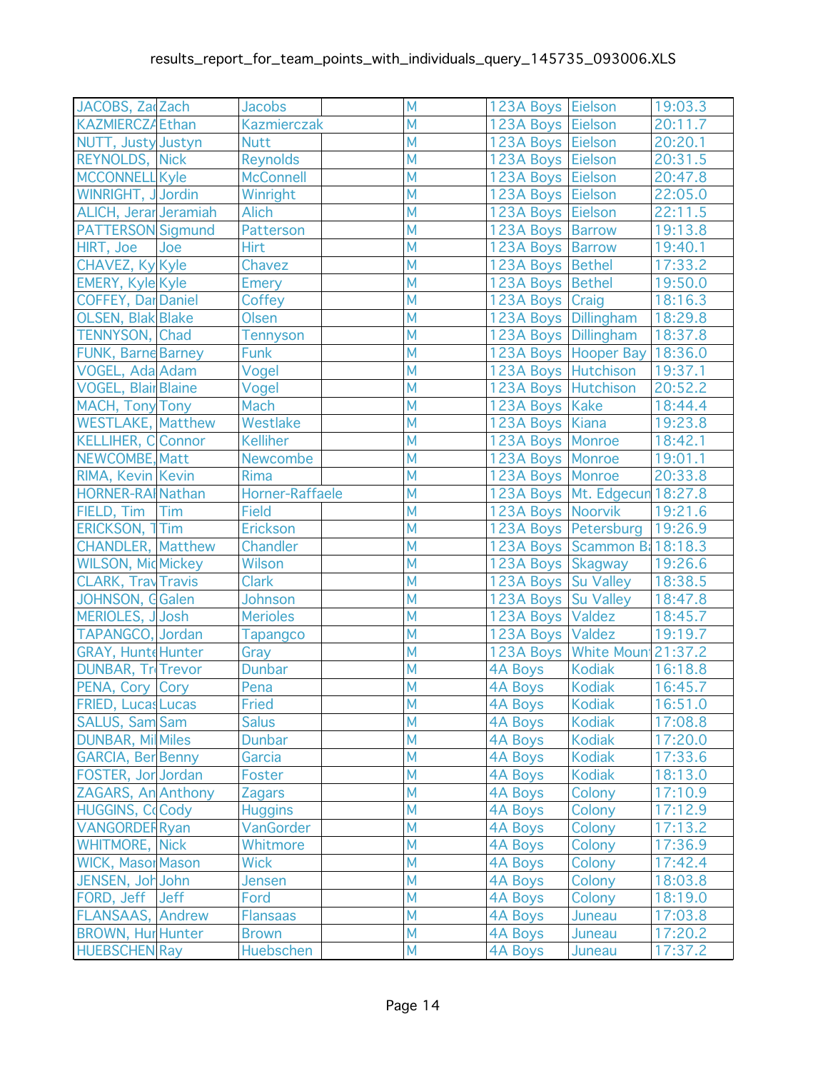| JACOBS, Za Zach            |     | <b>Jacobs</b>      | M              | 123A Boys Eielson    |                                  | 19:03.3 |
|----------------------------|-----|--------------------|----------------|----------------------|----------------------------------|---------|
| <b>KAZMIERCZĄ Ethan</b>    |     | <b>Kazmierczak</b> | M              | 123A Boys Eielson    |                                  | 20:11.7 |
| NUTT, Justy Justyn         |     | <b>Nutt</b>        | M              | 123A Boys Eielson    |                                  | 20:20.1 |
| <b>REYNOLDS, Nick</b>      |     | <b>Reynolds</b>    | M              | 123A Boys Eielson    |                                  | 20:31.5 |
| <b>MCCONNELL Kyle</b>      |     | <b>McConnell</b>   | M              | 123A Boys Eielson    |                                  | 20:47.8 |
| WINRIGHT, JJordin          |     | Winright           | M              | 123A Boys Eielson    |                                  | 22:05.0 |
| ALICH, Jerar Jeramiah      |     | <b>Alich</b>       | M              | 123A Boys Eielson    |                                  | 22:11.5 |
| <b>PATTERSON Sigmund</b>   |     | Patterson          | M              | 123A Boys Barrow     |                                  | 19:13.8 |
| HIRT, Joe                  | Joe | Hirt               | M              | 123A Boys Barrow     |                                  | 19:40.1 |
| CHAVEZ, Ky Kyle            |     | Chavez             | M              | 123A Boys Bethel     |                                  | 17:33.2 |
| <b>EMERY, Kyle Kyle</b>    |     | <b>Emery</b>       | M              | 123A Boys Bethel     |                                  | 19:50.0 |
| <b>COFFEY, Dar Daniel</b>  |     | Coffey             | M              | 123A Boys Craig      |                                  | 18:16.3 |
| <b>OLSEN, Blak Blake</b>   |     | Olsen              | M              | 123A Boys Dillingham |                                  | 18:29.8 |
| TENNYSON, Chad             |     | Tennyson           | M              | 123A Boys Dillingham |                                  | 18:37.8 |
| <b>FUNK, Barne Barney</b>  |     | <b>Funk</b>        | M              |                      | 123A Boys   Hooper Bay   18:36.0 |         |
| VOGEL, Ada Adam            |     | Vogel              | M              | 123A Boys Hutchison  |                                  | 19:37.1 |
| <b>VOGEL, Blair Blaine</b> |     | Vogel              | M              | 123A Boys Hutchison  |                                  | 20:52.2 |
| MACH, Tony Tony            |     | Mach               | M              | 123A Boys   Kake     |                                  | 18:44.4 |
| <b>WESTLAKE, Matthew</b>   |     | Westlake           | M              | 123A Boys   Kiana    |                                  | 19:23.8 |
| <b>KELLIHER, C</b> Connor  |     | <b>Kelliher</b>    | M              | 123A Boys   Monroe   |                                  | 18:42.1 |
| NEWCOMBE, Matt             |     | Newcombe           | M              | 123A Boys   Monroe   |                                  | 19:01.1 |
| RIMA, Kevin Kevin          |     | <b>Rima</b>        | M              | 123A Boys Monroe     |                                  | 20:33.8 |
| HORNER-RAINathan           |     | Horner-Raffaele    | M              |                      | 123A Boys   Mt. Edgecun 18:27.8  |         |
| FIELD, Tim Tim             |     | <b>Field</b>       | M              | 123A Boys Noorvik    |                                  | 19:21.6 |
| ERICKSON, 1Tim             |     | Erickson           | M              |                      | 123A Boys Petersburg 19:26.9     |         |
| <b>CHANDLER, Matthew</b>   |     | Chandler           | M              |                      | 123A Boys Scammon B: 18:18.3     |         |
| <b>WILSON, Mic Mickey</b>  |     | Wilson             | M              | 123A Boys Skagway    |                                  | 19:26.6 |
| <b>CLARK, Tray Travis</b>  |     | <b>Clark</b>       | M              | 123A Boys Su Valley  |                                  | 18:38.5 |
| JOHNSON, G Galen           |     | Johnson            | M              | 123A Boys Su Valley  |                                  | 18:47.8 |
| MERIOLES, J Josh           |     | <b>Merioles</b>    | M              | 123A Boys Valdez     |                                  | 18:45.7 |
| TAPANGCO, Jordan           |     | <b>Tapangco</b>    | M              | 123A Boys Valdez     |                                  | 19:19.7 |
| <b>GRAY, Hunte Hunter</b>  |     | Gray               | M              |                      | 123A Boys   White Moun 21:37.2   |         |
| <b>DUNBAR, Tri Trevor</b>  |     | <b>Dunbar</b>      | M              | <b>4A Boys</b>       | Kodiak                           | 16:18.8 |
| PENA, Cory Cory            |     | Pena               | M              | 4A Boys              | Kodiak                           | 16:45.7 |
| FRIED, Lucas Lucas         |     | Fried              | $\overline{M}$ | 4A Boys Kodiak       |                                  | 16:51.0 |
| <b>SALUS, Sam Sam</b>      |     | <b>Salus</b>       | M              | <b>4A Boys</b>       | <b>Kodiak</b>                    | 17:08.8 |
| <b>DUNBAR, Mil Miles</b>   |     | <b>Dunbar</b>      | M              | <b>4A Boys</b>       | <b>Kodiak</b>                    | 17:20.0 |
| <b>GARCIA, Ber Benny</b>   |     | Garcia             | M              | 4A Boys              | <b>Kodiak</b>                    | 17:33.6 |
| FOSTER, Jor Jordan         |     | Foster             | M              | 4A Boys              | <b>Kodiak</b>                    | 18:13.0 |
| ZAGARS, An Anthony         |     | <b>Zagars</b>      | M              | <b>4A Boys</b>       | Colony                           | 17:10.9 |
| <b>HUGGINS, CoCody</b>     |     | <b>Huggins</b>     | M              | <b>4A Boys</b>       | Colony                           | 17:12.9 |
| <b>VANGORDER Ryan</b>      |     | VanGorder          | M              | 4A Boys              | Colony                           | 17:13.2 |
| <b>WHITMORE, Nick</b>      |     | Whitmore           | M              | <b>4A Boys</b>       | Colony                           | 17:36.9 |
| <b>WICK, Masor Mason</b>   |     | <b>Wick</b>        | M              | 4A Boys              | Colony                           | 17:42.4 |
| JENSEN, Joh John           |     | Jensen             | M              | <b>4A Boys</b>       | Colony                           | 18:03.8 |
| FORD, Jeff Jeff            |     | Ford               | M              | <b>4A Boys</b>       | Colony                           | 18:19.0 |
| <b>FLANSAAS, Andrew</b>    |     | <b>Flansaas</b>    | M              | <b>4A Boys</b>       | Juneau                           | 17:03.8 |
| <b>BROWN, Hur Hunter</b>   |     | <b>Brown</b>       | M              | 4A Boys              | Juneau                           | 17:20.2 |
| <b>HUEBSCHEN Ray</b>       |     | <b>Huebschen</b>   | M              | <b>4A Boys</b>       | Juneau                           | 17:37.2 |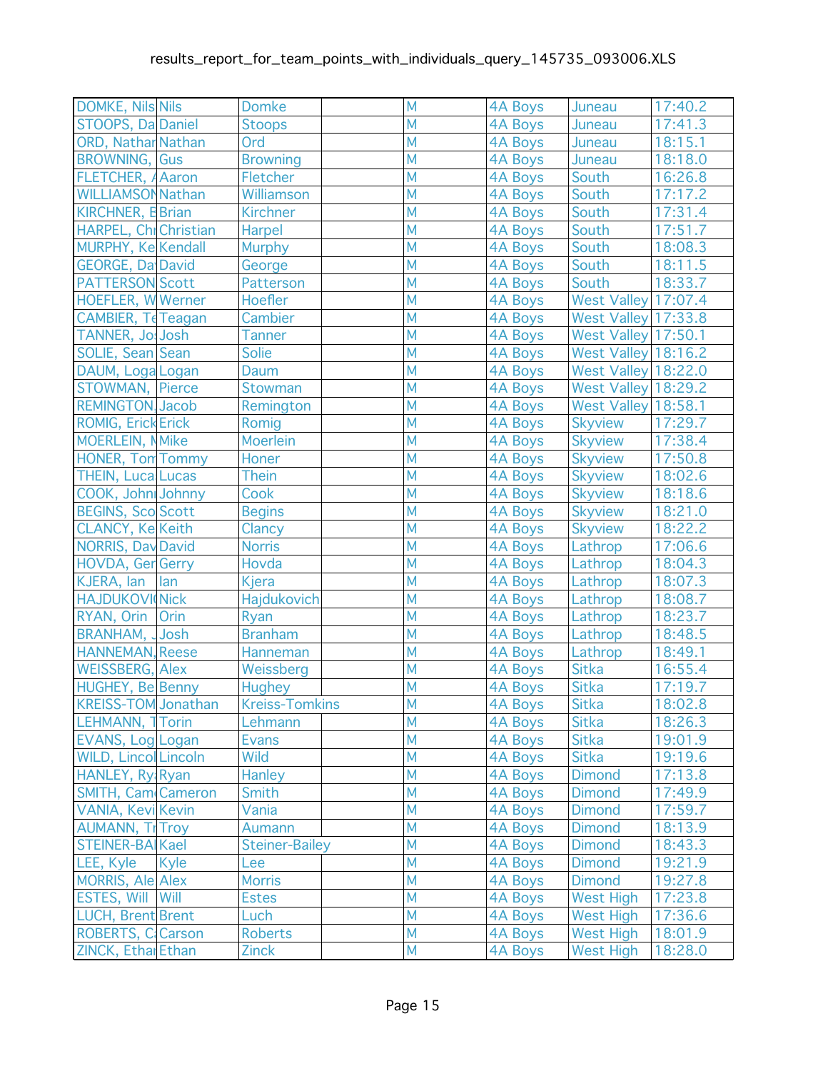| <b>DOMKE, Nils Nils</b>     |      | <b>Domke</b>          | M                       | <b>4A Boys</b> | Juneau                     | 17:40.2 |
|-----------------------------|------|-----------------------|-------------------------|----------------|----------------------------|---------|
| STOOPS, Da Daniel           |      | <b>Stoops</b>         | M                       | 4A Boys        | Juneau                     | 17:41.3 |
| <b>ORD, Nathar Nathan</b>   |      | Ord                   | M                       | <b>4A Boys</b> | Juneau                     | 18:15.1 |
| <b>BROWNING, Gus</b>        |      | <b>Browning</b>       | M                       | <b>4A Boys</b> | Juneau                     | 18:18.0 |
| FLETCHER, A Aaron           |      | Fletcher              | M                       | <b>4A Boys</b> | South                      | 16:26.8 |
| <b>WILLIAMSON Nathan</b>    |      | Williamson            | M                       | <b>4A Boys</b> | South                      | 17:17.2 |
| <b>KIRCHNER, E Brian</b>    |      | <b>Kirchner</b>       | M                       | <b>4A Boys</b> | South                      | 17:31.4 |
| HARPEL, Chi Christian       |      | Harpel                | M                       | 4A Boys        | South                      | 17:51.7 |
| MURPHY, Ke Kendall          |      | <b>Murphy</b>         | M                       | <b>4A Boys</b> | South                      | 18:08.3 |
| <b>GEORGE, Da David</b>     |      | George                | M                       | <b>4A Boys</b> | South                      | 18:11.5 |
| <b>PATTERSON Scott</b>      |      | Patterson             | M                       | 4A Boys        | South                      | 18:33.7 |
| <b>HOEFLER, WWerner</b>     |      | Hoefler               | M                       | 4A Boys        | <b>West Valley 17:07.4</b> |         |
| CAMBIER, Te Teagan          |      | Cambier               | M                       | <b>4A Boys</b> | West Valley 17:33.8        |         |
| TANNER, Jo! Josh            |      | <b>Tanner</b>         | M                       | 4A Boys        | West Valley 17:50.1        |         |
| SOLIE, Sean Sean            |      | <b>Solie</b>          | M                       | <b>4A Boys</b> | West Valley 18:16.2        |         |
| DAUM, Loga Logan            |      | Daum                  | M                       | <b>4A Boys</b> | West Valley 18:22.0        |         |
| STOWMAN, Pierce             |      | Stowman               | M                       | 4A Boys        | <b>West Valley 18:29.2</b> |         |
| <b>REMINGTON, Jacob</b>     |      | Remington             | M                       | <b>4A Boys</b> | <b>West Valley 18:58.1</b> |         |
| <b>ROMIG, Erick Erick</b>   |      | Romig                 | M                       | <b>4A Boys</b> | <b>Skyview</b>             | 17:29.7 |
| <b>MOERLEIN, NMike</b>      |      | <b>Moerlein</b>       | M                       | <b>4A Boys</b> | Skyview                    | 17:38.4 |
| <b>HONER, Ton Tommy</b>     |      | Honer                 | M                       | <b>4A Boys</b> | <b>Skyview</b>             | 17:50.8 |
| <b>THEIN, Luca Lucas</b>    |      | <b>Thein</b>          | M                       | <b>4A Boys</b> | <b>Skyview</b>             | 18:02.6 |
| COOK, John Johnny           |      | Cook                  | M                       | <b>4A Boys</b> | <b>Skyview</b>             | 18:18.6 |
| <b>BEGINS, Sco Scott</b>    |      | <b>Begins</b>         | M                       | 4A Boys        | <b>Skyview</b>             | 18:21.0 |
| <b>CLANCY, Ke Keith</b>     |      | Clancy                | M                       | 4A Boys        | <b>Skyview</b>             | 18:22.2 |
| <b>NORRIS, Day David</b>    |      | <b>Norris</b>         | M                       | 4A Boys        | Lathrop                    | 17:06.6 |
| HOVDA, Ger Gerry            |      | Hovda                 | M                       | <b>4A Boys</b> | Lathrop                    | 18:04.3 |
| KJERA, lan                  | lan  | Kjera                 | M                       | <b>4A Boys</b> | Lathrop                    | 18:07.3 |
| <b>HAJDUKOVI</b> Nick       |      | <b>Hajdukovich</b>    | M                       | <b>4A Boys</b> | Lathrop                    | 18:08.7 |
| RYAN, Orin                  | Orin | Ryan                  | M                       | <b>4A Boys</b> | Lathrop                    | 18:23.7 |
| <b>BRANHAM, JJosh</b>       |      | <b>Branham</b>        | M                       | <b>4A Boys</b> | Lathrop                    | 18:48.5 |
| <b>HANNEMAN, Reese</b>      |      | Hanneman              | M                       | 4A Boys        | Lathrop                    | 18:49.1 |
| <b>WEISSBERG, Alex</b>      |      | Weissberg             | M                       | <b>4A Boys</b> | <b>Sitka</b>               | 16:55.4 |
| <b>HUGHEY, Be Benny</b>     |      | <b>Hughey</b>         | M                       | <b>4A Boys</b> | <b>Sitka</b>               | 17:19.7 |
| KREISS-TOM Jonathan         |      | <b>Kreiss-Tomkins</b> | $\overline{\mathsf{M}}$ | 4A Boys        | Sitka                      | 18:02.8 |
| LEHMANN, 1 Torin            |      | Lehmann               | M                       | <b>4A Boys</b> | <b>Sitka</b>               | 18:26.3 |
| EVANS, Log Logan            |      | <b>Evans</b>          | M                       | <b>4A Boys</b> | <b>Sitka</b>               | 19:01.9 |
| <b>WILD, Lincol Lincoln</b> |      | <b>Wild</b>           | M                       | 4A Boys        | <b>Sitka</b>               | 19:19.6 |
| HANLEY, Ry Ryan             |      | <b>Hanley</b>         | M                       | <b>4A Boys</b> | <b>Dimond</b>              | 17:13.8 |
| SMITH, Cam Cameron          |      | Smith                 | M                       | <b>4A Boys</b> | <b>Dimond</b>              | 17:49.9 |
| <b>VANIA, Kevi Kevin</b>    |      | Vania                 | M                       | <b>4A Boys</b> | <b>Dimond</b>              | 17:59.7 |
| <b>AUMANN, Tr Troy</b>      |      | Aumann                | M                       | <b>4A Boys</b> | <b>Dimond</b>              | 18:13.9 |
| STEINER-BAIKael             |      | <b>Steiner-Bailey</b> | M                       | <b>4A Boys</b> | <b>Dimond</b>              | 18:43.3 |
| LEE, Kyle                   | Kyle | Lee                   | M                       | <b>4A Boys</b> | <b>Dimond</b>              | 19:21.9 |
| <b>MORRIS, Ale Alex</b>     |      | <b>Morris</b>         | M                       | <b>4A Boys</b> | <b>Dimond</b>              | 19:27.8 |
| <b>ESTES, Will Will</b>     |      | <b>Estes</b>          | M                       | <b>4A Boys</b> | <b>West High</b>           | 17:23.8 |
| <b>LUCH, Brent Brent</b>    |      | Luch                  | M                       | <b>4A Boys</b> | <b>West High</b>           | 17:36.6 |
| <b>ROBERTS, C. Carson</b>   |      | <b>Roberts</b>        | M                       | <b>4A Boys</b> | <b>West High</b>           | 18:01.9 |
| ZINCK, Ethal Ethan          |      | <b>Zinck</b>          | M                       | <b>4A Boys</b> | <b>West High</b>           | 18:28.0 |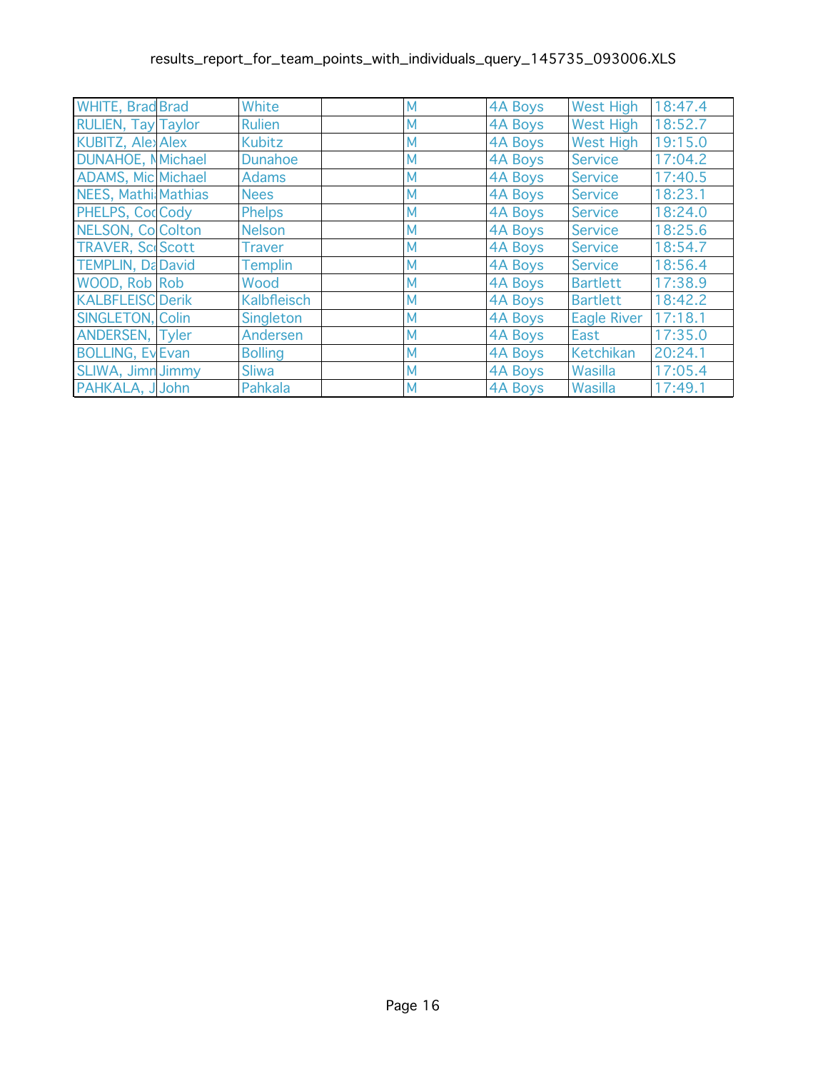| <b>WHITE, Brad Brad</b>    | White              | M | <b>4A Boys</b> | <b>West High</b>   | 18:47.4 |
|----------------------------|--------------------|---|----------------|--------------------|---------|
| <b>RULIEN, Tay Taylor</b>  | <b>Rulien</b>      | M | 4A Boys        | <b>West High</b>   | 18:52.7 |
| <b>KUBITZ, Alex Alex</b>   | <b>Kubitz</b>      | M | 4A Boys        | <b>West High</b>   | 19:15.0 |
| <b>DUNAHOE, N</b> Michael  | <b>Dunahoe</b>     | M | <b>4A Boys</b> | <b>Service</b>     | 17:04.2 |
| <b>ADAMS, Mic Michael</b>  | <b>Adams</b>       | M | 4A Boys        | <b>Service</b>     | 17:40.5 |
| <b>NEES, Mathi Mathias</b> | <b>Nees</b>        | M | 4A Boys        | <b>Service</b>     | 18:23.1 |
| PHELPS, CodCody            | <b>Phelps</b>      | M | 4A Boys        | <b>Service</b>     | 18:24.0 |
| NELSON, Co Colton          | <b>Nelson</b>      | M | 4A Boys        | <b>Service</b>     | 18:25.6 |
| <b>TRAVER, Sc Scott</b>    | <b>Traver</b>      | M | 4A Boys        | <b>Service</b>     | 18:54.7 |
| <b>TEMPLIN, Da David</b>   | Templin            | M | 4A Boys        | Service            | 18:56.4 |
| WOOD, Rob Rob              | Wood               | M | 4A Boys        | <b>Bartlett</b>    | 17:38.9 |
| <b>KALBFLEISC Derik</b>    | <b>Kalbfleisch</b> | M | 4A Boys        | <b>Bartlett</b>    | 18:42.2 |
| SINGLETON, Colin           | Singleton          | M | 4A Boys        | <b>Eagle River</b> | 17:18.1 |
| ANDERSEN, Tyler            | Andersen           | M | 4A Boys        | East               | 17:35.0 |
| <b>BOLLING, Ev Evan</b>    | <b>Bolling</b>     | M | 4A Boys        | <b>Ketchikan</b>   | 20:24.1 |
| SLIWA, Jimn Jimmy          | <b>Sliwa</b>       | M | 4A Boys        | Wasilla            | 17:05.4 |
| PAHKALA, J John            | Pahkala            | M | 4A Boys        | Wasilla            | 17:49.1 |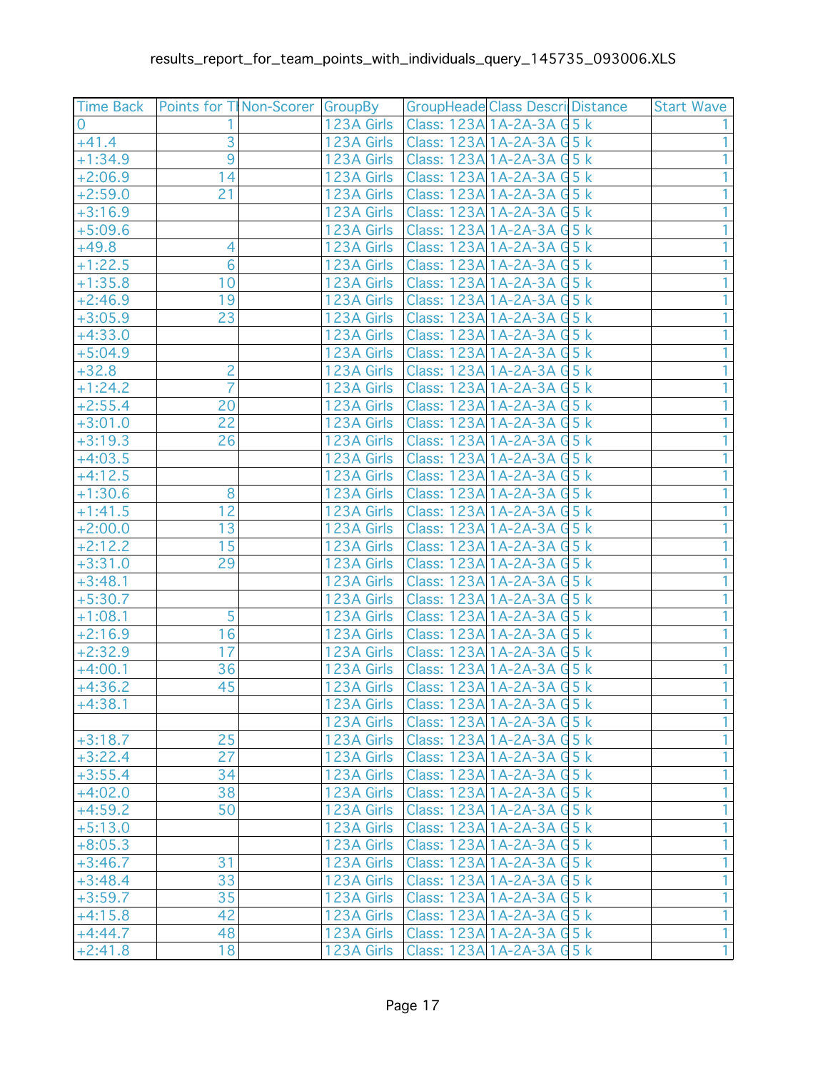|                        | Time Back   Points for T  Non-Scorer   GroupBy |                          | <b>GroupHeade Class Descri Distance</b>                  | <b>Start Wave</b> |
|------------------------|------------------------------------------------|--------------------------|----------------------------------------------------------|-------------------|
| $\Omega$               |                                                | 123A Girls               | Class: 123A 1A-2A-3A G 5 k                               |                   |
| $+41.4$                | 3                                              | 123A Girls               | Class: 123A 1A-2A-3A G 5 k                               |                   |
| $+1:34.9$              | $\overline{9}$                                 | 123A Girls               | Class: 123A 1A-2A-3A G 5 k                               |                   |
| $+2:06.9$              | 14                                             | 123A Girls               | Class: 123A 1A-2A-3A G 5 k                               |                   |
| $+2:59.0$              | 21                                             | 123A Girls               | Class: 123A 1A-2A-3A G 5 k                               |                   |
| $+3:16.9$              |                                                | 123A Girls               | Class: 123A 1A-2A-3A G 5 k                               |                   |
| $+5:09.6$              |                                                | 123A Girls               | Class: 123A 1A-2A-3A G 5 k                               |                   |
| $+49.8$                | 4                                              | 123A Girls               | Class: 123A 1A-2A-3A G 5 k                               |                   |
| $+1:22.5$              | $6\phantom{a}$                                 | 123A Girls               | Class: 123A 1A-2A-3A G 5 k                               |                   |
| $+1:35.8$              | 10                                             | 123A Girls               | Class: 123A 1A-2A-3A G 5 k                               |                   |
| $+2:46.9$              | 19                                             | 123A Girls               | Class: 123A 1A-2A-3A G 5 k                               |                   |
| $+3:05.9$              | 23                                             | 123A Girls               | Class: 123A 1A-2A-3A G 5 k                               |                   |
| $+4:33.0$              |                                                | 123A Girls               | Class: 123A 1A-2A-3A G 5 k                               |                   |
| $+5:04.9$              |                                                | 123A Girls               | Class: 123A 1A-2A-3A G 5 k                               |                   |
| $+32.8$                | $\overline{c}$                                 | 123A Girls               | Class: 123A 1A-2A-3A G 5 k                               |                   |
| $+1:24.2$              | $\overline{7}$                                 | 123A Girls               | Class: 123A 1A-2A-3A G 5 k                               |                   |
| $+2:55.4$              | 20                                             | 123A Girls               | Class: 123A 1A-2A-3A G 5 k                               |                   |
| $+3:01.0$              | 22                                             | 123A Girls               | Class: 123A 1A-2A-3A G 5 k                               |                   |
| $+3:19.3$              | 26                                             | 123A Girls               | Class: 123A 1A-2A-3A G 5 k                               |                   |
| $+4:03.5$              |                                                | 123A Girls               | Class: 123A 1A-2A-3A G 5 k                               |                   |
| $+4:12.5$              |                                                | 123A Girls               | Class: 123A 1A-2A-3A G 5 k                               |                   |
| $+1:30.6$              | 8                                              | 123A Girls               | Class: 123A 1A-2A-3A G 5 k                               |                   |
| $+1:41.5$              | $\overline{12}$                                | 123A Girls               | Class: 123A 1A-2A-3A G 5 k                               |                   |
| $+2:00.0$              | 13                                             | 123A Girls               | Class: 123A 1A-2A-3A G 5 k                               |                   |
| $+2:12.2$              | 15                                             | 123A Girls               | Class: 123A 1A-2A-3A G 5 k                               |                   |
| $+3:31.0$              | 29                                             | 123A Girls               | Class: 123A 1A-2A-3A G 5 k                               |                   |
| $+3:48.1$              |                                                | 123A Girls               | Class: 123A 1A-2A-3A G 5 k                               |                   |
| $+5:30.7$              |                                                | 123A Girls               | Class: 123A 1A-2A-3A G 5 k                               |                   |
| $+1:08.1$              | 5                                              | 123A Girls               | Class: 123A 1A-2A-3A G 5 k                               |                   |
| $+2:16.9$              | 16                                             | 123A Girls               | Class: 123A 1A-2A-3A G 5 k                               |                   |
| $+2:32.9$              | 17                                             | 123A Girls               | Class: 123A 1A-2A-3A G 5 k                               |                   |
| $+4:00.1$              | 36<br>45                                       | 123A Girls               | Class: 123A 1A-2A-3A G 5 k<br>Class: 123A 1A-2A-3A G 5 k |                   |
| $+4:36.2$<br>$+4:38.1$ |                                                | 123A Girls<br>123A Girls | Class: 123A 1A-2A-3A G 5 k                               | $\overline{1}$    |
|                        |                                                | 123A Girls               | Class: 123A 1A-2A-3A G 5 k                               | 1                 |
| $+3:18.7$              | 25                                             | 123A Girls               | Class: 123A 1A-2A-3A G 5 k                               | 1                 |
| $+3:22.4$              | 27                                             | 123A Girls               | Class: 123A 1A-2A-3A G 5 k                               | 1                 |
| $+3:55.4$              | 34                                             | 123A Girls               | Class: 123A 1A-2A-3A G 5 k                               | 1                 |
| $+4:02.0$              | 38                                             | 123A Girls               | Class: 123A 1A-2A-3A G 5 k                               | 1                 |
| $+4:59.2$              | 50                                             | 123A Girls               | Class: 123A 1A-2A-3A G 5 k                               | 1                 |
| $+5:13.0$              |                                                | 123A Girls               | Class: 123A 1A-2A-3A G 5 k                               | 1                 |
| $+8:05.3$              |                                                | 123A Girls               | Class: 123A 1A-2A-3A G 5 k                               | 1                 |
| $+3:46.7$              | 31                                             | 123A Girls               | Class: 123A 1A-2A-3A G 5 k                               | 1                 |
| $+3:48.4$              | 33                                             | 123A Girls               | Class: 123A 1A-2A-3A G 5 k                               | 1                 |
| $+3:59.7$              | 35                                             | 123A Girls               | Class: 123A 1A-2A-3A G 5 k                               | 1                 |
| $+4:15.8$              | 42                                             | 123A Girls               | Class: 123A 1A-2A-3A G 5 k                               | $\overline{1}$    |
| $+4:44.7$              | 48                                             | 123A Girls               | Class: 123A 1A-2A-3A G 5 k                               | $\overline{1}$    |
| $+2:41.8$              | 18                                             | 123A Girls               | Class: 123A 1A-2A-3A G 5 k                               | $\overline{1}$    |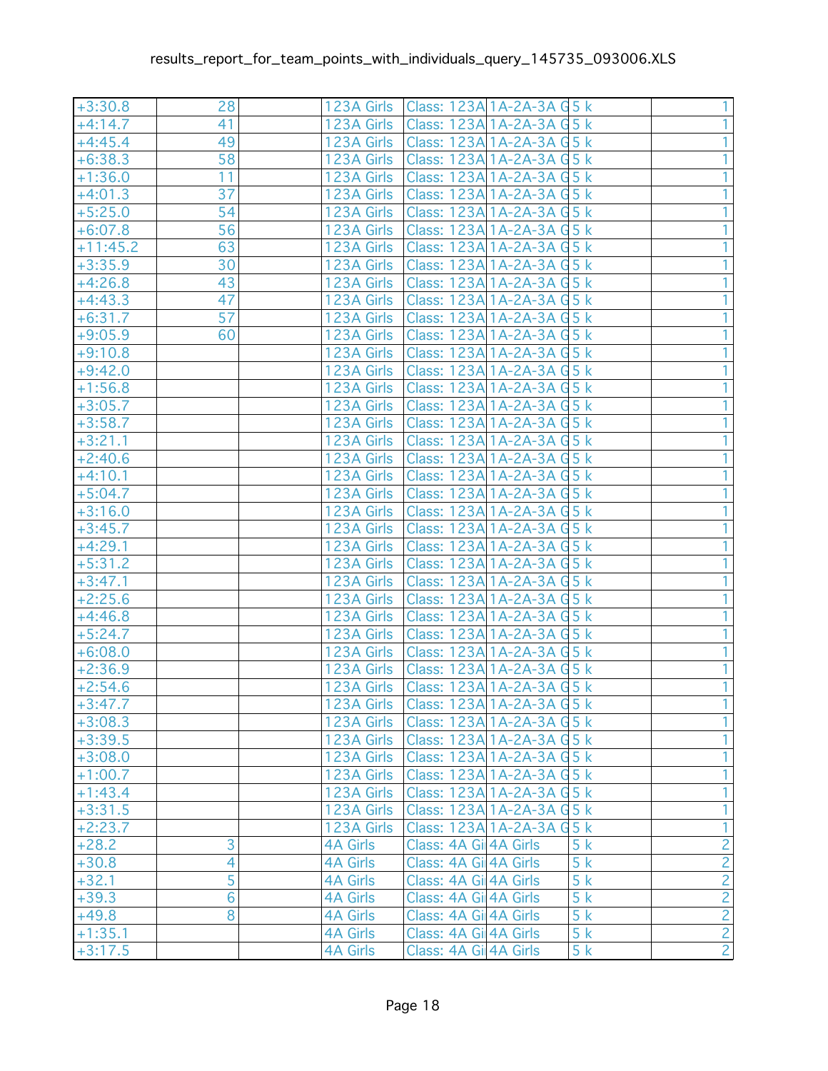| $+3:30.8$  | 28             | 123A Girls      | Class: 123A 1A-2A-3A G 5 k |    | 1                                         |
|------------|----------------|-----------------|----------------------------|----|-------------------------------------------|
| $+4:14.7$  | 41             | 123A Girls      | Class: 123A 1A-2A-3A G 5 k |    | 1                                         |
| $+4:45.4$  | 49             | 123A Girls      | Class: 123A 1A-2A-3A G 5 k |    | 1                                         |
| $+6:38.3$  | 58             | 123A Girls      | Class: 123A 1A-2A-3A G 5 k |    |                                           |
| $+1:36.0$  | 11             | 123A Girls      | Class: 123A 1A-2A-3A G 5 k |    |                                           |
| $+4:01.3$  | 37             | 123A Girls      | Class: 123A 1A-2A-3A G 5 k |    | 1                                         |
| $+5:25.0$  | 54             | 123A Girls      | Class: 123A 1A-2A-3A G 5 k |    |                                           |
| $+6:07.8$  | 56             | 123A Girls      | Class: 123A 1A-2A-3A G 5 k |    |                                           |
| $+11:45.2$ | 63             | 123A Girls      | Class: 123A 1A-2A-3A G 5 k |    |                                           |
| $+3:35.9$  | 30             | 123A Girls      | Class: 123A 1A-2A-3A G 5 k |    |                                           |
| $+4:26.8$  | 43             | 123A Girls      | Class: 123A 1A-2A-3A G 5 k |    |                                           |
| $+4:43.3$  | 47             | 123A Girls      | Class: 123A 1A-2A-3A G 5 k |    |                                           |
| $+6:31.7$  | 57             | 123A Girls      | Class: 123A 1A-2A-3A G 5 k |    |                                           |
| $+9:05.9$  | 60             | 123A Girls      | Class: 123A 1A-2A-3A G 5 k |    |                                           |
| $+9:10.8$  |                | 123A Girls      | Class: 123A 1A-2A-3A G 5 k |    |                                           |
| $+9:42.0$  |                | 123A Girls      | Class: 123A 1A-2A-3A G 5 k |    |                                           |
| $+1:56.8$  |                | 123A Girls      | Class: 123A 1A-2A-3A G 5 k |    |                                           |
| $+3:05.7$  |                | 123A Girls      | Class: 123A 1A-2A-3A G 5 k |    | 1                                         |
| $+3:58.7$  |                | 123A Girls      | Class: 123A 1A-2A-3A G 5 k |    | 1                                         |
| $+3:21.1$  |                | 123A Girls      | Class: 123A 1A-2A-3A G 5 k |    | 1                                         |
| $+2:40.6$  |                | 123A Girls      | Class: 123A 1A-2A-3A G 5 k |    | 1                                         |
| $+4:10.1$  |                | 123A Girls      | Class: 123A 1A-2A-3A G 5 k |    | 1                                         |
| $+5:04.7$  |                | 123A Girls      | Class: 123A 1A-2A-3A G 5 k |    | 1                                         |
| $+3:16.0$  |                | 123A Girls      | Class: 123A 1A-2A-3A G 5 k |    | 1                                         |
| $+3:45.7$  |                | 123A Girls      | Class: 123A 1A-2A-3A G 5 k |    | 1                                         |
| $+4:29.1$  |                | 123A Girls      | Class: 123A 1A-2A-3A G 5 k |    |                                           |
| $+5:31.2$  |                | 123A Girls      | Class: 123A 1A-2A-3A G 5 k |    |                                           |
| $+3:47.1$  |                | 123A Girls      | Class: 123A 1A-2A-3A G 5 k |    |                                           |
| $+2:25.6$  |                | 123A Girls      | Class: 123A 1A-2A-3A G 5 k |    |                                           |
| $+4:46.8$  |                | 123A Girls      | Class: 123A 1A-2A-3A G 5 k |    |                                           |
| $+5:24.7$  |                | 123A Girls      | Class: 123A 1A-2A-3A G 5 k |    |                                           |
| $+6:08.0$  |                | 123A Girls      | Class: 123A 1A-2A-3A G 5 k |    |                                           |
| $+2:36.9$  |                | 123A Girls      | Class: 123A 1A-2A-3A G 5 k |    | 1.                                        |
| $+2:54.6$  |                | 123A Girls      | Class: 123A 1A-2A-3A G 5 k |    | $\mathbf{1}$                              |
| $+3:47.7$  |                | 123A Girls      | Class: 123A 1A-2A-3A G 5 k |    | 1 <sup>1</sup>                            |
| $+3:08.3$  |                | 123A Girls      | Class: 123A 1A-2A-3A G 5 k |    |                                           |
| $+3:39.5$  |                | 123A Girls      | Class: 123A 1A-2A-3A G 5 k |    | 1                                         |
| $+3:08.0$  |                | 123A Girls      | Class: 123A 1A-2A-3A G 5 k |    | 1                                         |
| $+1:00.7$  |                | 123A Girls      | Class: 123A 1A-2A-3A G 5 k |    | 1                                         |
| $+1:43.4$  |                | 123A Girls      | Class: 123A 1A-2A-3A G 5 k |    | 1                                         |
| $+3:31.5$  |                | 123A Girls      | Class: 123A 1A-2A-3A G 5 k |    | $\overline{1}$                            |
| $+2:23.7$  |                | 123A Girls      | Class: 123A 1A-2A-3A G 5 k |    | $\overline{1}$                            |
| $+28.2$    | 3              | <b>4A Girls</b> | Class: 4A Gil 4A Girls     | 5k |                                           |
| $+30.8$    | 4              | <b>4A Girls</b> | Class: 4A Gil 4A Girls     | 5k |                                           |
| $+32.1$    | 5              | <b>4A Girls</b> | Class: 4A Gi 4A Girls      | 5k |                                           |
| $+39.3$    | $\overline{6}$ | <b>4A Girls</b> | Class: 4A Gil 4A Girls     | 5k | $\frac{2}{2}$ $\frac{2}{2}$ $\frac{2}{2}$ |
| $+49.8$    | 8              | <b>4A Girls</b> | Class: 4A Gil 4A Girls     | 5k |                                           |
| $+1:35.1$  |                | <b>4A Girls</b> | Class: 4A Gil 4A Girls     | 5k |                                           |
| $+3:17.5$  |                | <b>4A Girls</b> | Class: 4A Gil 4A Girls     | 5k |                                           |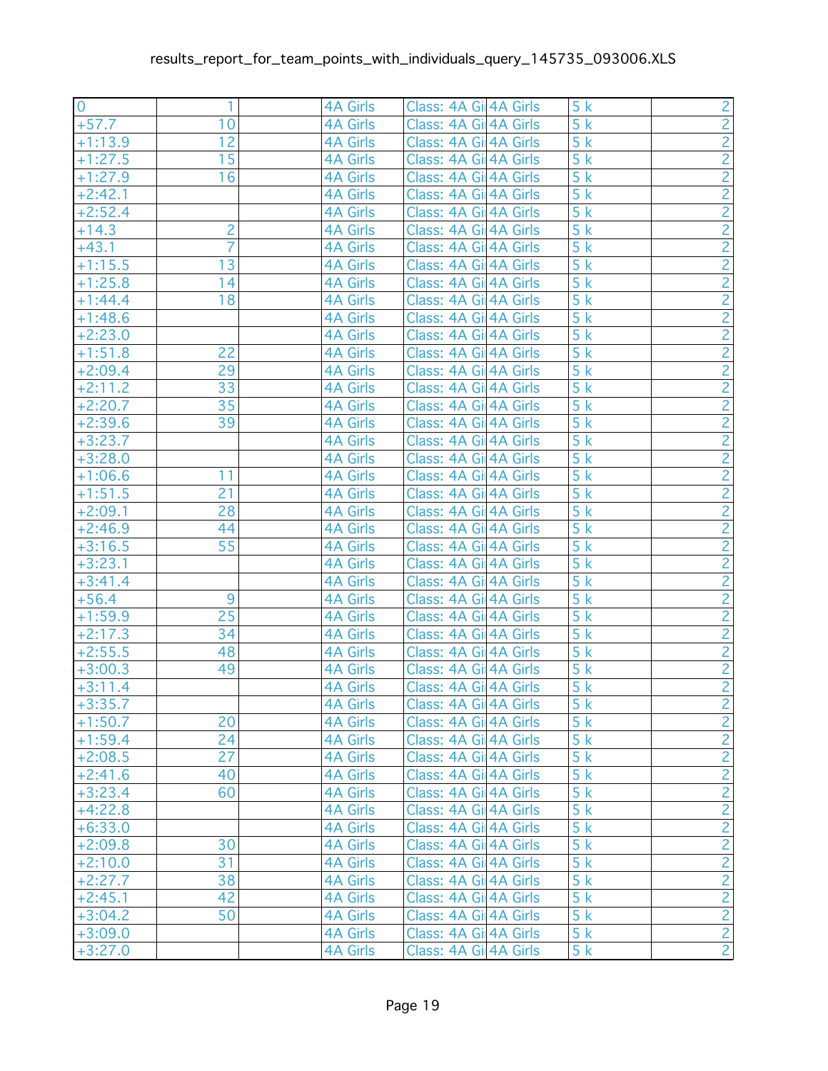| $\overline{0}$         |                | 4A Girls                    | Class: 4A Gil 4A Girls                           | 5k       |                                           |
|------------------------|----------------|-----------------------------|--------------------------------------------------|----------|-------------------------------------------|
| $+57.7$                | 10             | 4A Girls                    | Class: 4A Gil 4A Girls                           | 5k       | $\frac{2}{2}$                             |
| $+1:13.9$              | 12             | <b>4A Girls</b>             | Class: 4A Gil 4A Girls                           | 5k       |                                           |
| $+1:27.5$              | 15             | <b>4A Girls</b>             | Class: 4A Gil 4A Girls                           | 5k       |                                           |
| $+1:27.9$              | 16             | <b>4A Girls</b>             | Class: 4A Gil 4A Girls                           | 5k       |                                           |
| $+2:42.1$              |                | <b>4A Girls</b>             | Class: 4A Gil 4A Girls                           | 5k       | $\frac{2}{2}$                             |
| $+2:52.4$              |                | <b>4A Girls</b>             | Class: 4A Gil 4A Girls                           | 5k       |                                           |
| $+14.3$                | $\overline{c}$ | 4A Girls                    | Class: 4A Gil 4A Girls                           | 5k       | $\frac{2}{2}$                             |
| $+43.1$                | $\overline{7}$ | <b>4A Girls</b>             | Class: 4A Gil 4A Girls                           | 5k       |                                           |
| $+1:15.5$              | 13             | <b>4A Girls</b>             | Class: 4A Gil 4A Girls                           | 5k       |                                           |
| $+1:25.8$              | 14             | 4A Girls                    | Class: 4A Gil 4A Girls                           | 5k       | $\frac{2}{2}$ $\frac{2}{2}$ $\frac{2}{2}$ |
| $+1:44.4$              | 18             | <b>4A Girls</b>             | Class: 4A Gil 4A Girls                           | 5k       |                                           |
| $+1:48.6$              |                | <b>4A Girls</b>             | Class: 4A Gi 4A Girls                            | 5k       |                                           |
| $+2:23.0$              |                | 4A Girls                    | Class: 4A Gil 4A Girls                           | 5k       |                                           |
| $+1:51.8$              | 22             | <b>4A Girls</b>             | Class: 4A Gil 4A Girls                           | 5k       |                                           |
| $+2:09.4$              | 29             | <b>4A Girls</b>             | Class: 4A Gil 4A Girls                           | 5k       |                                           |
| $+2:11.2$              | 33             | <b>4A Girls</b>             | Class: 4A Gil 4A Girls                           | 5k       |                                           |
| $+2:20.7$              | 35             | <b>4A Girls</b>             | Class: 4A Gil 4A Girls                           | 5k       |                                           |
| $+2:39.6$              | 39             | 4A Girls                    | Class: 4A Gil 4A Girls                           | 5k       | $\frac{2}{2}$ $\frac{2}{2}$ $\frac{2}{2}$ |
| $+3:23.7$              |                | 4A Girls                    | Class: 4A Gil 4A Girls                           | 5k       |                                           |
| $+3:28.0$              |                | <b>4A Girls</b>             | Class: 4A Gil 4A Girls                           | 5k       |                                           |
| $+1:06.6$              | 11             | <b>4A Girls</b>             | Class: 4A Gil 4A Girls                           | 5k       | $\frac{2}{2}$ $\frac{2}{2}$ $\frac{2}{2}$ |
| $+1:51.5$              | 21             | 4A Girls                    | Class: 4A Gil 4A Girls                           | 5k       |                                           |
| $+2:09.1$              | 28             | <b>4A Girls</b>             | Class: 4A Gil 4A Girls                           | 5k       |                                           |
| $+2:46.9$              | 44             | <b>4A Girls</b>             | Class: 4A Gil 4A Girls                           | 5k       |                                           |
| $+3:16.5$              | 55             | 4A Girls                    | Class: 4A Gil 4A Girls                           | 5k       |                                           |
| $+3:23.1$              |                | <b>4A Girls</b>             | Class: 4A Gil 4A Girls                           | 5k       |                                           |
| $+3:41.4$              |                | <b>4A Girls</b>             | Class: 4A Gil 4A Girls                           | 5k       |                                           |
| $+56.4$                | 9<br>25        | 4A Girls                    | Class: 4A Gil 4A Girls                           | 5k       | $\frac{2}{2}$ $\frac{2}{2}$ $\frac{2}{2}$ |
| $+1:59.9$              |                | <b>4A Girls</b>             | Class: 4A Gil 4A Girls                           | 5k<br>5k |                                           |
| $+2:17.3$              | 34<br>48       | 4A Girls                    | Class: 4A Gil 4A Girls<br>Class: 4A Gil 4A Girls | 5k       |                                           |
| $+2:55.5$<br>$+3:00.3$ | 49             | 4A Girls<br><b>4A Girls</b> | Class: 4A Gil 4A Girls                           | 5k       |                                           |
| $+3:11.4$              |                | <b>4A Girls</b>             | Class: 4A Gil 4A Girls                           | 5k       |                                           |
| $+3:35.7$              |                | <b>4A Girls</b>             | Class: 4A Gil 4A Girls                           | 5k       | $\frac{2}{2}$                             |
| $+1:50.7$              | 20             | <b>4A Girls</b>             | Class: 4A Gil 4A Girls                           | 5k       |                                           |
| $+1:59.4$              | 24             | <b>4A Girls</b>             | Class: 4A Gil 4A Girls                           | 5k       |                                           |
| $+2:08.5$              | 27             | <b>4A Girls</b>             | Class: 4A Gil 4A Girls                           | 5k       |                                           |
| $+2:41.6$              | 40             | <b>4A Girls</b>             | Class: 4A Gi 4A Girls                            | 5k       | $\frac{2}{2}$                             |
| $+3:23.4$              | 60             | <b>4A Girls</b>             | Class: 4A Gil 4A Girls                           | 5k       |                                           |
| $+4:22.8$              |                | <b>4A Girls</b>             | Class: 4A Gil 4A Girls                           | 5k       | $\frac{2}{2}$ $\frac{2}{2}$ $\frac{2}{2}$ |
| $+6:33.0$              |                | <b>4A Girls</b>             | Class: 4A Gil 4A Girls                           | 5k       |                                           |
| $+2:09.8$              | 30             | <b>4A Girls</b>             | Class: 4A Gil 4A Girls                           | 5k       |                                           |
| $+2:10.0$              | 31             | 4A Girls                    | Class: 4A Gil 4A Girls                           | 5k       |                                           |
| $+2:27.7$              | 38             | <b>4A Girls</b>             | Class: 4A Gil 4A Girls                           | 5k       |                                           |
| $+2:45.1$              | 42             | <b>4A Girls</b>             | Class: 4A Gil 4A Girls                           | 5k       |                                           |
| $+3:04.2$              | 50             | <b>4A Girls</b>             | Class: 4A Gil 4A Girls                           | 5k       | $\frac{2}{2}$                             |
| $+3:09.0$              |                | <b>4A Girls</b>             | Class: 4A Gil 4A Girls                           | 5k       |                                           |
| $+3:27.0$              |                | 4A Girls                    | Class: 4A Gil 4A Girls                           | 5k       |                                           |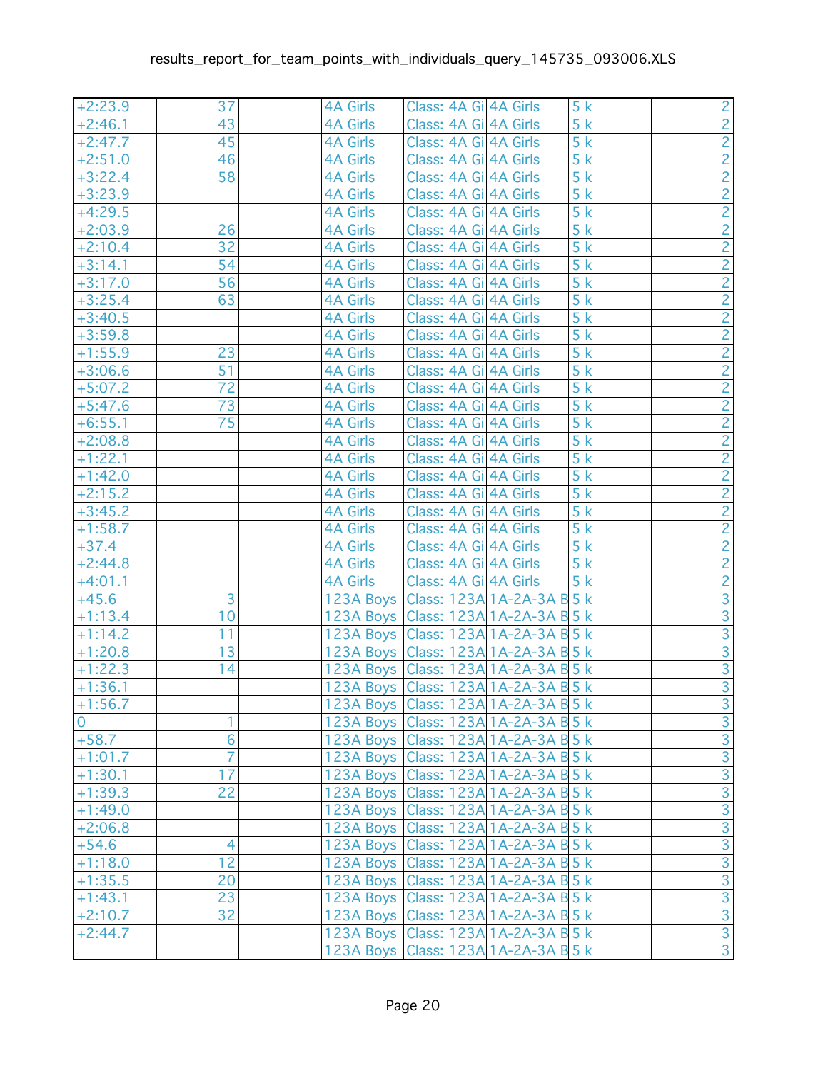| $+2:23.9$      | 37             | <b>4A Girls</b> | Class: 4A Gil 4A Girls                 | 5k               | $\frac{2}{2}$                                      |
|----------------|----------------|-----------------|----------------------------------------|------------------|----------------------------------------------------|
| $+2:46.1$      | 43             | <b>4A Girls</b> | Class: 4A Gil 4A Girls                 | 5k               |                                                    |
| $+2:47.7$      | 45             | <b>4A Girls</b> | Class: 4A Gi 4A Girls                  | 5k               |                                                    |
| $+2:51.0$      | 46             | <b>4A Girls</b> | Class: 4A Gi 4A Girls                  | 5k               |                                                    |
| $+3:22.4$      | 58             | <b>4A Girls</b> | Class: 4A Gil 4A Girls                 | 5k               | $\frac{2}{2}$                                      |
| $+3:23.9$      |                | <b>4A Girls</b> | Class: 4A Gi 4A Girls                  | 5k               |                                                    |
| $+4:29.5$      |                | <b>4A Girls</b> | Class: 4A Gi 4A Girls                  | 5k               |                                                    |
| $+2:03.9$      | 26             | <b>4A Girls</b> | Class: 4A Gil 4A Girls                 | 5k               | $\frac{2}{2}$                                      |
| $+2:10.4$      | 32             | <b>4A Girls</b> | Class: 4A Gil 4A Girls                 | 5k               |                                                    |
| $+3:14.1$      | 54             | <b>4A Girls</b> | Class: 4A Gil 4A Girls                 | 5k               |                                                    |
| $+3:17.0$      | 56             | <b>4A Girls</b> | Class: 4A Gil 4A Girls                 | 5k               | $\frac{2}{2}$ $\frac{2}{2}$ $\frac{2}{2}$          |
| $+3:25.4$      | 63             | <b>4A Girls</b> | Class: 4A Gil 4A Girls                 | 5k               |                                                    |
| $+3:40.5$      |                | <b>4A Girls</b> | Class: 4A Gi 4A Girls                  | 5k               |                                                    |
| $+3:59.8$      |                | <b>4A Girls</b> | Class: 4A Gil 4A Girls                 | 5k               |                                                    |
| $+1:55.9$      | 23             | <b>4A Girls</b> | Class: 4A Gi 4A Girls                  | 5k               |                                                    |
| $+3:06.6$      | 51             | <b>4A Girls</b> | Class: 4A Gi 4A Girls                  | $\overline{5}$ k | $\overline{2}$                                     |
| $+5:07.2$      | 72             | <b>4A Girls</b> | Class: 4A Gil 4A Girls                 | 5k               | $\frac{2}{2}$ $\frac{2}{2}$                        |
| $+5:47.6$      | 73             | <b>4A Girls</b> | Class: 4A Gi 4A Girls                  | 5k               |                                                    |
| $+6:55.1$      | 75             | <b>4A Girls</b> | Class: 4A Gi 4A Girls                  | 5k               |                                                    |
| $+2:08.8$      |                | <b>4A Girls</b> | Class: 4A Gil 4A Girls                 | 5k               |                                                    |
| $+1:22.1$      |                | 4A Girls        | Class: 4A Gil 4A Girls                 | 5k               |                                                    |
| $+1:42.0$      |                | <b>4A Girls</b> | Class: 4A Gil 4A Girls                 | 5k               | $\overline{2}$                                     |
| $+2:15.2$      |                | <b>4A Girls</b> | Class: 4A Gil 4A Girls                 | 5k               |                                                    |
| $+3:45.2$      |                | <b>4A Girls</b> | Class: 4A Gil 4A Girls                 | 5k               |                                                    |
| $+1:58.7$      |                | 4A Girls        | Class: 4A Gil 4A Girls                 | 5k               |                                                    |
| $+37.4$        |                | 4A Girls        | Class: 4A Gil 4A Girls                 | 5k               | $\frac{2}{2}$ $\frac{2}{2}$                        |
| $+2:44.8$      |                | 4A Girls        | Class: 4A Gil 4A Girls                 | 5k               |                                                    |
| $+4:01.1$      |                | 4A Girls        | Class: 4A Gil 4A Girls                 | 5k               |                                                    |
| $+45.6$        | 3              |                 | 123A Boys   Class: 123A 1A-2A-3A B 5 k |                  |                                                    |
| $+1:13.4$      | 10             |                 | 123A Boys   Class: 123A 1A-2A-3A B 5 k |                  | $\frac{2}{3}$ $\frac{3}{3}$ $\frac{3}{3}$          |
| $+1:14.2$      | 11             |                 | 123A Boys   Class: 123A 1A-2A-3A B 5 k |                  |                                                    |
| $+1:20.8$      | 13             |                 | 123A Boys Class: 123A 1A-2A-3A B 5 k   |                  |                                                    |
| $+1:22.3$      | 14             |                 | 123A Boys Class: 123A 1A-2A-3A B 5 k   |                  |                                                    |
| $+1:36.1$      |                |                 | 123A Boys   Class: 123A 1A-2A-3A B 5 k |                  | $\overline{3}$                                     |
| $+1:56.7$      |                |                 | 123A Boys Class: 123A 1A-2A-3A B 5 k   |                  |                                                    |
| $\overline{0}$ |                |                 | 123A Boys Class: 123A 1A-2A-3A B 5 k   |                  |                                                    |
| $+58.7$        | 6              |                 | 123A Boys Class: 123A 1A-2A-3A B 5 k   |                  | <u>ယယဖြစ်ကြီး (၁) ကြီးကြီးကြီးကြီးကြီးကြီးကြီး</u> |
| $+1:01.7$      | $\overline{7}$ |                 | 123A Boys Class: 123A 1A-2A-3A B 5 k   |                  |                                                    |
| $+1:30.1$      | 17             |                 | 123A Boys Class: 123A 1A-2A-3A B 5 k   |                  |                                                    |
| $+1:39.3$      | 22             |                 | 123A Boys Class: 123A 1A-2A-3A B 5 k   |                  |                                                    |
| $+1:49.0$      |                |                 | 123A Boys Class: 123A 1A-2A-3A B 5 k   |                  |                                                    |
| $+2:06.8$      |                |                 | 123A Boys   Class: 123A 1A-2A-3A B 5 k |                  |                                                    |
| $+54.6$        | $\overline{4}$ |                 | 123A Boys Class: 123A 1A-2A-3A B 5 k   |                  |                                                    |
| $+1:18.0$      | 12             |                 | 123A Boys Class: 123A 1A-2A-3A B 5 k   |                  |                                                    |
| $+1:35.5$      | 20             |                 | 123A Boys Class: 123A 1A-2A-3A B 5 k   |                  |                                                    |
| $+1:43.1$      | 23             |                 | 123A Boys Class: 123A 1A-2A-3A B 5 k   |                  |                                                    |
| $+2:10.7$      | 32             |                 | 123A Boys Class: 123A 1A-2A-3A B 5 k   |                  |                                                    |
| $+2:44.7$      |                |                 | 123A Boys   Class: 123A 1A-2A-3A B 5 k |                  |                                                    |
|                |                |                 | 123A Boys   Class: 123A 1A-2A-3A B 5 k |                  |                                                    |
|                |                |                 |                                        |                  |                                                    |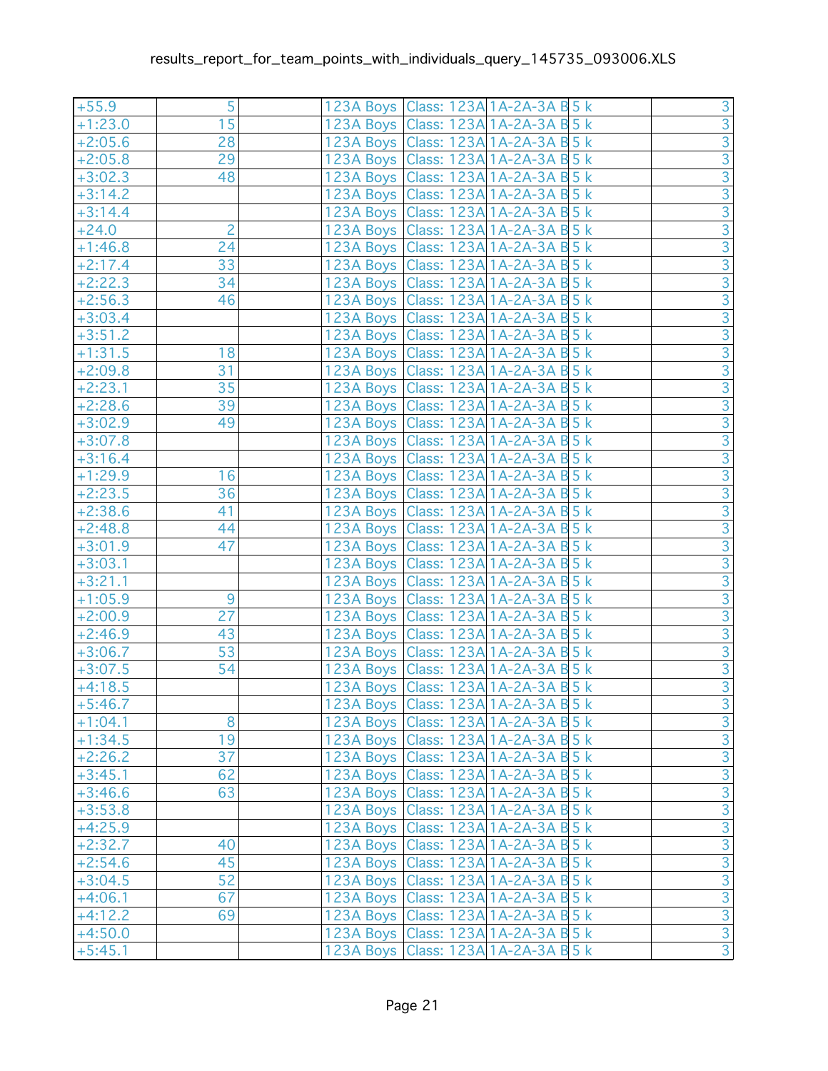| 5<br>123A Boys   Class: 123A 1A-2A-3A B 5 k<br>$+55.9$            |  |
|-------------------------------------------------------------------|--|
|                                                                   |  |
| 15<br>123A Boys Class: 123A 1A-2A-3A B 5 k<br>$+1:23.0$           |  |
| 28<br>123A Boys Class: 123A 1A-2A-3A B 5 k<br>$+2:05.6$           |  |
| 29<br>$+2:05.8$<br>123A Boys   Class: 123A 1A-2A-3A B 5 k         |  |
| 48<br>123A Boys Class: 123A 1A-2A-3A B 5 k<br>$+3:02.3$           |  |
| 123A Boys Class: 123A 1A-2A-3A B 5 k<br>$+3:14.2$                 |  |
| 123A Boys Class: 123A 1A-2A-3A B 5 k<br>$+3:14.4$                 |  |
| $\overline{2}$<br>123A Boys Class: 123A 1A-2A-3A B 5 k<br>$+24.0$ |  |
| $+1:46.8$<br>24<br>123A Boys   Class: 123A 1A-2A-3A B 5 k         |  |
| 33<br>123A Boys   Class: 123A 1A-2A-3A B 5 k<br>$+2:17.4$         |  |
| 34<br>$+2:22.3$<br>123A Boys   Class: 123A 1A-2A-3A B 5 k         |  |
| $+2:56.3$<br>46<br>123A Boys Class: 123A 1A-2A-3A B 5 k           |  |
| $+3:03.4$<br>123A Boys   Class: 123A 1A-2A-3A B 5 k               |  |
| 123A Boys Class: 123A 1A-2A-3A B 5 k<br>$+3:51.2$                 |  |
| 18<br>123A Boys Class: 123A 1A-2A-3A B 5 k<br>$+1:31.5$           |  |
| 123A Boys   Class: 123A 1A-2A-3A B 5 k<br>$+2:09.8$<br>31         |  |
| 35<br>123A Boys Class: 123A 1A-2A-3A B 5 k<br>$+2:23.1$           |  |
| 39<br>$+2:28.6$<br>123A Boys   Class: 123A 1A-2A-3A B 5 k         |  |
| 123A Boys   Class: 123A 1A-2A-3A B 5 k<br>$+3:02.9$<br>49         |  |
| 123A Boys   Class: 123A 1A-2A-3A B 5 k<br>$+3:07.8$               |  |
| 123A Boys Class: 123A 1A-2A-3A B 5 k<br>$+3:16.4$                 |  |
| 16<br>123A Boys Class: 123A 1A-2A-3A B 5 k<br>$+1:29.9$           |  |
| 36<br>$+2:23.5$<br>123A Boys   Class: 123A 1A-2A-3A B 5 k         |  |
| $+2:38.6$<br>41<br>123A Boys   Class: 123A 1A-2A-3A B 5 k         |  |
| $+2:48.8$<br>123A Boys Class: 123A 1A-2A-3A B 5 k<br>44           |  |
| 123A Boys Class: 123A 1A-2A-3A B 5 k<br>47<br>$+3:01.9$           |  |
| 123A Boys Class: 123A 1A-2A-3A B 5 k<br>$+3:03.1$                 |  |
| $+3:21.1$<br>123A Boys Class: 123A 1A-2A-3A B 5 k                 |  |
| 9<br>$+1:05.9$<br>123A Boys   Class: 123A 1A-2A-3A B 5 k          |  |
| 27<br>123A Boys   Class: 123A 1A-2A-3A B 5 k<br>$+2:00.9$         |  |
| 43<br>123A Boys Class: 123A 1A-2A-3A B 5 k<br>$+2:46.9$           |  |
| 53<br>123A Boys   Class: 123A 1A-2A-3A B 5 k<br>$+3:06.7$         |  |
| 54<br>$+3:07.5$<br>123A Boys   Class: 123A 1A-2A-3A B 5 k         |  |
| 123A Boys   Class: 123A 1A-2A-3A B 5 k<br>$+4:18.5$               |  |
| 123A Boys Class: 123A 1A-2A-3A B 5 k<br>$+5:46.7$                 |  |
| 8<br>123A Boys   Class: 123A   1A-2A-3A B 5 k<br>$+1:04.1$        |  |
| 19<br>123A Boys   Class: 123A 1A-2A-3A B 5 k<br>$+1:34.5$         |  |
| 37<br>123A Boys   Class: 123A 1A-2A-3A B 5 k<br>$+2:26.2$         |  |
| 62<br>123A Boys   Class: 123A 1A-2A-3A B 5 k<br>$+3:45.1$         |  |
| 63<br>123A Boys   Class: 123A 1A-2A-3A B 5 k<br>$+3:46.6$         |  |
| $+3:53.8$<br>123A Boys   Class: 123A 1A-2A-3A B 5 k               |  |
| $+4:25.9$<br>123A Boys   Class: 123A   1A-2A-3A B 5 k             |  |
| $+2:32.7$<br>40<br>123A Boys   Class: 123A 1A-2A-3A B 5 k         |  |
| 45<br>123A Boys Class: 123A 1A-2A-3A B 5 k<br>$+2:54.6$           |  |
| 52<br>123A Boys   Class: 123A 1A-2A-3A B 5 k<br>$+3:04.5$         |  |
| 67<br>123A Boys Class: 123A 1A-2A-3A B 5 k<br>$+4:06.1$           |  |
| 69<br>123A Boys   Class: 123A 1A-2A-3A B 5 k<br>$+4:12.2$         |  |
| 123A Boys   Class: 123A   1A-2A-3A B 5 k<br>$+4:50.0$             |  |
| $+5:45.1$<br>123A Boys   Class: 123A 1A-2A-3A B 5 k               |  |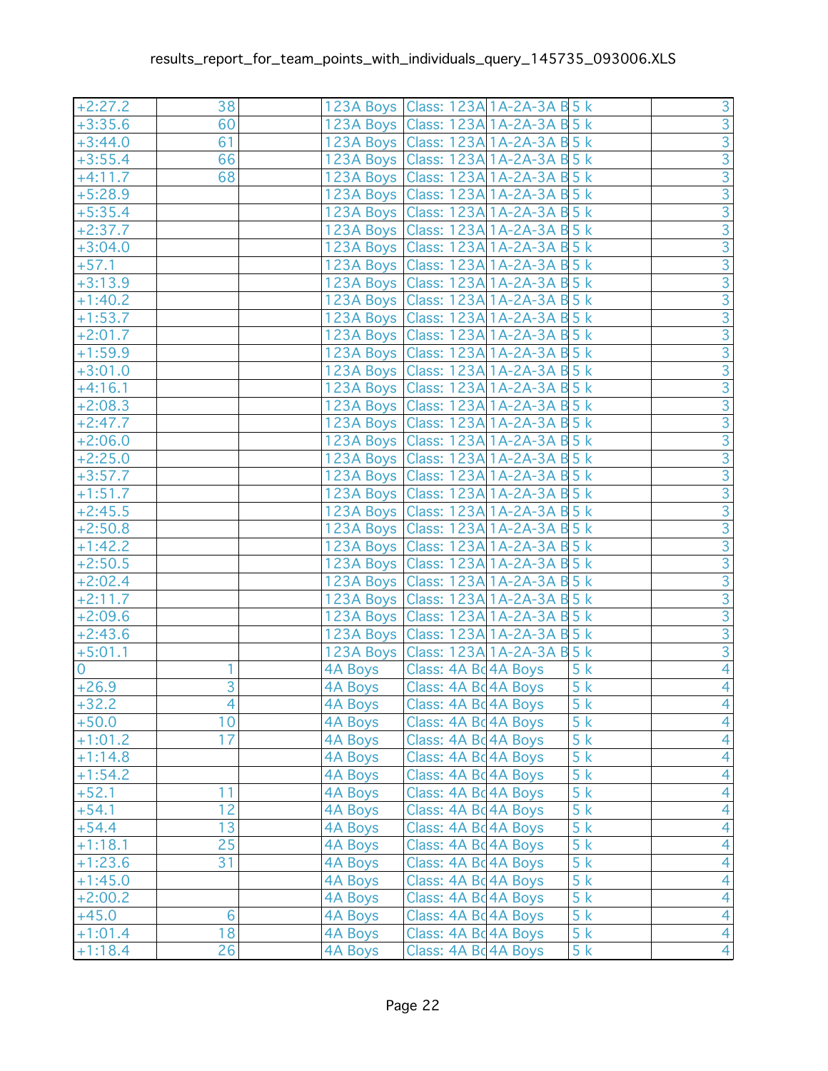| $+2:27.2$      | 38             |                | 123A Boys   Class: 123A 1A-2A-3A B 5 k |    |                                                                  |
|----------------|----------------|----------------|----------------------------------------|----|------------------------------------------------------------------|
| $+3:35.6$      | 60             |                | 123A Boys Class: 123A 1A-2A-3A B 5 k   |    |                                                                  |
| $+3:44.0$      | 61             |                | 123A Boys Class: 123A 1A-2A-3A B 5 k   |    |                                                                  |
| $+3:55.4$      | 66             |                | 123A Boys Class: 123A 1A-2A-3A B 5 k   |    |                                                                  |
| $+4:11.7$      | 68             |                | 123A Boys Class: 123A 1A-2A-3A B 5 k   |    |                                                                  |
| $+5:28.9$      |                |                | 123A Boys Class: 123A 1A-2A-3A B 5 k   |    |                                                                  |
| $+5:35.4$      |                |                | 123A Boys Class: 123A 1A-2A-3A B 5 k   |    |                                                                  |
| $+2:37.7$      |                |                | 123A Boys   Class: 123A 1A-2A-3A B 5 k |    |                                                                  |
| $+3:04.0$      |                |                | 123A Boys Class: 123A 1A-2A-3A B 5 k   |    |                                                                  |
| $+57.1$        |                |                | 123A Boys Class: 123A 1A-2A-3A B 5 k   |    |                                                                  |
| $+3:13.9$      |                |                | 123A Boys   Class: 123A 1A-2A-3A B 5 k |    |                                                                  |
| $+1:40.2$      |                |                | 123A Boys   Class: 123A 1A-2A-3A B 5 k |    |                                                                  |
| $+1:53.7$      |                |                | 123A Boys   Class: 123A 1A-2A-3A B 5 k |    |                                                                  |
| $+2:01.7$      |                |                | 123A Boys Class: 123A 1A-2A-3A B 5 k   |    |                                                                  |
| $+1:59.9$      |                |                | 123A Boys Class: 123A 1A-2A-3A B 5 k   |    |                                                                  |
| $+3:01.0$      |                |                | 123A Boys Class: 123A 1A-2A-3A B 5 k   |    |                                                                  |
| $+4:16.1$      |                |                | 123A Boys   Class: 123A 1A-2A-3A B 5 k |    | ախխխթին արտված առանց առանց առանց առանց առանց առանց առանց առանց ա |
| $+2:08.3$      |                |                | 123A Boys Class: 123A 1A-2A-3A B 5 k   |    |                                                                  |
| $+2:47.7$      |                |                | 123A Boys Class: 123A 1A-2A-3A B 5 k   |    |                                                                  |
| $+2:06.0$      |                |                | 123A Boys   Class: 123A 1A-2A-3A B 5 k |    |                                                                  |
| $+2:25.0$      |                |                | 123A Boys Class: 123A 1A-2A-3A B 5 k   |    |                                                                  |
| $+3:57.7$      |                |                | 123A Boys Class: 123A 1A-2A-3A B 5 k   |    |                                                                  |
| $+1:51.7$      |                |                | 123A Boys Class: 123A 1A-2A-3A B 5 k   |    |                                                                  |
| $+2:45.5$      |                |                | 123A Boys Class: 123A 1A-2A-3A B 5 k   |    |                                                                  |
| $+2:50.8$      |                |                | 123A Boys   Class: 123A 1A-2A-3A B 5 k |    |                                                                  |
| $+1:42.2$      |                |                | 123A Boys Class: 123A 1A-2A-3A B 5 k   |    |                                                                  |
| $+2:50.5$      |                |                | 123A Boys Class: 123A 1A-2A-3A B 5 k   |    |                                                                  |
| $+2:02.4$      |                |                | 123A Boys Class: 123A 1A-2A-3A B 5 k   |    |                                                                  |
| $+2:11.7$      |                |                | 123A Boys Class: 123A 1A-2A-3A B 5 k   |    |                                                                  |
| $+2:09.6$      |                |                | 123A Boys   Class: 123A 1A-2A-3A B 5 k |    |                                                                  |
| $+2:43.6$      |                |                | 123A Boys   Class: 123A 1A-2A-3A B 5 k |    |                                                                  |
| $+5:01.1$      |                |                | 123A Boys   Class: 123A 1A-2A-3A B 5 k |    |                                                                  |
| $\overline{0}$ | 1              |                | 4A Boys   Class: 4A Bd 4A Boys         | 5k | $\overline{4}$                                                   |
| $+26.9$        | $\overline{3}$ | 4A Boys        | Class: 4A Bd 4A Boys                   | 5k | $\overline{4}$                                                   |
| $+32.2$        | $\overline{4}$ | 4A Boys        | Class: 4A Bc 4A Boys                   | 5k | $\overline{4}$                                                   |
| $+50.0$        | 10             | 4A Boys        | Class: 4A Bd 4A Boys                   | 5k | $\overline{4}$                                                   |
| $+1:01.2$      | 17             | 4A Boys        | Class: 4A Bd 4A Boys                   | 5k | $\overline{4}$                                                   |
| $+1:14.8$      |                | 4A Boys        | Class: 4A Bd 4A Boys                   | 5k | $\overline{4}$                                                   |
| $+1:54.2$      |                | 4A Boys        | Class: 4A Bd 4A Boys                   | 5k | $\overline{4}$                                                   |
| $+52.1$        | 11             | <b>4A Boys</b> | Class: 4A Bd 4A Boys                   | 5k | $\overline{4}$                                                   |
| $+54.1$        | 12             | <b>4A Boys</b> | Class: 4A Bd 4A Boys                   | 5k | $\overline{4}$                                                   |
| $+54.4$        | 13             | 4A Boys        | Class: 4A Bd 4A Boys                   | 5k | $\overline{4}$                                                   |
| $+1:18.1$      | 25             | 4A Boys        | Class: 4A Bd 4A Boys                   | 5k | $\overline{4}$                                                   |
| $+1:23.6$      | 31             | <b>4A Boys</b> | Class: 4A Bd 4A Boys                   | 5k | $\overline{4}$                                                   |
| $+1:45.0$      |                | 4A Boys        | Class: 4A Bd 4A Boys                   | 5k | $\overline{4}$                                                   |
| $+2:00.2$      |                | 4A Boys        | Class: 4A Bd 4A Boys                   | 5k | $\overline{4}$                                                   |
| $+45.0$        | 6              | 4A Boys        | Class: 4A Bd 4A Boys                   | 5k | $\overline{4}$                                                   |
| $+1:01.4$      | 18             | 4A Boys        | Class: 4A Bd 4A Boys                   | 5k | $\overline{4}$                                                   |
| $+1:18.4$      | 26             | 4A Boys        | Class: 4A Bd 4A Boys                   | 5k | $\overline{4}$                                                   |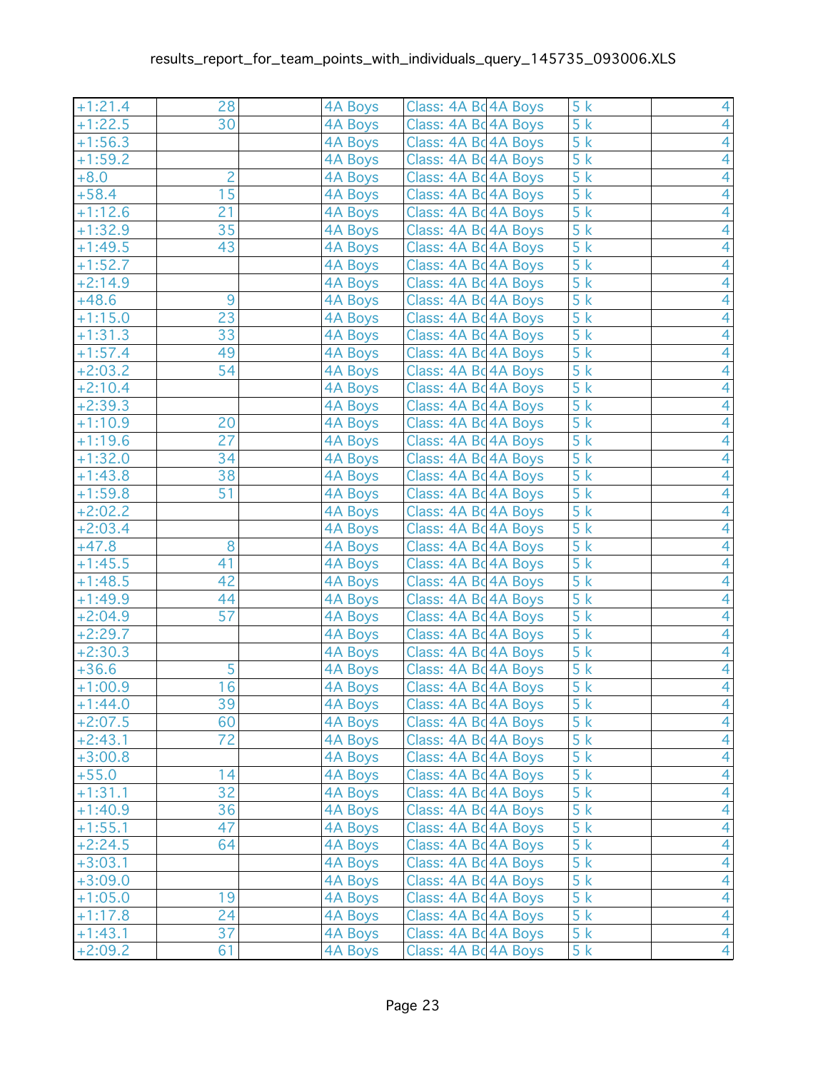| $+1:21.4$ | 28             | <b>4A Boys</b> | Class: 4A Bd 4A Boys | 5k               | $\overline{4}$ |
|-----------|----------------|----------------|----------------------|------------------|----------------|
| $+1:22.5$ | 30             | 4A Boys        | Class: 4A Bd 4A Boys | 5k               | $\overline{4}$ |
| $+1:56.3$ |                | <b>4A Boys</b> | Class: 4A Bo 4A Boys | 5k               | $\overline{4}$ |
| $+1:59.2$ |                | <b>4A Boys</b> | Class: 4A Bd 4A Boys | 5k               | 4              |
| $+8.0$    | $\overline{c}$ | <b>4A Boys</b> | Class: 4A Bd 4A Boys | 5k               | 4              |
| $+58.4$   | 15             | 4A Boys        | Class: 4A Bd 4A Boys | 5k               | $\overline{4}$ |
| $+1:12.6$ | 21             | <b>4A Boys</b> | Class: 4A Bd 4A Boys | $\overline{5k}$  | $\overline{4}$ |
| $+1:32.9$ | 35             | 4A Boys        | Class: 4A Bd 4A Boys | 5k               | 4              |
| $+1:49.5$ | 43             | <b>4A Boys</b> | Class: 4A Bd 4A Boys | 5k               | $\overline{4}$ |
| $+1:52.7$ |                | <b>4A Boys</b> | Class: 4A Bd 4A Boys | 5k               | $\overline{4}$ |
| $+2:14.9$ |                | 4A Boys        | Class: 4A Bd 4A Boys | 5k               | $\overline{4}$ |
| $+48.6$   | 9              | 4A Boys        | Class: 4A Bq 4A Boys | 5k               | $\overline{4}$ |
| $+1:15.0$ | 23             | 4A Boys        | Class: 4A Bd 4A Boys | 5k               | $\overline{4}$ |
| $+1:31.3$ | 33             | <b>4A Boys</b> | Class: 4A Bd 4A Boys | 5k               | 4              |
| $+1:57.4$ | 49             | 4A Boys        | Class: 4A Bd 4A Boys | 5k               | 4              |
| $+2:03.2$ | 54             | 4A Boys        | Class: 4A Bd 4A Boys | 5k               | 4              |
| $+2:10.4$ |                | 4A Boys        | Class: 4A Bd 4A Boys | 5k               | 4              |
| $+2:39.3$ |                | 4A Boys        | Class: 4A Bd 4A Boys | 5k               | $\overline{4}$ |
| $+1:10.9$ | 20             | 4A Boys        | Class: 4A Bd 4A Boys | $\overline{5}$ k | $\overline{4}$ |
| $+1:19.6$ | 27             | <b>4A Boys</b> | Class: 4A Bd 4A Boys | 5k               | 4              |
| $+1:32.0$ | 34             | 4A Boys        | Class: 4A Bd 4A Boys | 5k               | $\overline{4}$ |
| $+1:43.8$ | 38             | <b>4A Boys</b> | Class: 4A Bd 4A Boys | 5k               | $\overline{4}$ |
| $+1:59.8$ | 51             | <b>4A Boys</b> | Class: 4A Bd 4A Boys | 5k               | $\overline{4}$ |
| $+2:02.2$ |                | 4A Boys        | Class: 4A Bd 4A Boys | 5k               | $\overline{4}$ |
| $+2:03.4$ |                | 4A Boys        | Class: 4A Bd 4A Boys | 5k               | $\overline{4}$ |
| $+47.8$   | 8              | <b>4A Boys</b> | Class: 4A Bd 4A Boys | 5k               | 4              |
| $+1:45.5$ | 41             | 4A Boys        | Class: 4A Bd 4A Boys | 5k               | $\overline{4}$ |
| $+1:48.5$ | 42             | <b>4A Boys</b> | Class: 4A Bd 4A Boys | $\overline{5}$ k | 4              |
| $+1:49.9$ | 44             | <b>4A Boys</b> | Class: 4A Bd 4A Boys | 5k               | $\overline{4}$ |
| $+2:04.9$ | 57             | 4A Boys        | Class: 4A Bd 4A Boys | 5k               | $\overline{4}$ |
| $+2:29.7$ |                | <b>4A Boys</b> | Class: 4A Bd 4A Boys | $\overline{5}$ k | $\overline{4}$ |
| $+2:30.3$ |                | 4A Boys        | Class: 4A Bd 4A Boys | 5k               | $\overline{4}$ |
| $+36.6$   | 5              | <b>4A Boys</b> | Class: 4A Bd 4A Boys | 5k               | $\overline{4}$ |
| $+1:00.9$ | 16             | <b>4A Boys</b> | Class: 4A Bc 4A Boys | 5k               | $\overline{4}$ |
| $+1:44.0$ | 39             | 4A Boys        | Class: 4A Bc 4A Boys | 5k               | $\overline{4}$ |
| $+2:07.5$ | 60             | 4A Boys        | Class: 4A Bd 4A Boys | 5k               | $\overline{4}$ |
| $+2:43.1$ | 72             | 4A Boys        | Class: 4A Bd 4A Boys | 5k               | $\overline{4}$ |
| $+3:00.8$ |                | 4A Boys        | Class: 4A Bd 4A Boys | 5k               | $\overline{4}$ |
| $+55.0$   | 14             | <b>4A Boys</b> | Class: 4A Bd 4A Boys | 5k               | $\overline{4}$ |
| $+1:31.1$ | 32             | <b>4A Boys</b> | Class: 4A Bd 4A Boys | 5k               | $\overline{4}$ |
| $+1:40.9$ | 36             | <b>4A Boys</b> | Class: 4A Bd 4A Boys | 5k               | $\overline{4}$ |
| $+1:55.1$ | 47             | 4A Boys        | Class: 4A Bd 4A Boys | 5k               | $\overline{4}$ |
| $+2:24.5$ | 64             | 4A Boys        | Class: 4A Bd 4A Boys | 5k               | $\overline{4}$ |
| $+3:03.1$ |                | <b>4A Boys</b> | Class: 4A Bd 4A Boys | 5k               | $\overline{4}$ |
| $+3:09.0$ |                | 4A Boys        | Class: 4A Bd 4A Boys | 5k               | $\overline{4}$ |
| $+1:05.0$ | 19             | 4A Boys        | Class: 4A Bd 4A Boys | 5k               | $\overline{4}$ |
| $+1:17.8$ | 24             | 4A Boys        | Class: 4A Bd 4A Boys | 5k               | $\overline{4}$ |
| $+1:43.1$ | 37             | <b>4A Boys</b> | Class: 4A Bd 4A Boys | 5k               | $\overline{4}$ |
| $+2:09.2$ | 61             | 4A Boys        | Class: 4A Bd 4A Boys | 5k               | $\overline{4}$ |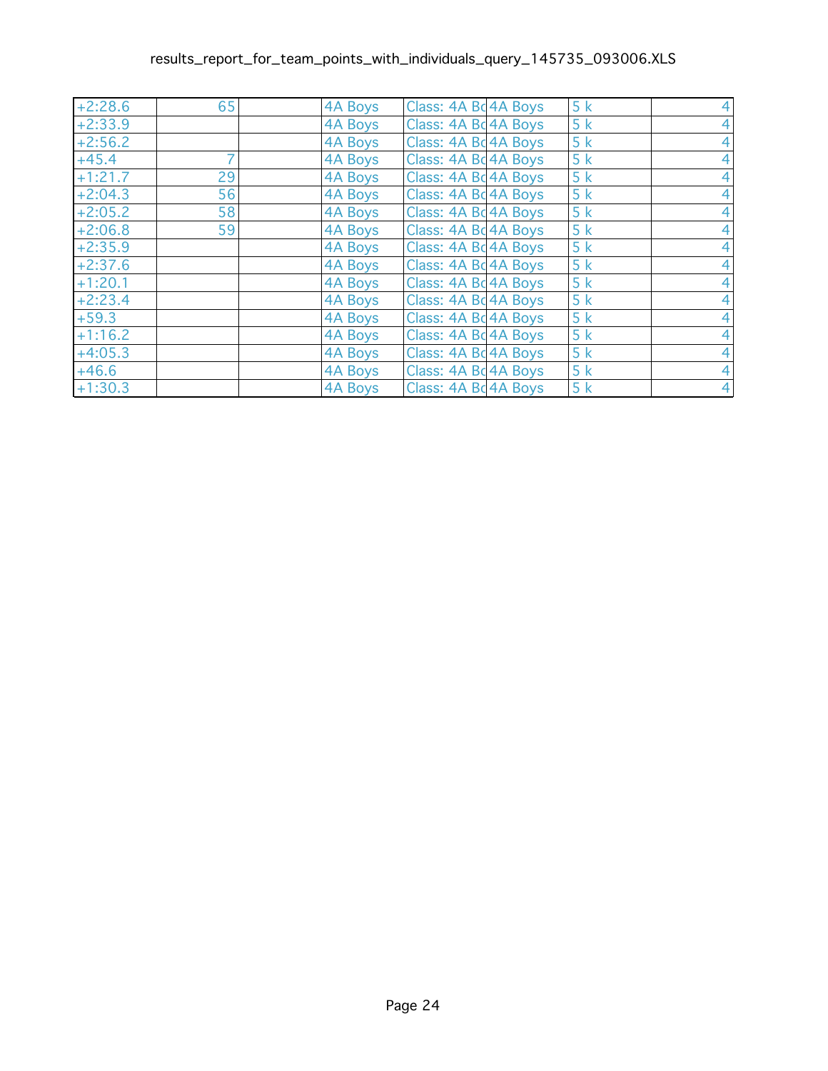## results\_report\_for\_team\_points\_with\_individuals\_query\_145735\_093006.XLS

| $+2:28.6$ | 65 | 4A Boys | Class: 4A Bc 4A Boys | 5k |  |
|-----------|----|---------|----------------------|----|--|
| $+2:33.9$ |    | 4A Boys | Class: 4A Bd 4A Boys | 5k |  |
| $+2:56.2$ |    | 4A Boys | Class: 4A Bc 4A Boys | 5k |  |
| $+45.4$   |    | 4A Boys | Class: 4A Bc 4A Boys | 5k |  |
| $+1:21.7$ | 29 | 4A Boys | Class: 4A Bc 4A Boys | 5k |  |
| $+2:04.3$ | 56 | 4A Boys | Class: 4A Bd 4A Boys | 5k |  |
| $+2:05.2$ | 58 | 4A Boys | Class: 4A Bc 4A Boys | 5k |  |
| $+2:06.8$ | 59 | 4A Boys | Class: 4A Bd 4A Boys | 5k |  |
| $+2:35.9$ |    | 4A Boys | Class: 4A Bd 4A Boys | 5k |  |
| $+2:37.6$ |    | 4A Boys | Class: 4A Bc 4A Boys | 5k |  |
| $+1:20.1$ |    | 4A Boys | Class: 4A Bd 4A Boys | 5k |  |
| $+2:23.4$ |    | 4A Boys | Class: 4A Bd 4A Boys | 5k |  |
| $+59.3$   |    | 4A Boys | Class: 4A Bc 4A Boys | 5k |  |
| $+1:16.2$ |    | 4A Boys | Class: 4A Bd 4A Boys | 5k |  |
| $+4:05.3$ |    | 4A Boys | Class: 4A Bd 4A Boys | 5k |  |
| $+46.6$   |    | 4A Boys | Class: 4A Bc 4A Boys | 5k |  |
| $+1:30.3$ |    | 4A Boys | Class: 4A Bd 4A Boys | 5k |  |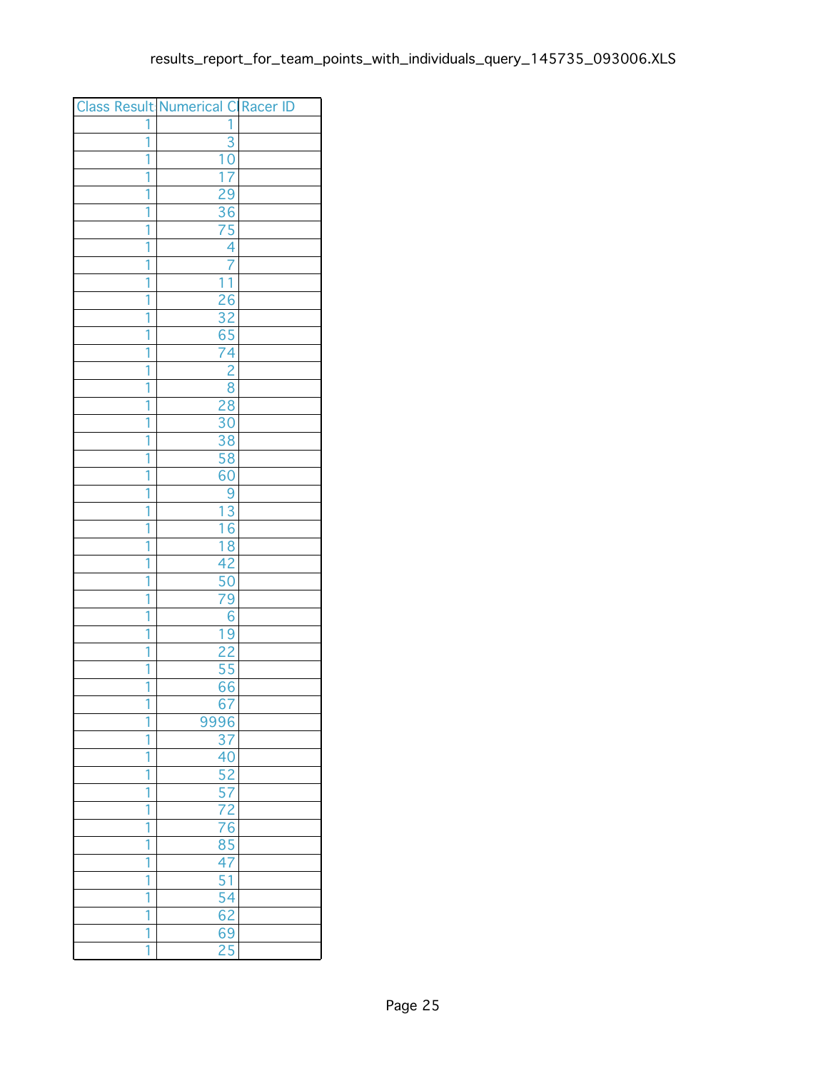|                | <b>Class Result Numerical C Racer ID</b> |  |
|----------------|------------------------------------------|--|
| 1              | 1                                        |  |
| 1              | 3                                        |  |
| 1              | 10                                       |  |
| 1              | $\overline{7}$<br>ī                      |  |
| 1              | 29                                       |  |
| 1              | $\overline{36}$                          |  |
| 1              | 75                                       |  |
| 1              | 4                                        |  |
| 1              | 7                                        |  |
| 1              | $\overline{1}$<br>1                      |  |
| 1              | $\overline{26}$                          |  |
| 1              | 32                                       |  |
| 1              | $\frac{65}{74}$                          |  |
| 1              |                                          |  |
| 1              | $\overline{2}$                           |  |
| 1              | $\overline{8}$                           |  |
| 1              | 28                                       |  |
| 1              | 30                                       |  |
| $\overline{1}$ | $\overline{38}$                          |  |
| 1              | $\overline{58}$                          |  |
| 1              | 60                                       |  |
| 1              | 9                                        |  |
| 1              | $\overline{13}$                          |  |
| 1              | 16                                       |  |
| 1              | $\overline{18}$                          |  |
| 1              | 42                                       |  |
| 1              | 50                                       |  |
| 1              | $\overline{79}$                          |  |
| 1              | 6                                        |  |
| 1              | 19                                       |  |
| $\overline{1}$ | $\overline{22}$                          |  |
| 1              | 55                                       |  |
| 1              | 66                                       |  |
| ī              | 67                                       |  |
| 1              | 9996                                     |  |
| 1              | 37                                       |  |
| 1              | 40                                       |  |
| 1              | 52                                       |  |
| 1              | $\overline{57}$                          |  |
| 1              | $\frac{72}{76}$                          |  |
| 1              |                                          |  |
| 1              | $\overline{85}$                          |  |
| 1              | 47                                       |  |
| 1              | 51                                       |  |
| 1              | $\overline{54}$                          |  |
| 1              | 62                                       |  |
| 1              | 69                                       |  |
| 1              | $\overline{25}$                          |  |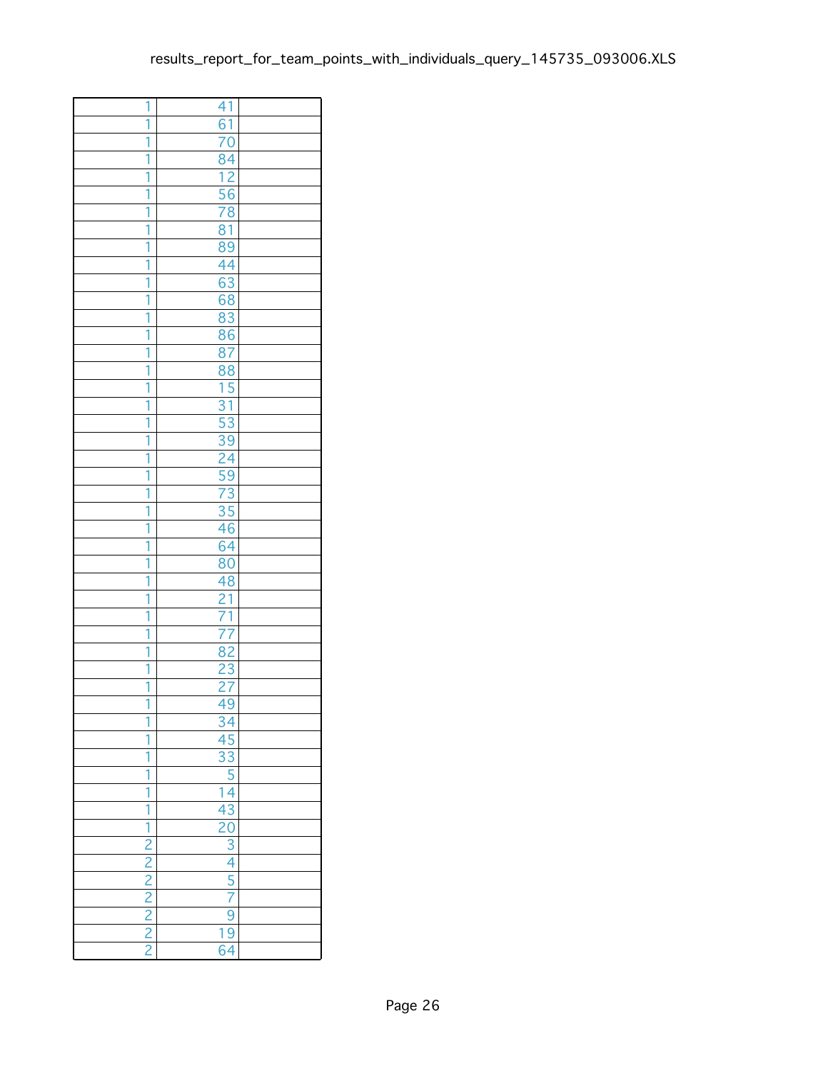| 1                                                       | 41                                                                                                                                  |  |
|---------------------------------------------------------|-------------------------------------------------------------------------------------------------------------------------------------|--|
| 1                                                       | $\overline{61}$                                                                                                                     |  |
| 1                                                       | 70                                                                                                                                  |  |
| 1                                                       | 84                                                                                                                                  |  |
| Ī                                                       | $\overline{12}$                                                                                                                     |  |
| 1                                                       | 56                                                                                                                                  |  |
| 1                                                       | $\overline{78}$                                                                                                                     |  |
| 1                                                       | 81                                                                                                                                  |  |
| 1                                                       | 89                                                                                                                                  |  |
| 1                                                       | 44                                                                                                                                  |  |
| Ī                                                       | 63                                                                                                                                  |  |
| 1                                                       | 68                                                                                                                                  |  |
| 1                                                       | 83                                                                                                                                  |  |
| 1                                                       | 86                                                                                                                                  |  |
| 1                                                       | 87                                                                                                                                  |  |
| 1                                                       | 88                                                                                                                                  |  |
| 1                                                       | $\overline{15}$                                                                                                                     |  |
| 1                                                       |                                                                                                                                     |  |
| 1                                                       | $\frac{31}{53}$                                                                                                                     |  |
| 1                                                       | 39                                                                                                                                  |  |
|                                                         |                                                                                                                                     |  |
| 1<br>1                                                  | 24                                                                                                                                  |  |
| Ī                                                       | $\overline{59}$<br>$\overline{73}$                                                                                                  |  |
|                                                         |                                                                                                                                     |  |
| 1                                                       | $\overline{35}$                                                                                                                     |  |
| 1                                                       | $\overline{46}$                                                                                                                     |  |
| 1                                                       | $\overline{64}$                                                                                                                     |  |
| 1                                                       | 80                                                                                                                                  |  |
| 1                                                       | 48                                                                                                                                  |  |
| 1                                                       | $\overline{21}$                                                                                                                     |  |
| 1                                                       | $\frac{71}{77}$                                                                                                                     |  |
| 1                                                       |                                                                                                                                     |  |
| 1                                                       | $\overline{82}$                                                                                                                     |  |
| 1                                                       | 23                                                                                                                                  |  |
| 1                                                       | 27                                                                                                                                  |  |
| ī                                                       | $\bar{4}$<br>9                                                                                                                      |  |
|                                                         |                                                                                                                                     |  |
| 1                                                       |                                                                                                                                     |  |
| 1                                                       |                                                                                                                                     |  |
| 1                                                       | $\frac{34}{45} \frac{45}{33} \frac{3}{5} \frac{5}{14} \frac{14}{43} \frac{14}{20} \frac{20}{3} \frac{3}{4} \frac{1}{5} \frac{1}{7}$ |  |
| 1                                                       |                                                                                                                                     |  |
| ī                                                       |                                                                                                                                     |  |
| $\frac{1}{2}$ $\frac{2}{2}$ $\frac{2}{2}$ $\frac{2}{2}$ |                                                                                                                                     |  |
|                                                         |                                                                                                                                     |  |
|                                                         |                                                                                                                                     |  |
|                                                         |                                                                                                                                     |  |
|                                                         |                                                                                                                                     |  |
|                                                         | $\overline{9}$                                                                                                                      |  |
|                                                         | 19                                                                                                                                  |  |
|                                                         | 4<br>$\overline{6}$                                                                                                                 |  |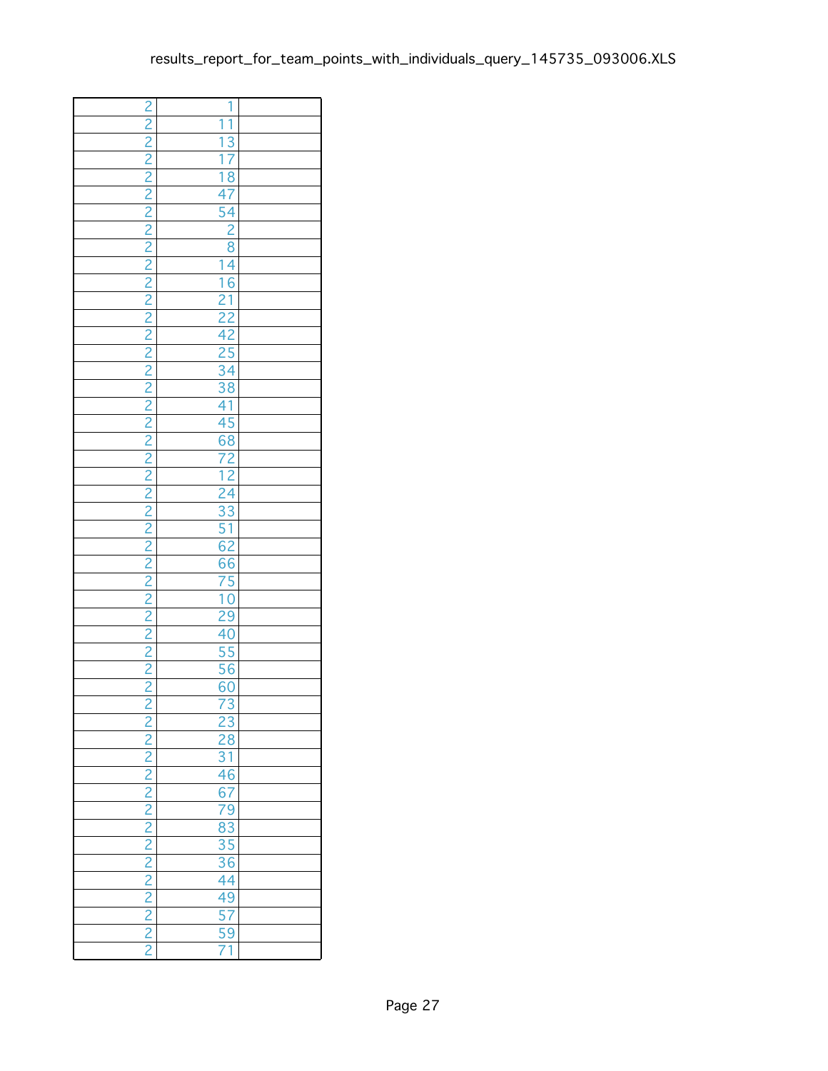|               | 1                                                              |  |
|---------------|----------------------------------------------------------------|--|
|               | ī<br>1                                                         |  |
|               |                                                                |  |
|               |                                                                |  |
|               |                                                                |  |
|               |                                                                |  |
|               |                                                                |  |
|               |                                                                |  |
|               |                                                                |  |
|               |                                                                |  |
|               |                                                                |  |
|               |                                                                |  |
|               |                                                                |  |
|               |                                                                |  |
|               |                                                                |  |
|               |                                                                |  |
|               |                                                                |  |
|               |                                                                |  |
|               |                                                                |  |
|               |                                                                |  |
|               |                                                                |  |
|               |                                                                |  |
|               |                                                                |  |
|               |                                                                |  |
|               |                                                                |  |
|               |                                                                |  |
|               |                                                                |  |
|               |                                                                |  |
|               |                                                                |  |
|               |                                                                |  |
|               |                                                                |  |
|               |                                                                |  |
|               |                                                                |  |
|               |                                                                |  |
|               |                                                                |  |
|               |                                                                |  |
|               |                                                                |  |
| $\frac{2}{2}$ | 23<br>28<br>31<br>46<br>79<br>83<br>35<br>44<br>49<br>77<br>71 |  |
|               |                                                                |  |
|               |                                                                |  |
|               |                                                                |  |
|               |                                                                |  |
|               |                                                                |  |
|               |                                                                |  |
|               |                                                                |  |
|               |                                                                |  |
|               |                                                                |  |
|               |                                                                |  |
|               |                                                                |  |
|               |                                                                |  |
|               |                                                                |  |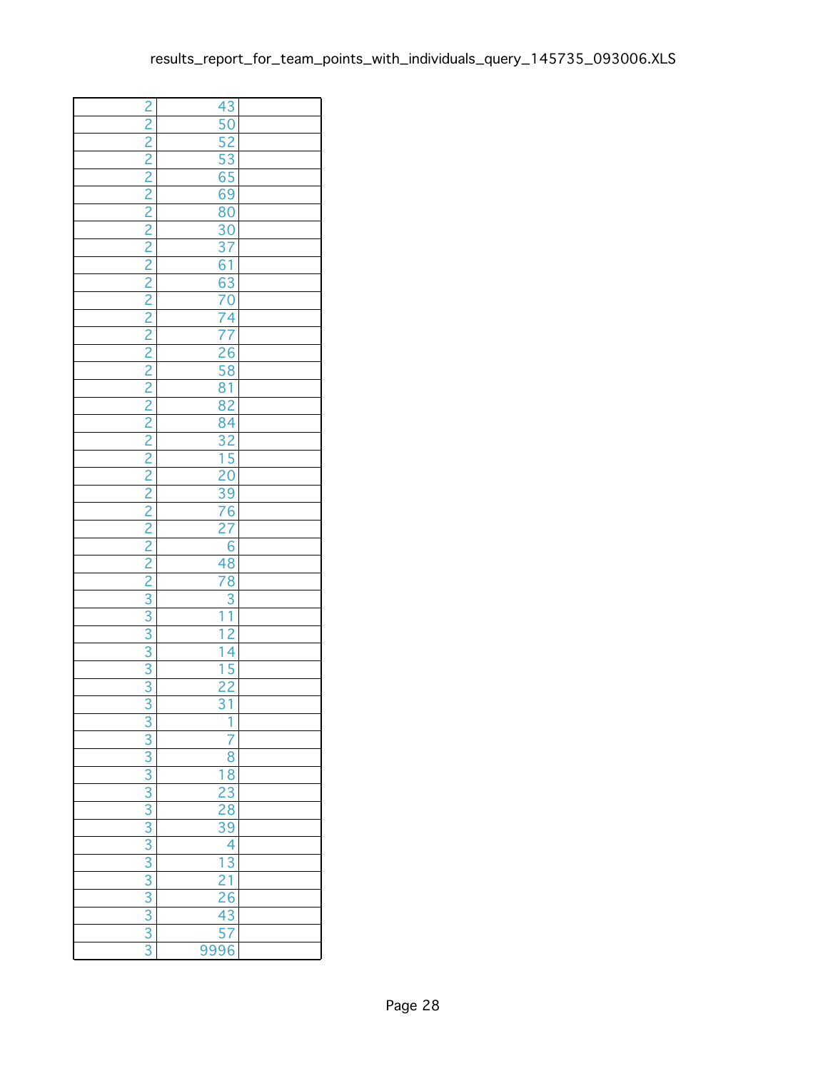| $\frac{3}{3}$ $\frac{3}{3}$ $\frac{3}{3}$ $\frac{3}{3}$ $\frac{3}{3}$ $\frac{3}{3}$ $\frac{3}{3}$ | 1                                                                                                        |  |
|---------------------------------------------------------------------------------------------------|----------------------------------------------------------------------------------------------------------|--|
|                                                                                                   | 7                                                                                                        |  |
|                                                                                                   | $\overline{8}$                                                                                           |  |
|                                                                                                   |                                                                                                          |  |
|                                                                                                   | $\begin{array}{r} 18 \\ 23 \\ 28 \\ 39 \end{array}$                                                      |  |
|                                                                                                   |                                                                                                          |  |
|                                                                                                   |                                                                                                          |  |
|                                                                                                   | 4                                                                                                        |  |
|                                                                                                   | $\begin{array}{r} \n \overline{13} \\  21 \\  \hline\n 26 \\  43 \\  \hline\n 57 \\  9996\n \end{array}$ |  |
|                                                                                                   |                                                                                                          |  |
|                                                                                                   |                                                                                                          |  |
|                                                                                                   |                                                                                                          |  |
|                                                                                                   |                                                                                                          |  |
|                                                                                                   |                                                                                                          |  |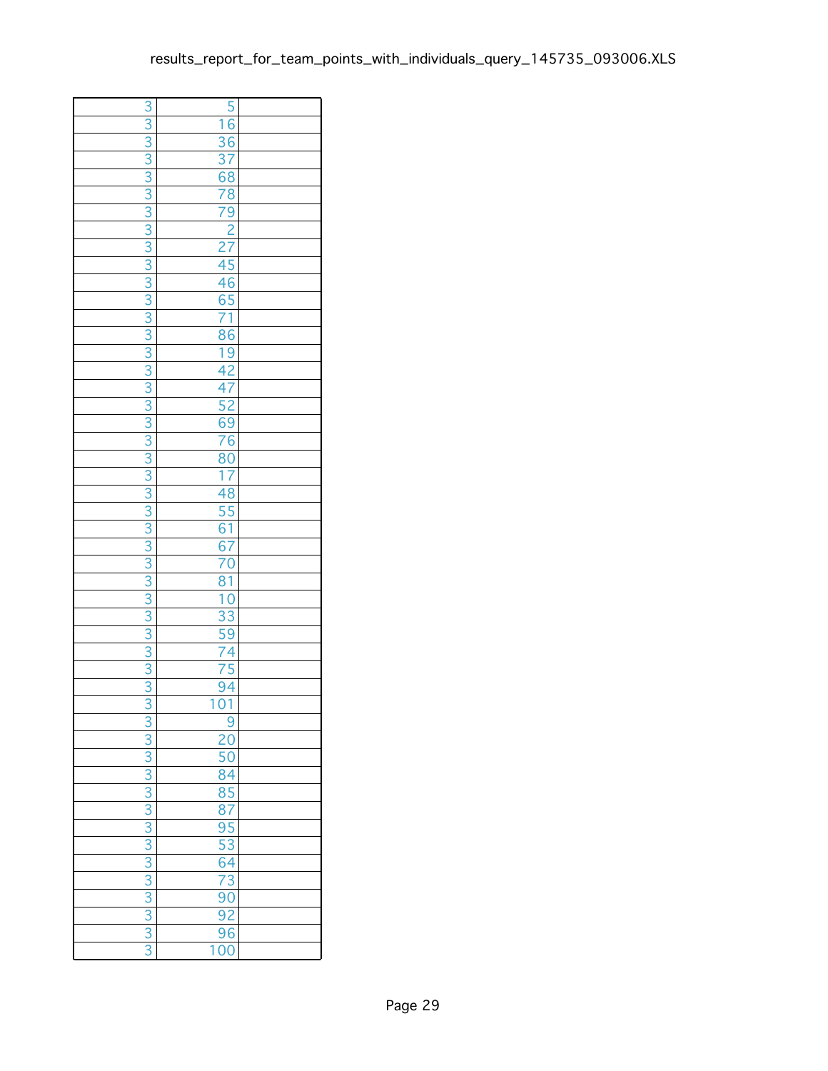| 3                           | $\overline{5}$                                                  |  |
|-----------------------------|-----------------------------------------------------------------|--|
| $\overline{3}$              | $\overline{6}$<br>1                                             |  |
| $\overline{3}$              | 36                                                              |  |
|                             |                                                                 |  |
| $\frac{3}{3}$ $\frac{3}{3}$ |                                                                 |  |
|                             |                                                                 |  |
|                             |                                                                 |  |
| $\overline{3}$              |                                                                 |  |
| $\overline{3}$              | $\frac{37}{68}$ $\frac{78}{79}$ $\frac{2}{27}$                  |  |
|                             |                                                                 |  |
|                             |                                                                 |  |
|                             |                                                                 |  |
|                             |                                                                 |  |
|                             |                                                                 |  |
| $\frac{1}{3}$               |                                                                 |  |
|                             |                                                                 |  |
| $\frac{3}{3}$ $\frac{3}{3}$ | 2745<br>46571<br>8619<br>427<br>52<br>69<br>76<br>80            |  |
|                             |                                                                 |  |
|                             |                                                                 |  |
|                             |                                                                 |  |
| $\overline{3}$              |                                                                 |  |
| $\overline{3}$              |                                                                 |  |
| $\frac{3}{3}$ $\frac{3}{3}$ | $\frac{17}{48}$ $\frac{55}{61}$ $\frac{67}{70}$                 |  |
|                             |                                                                 |  |
|                             |                                                                 |  |
|                             |                                                                 |  |
|                             |                                                                 |  |
|                             |                                                                 |  |
|                             |                                                                 |  |
| $\frac{1}{3}$               |                                                                 |  |
|                             |                                                                 |  |
| $\overline{3}$              |                                                                 |  |
| $\overline{3}$              |                                                                 |  |
| $\overline{3}$              | $\frac{81}{10}$ $\frac{33}{59}$ $\frac{59}{74}$ $\frac{75}{75}$ |  |
|                             |                                                                 |  |
| $\frac{3}{3}$               | $\frac{94}{01}$<br>1                                            |  |
| $\overline{3}$              | 9                                                               |  |
| $\overline{3}$              | <u> 20</u>                                                      |  |
|                             | 50                                                              |  |
|                             |                                                                 |  |
| $\frac{1}{3}$               | 84<br>85<br>87<br>95<br>53<br>53<br>64<br>73                    |  |
|                             |                                                                 |  |
|                             |                                                                 |  |
|                             |                                                                 |  |
|                             |                                                                 |  |
|                             |                                                                 |  |
|                             |                                                                 |  |
| $\frac{3}{3}$               | $\frac{18}{90}$<br>$\frac{90}{96}$                              |  |
|                             |                                                                 |  |
|                             |                                                                 |  |
| $\overline{3}$              | $\overline{00}$<br>1                                            |  |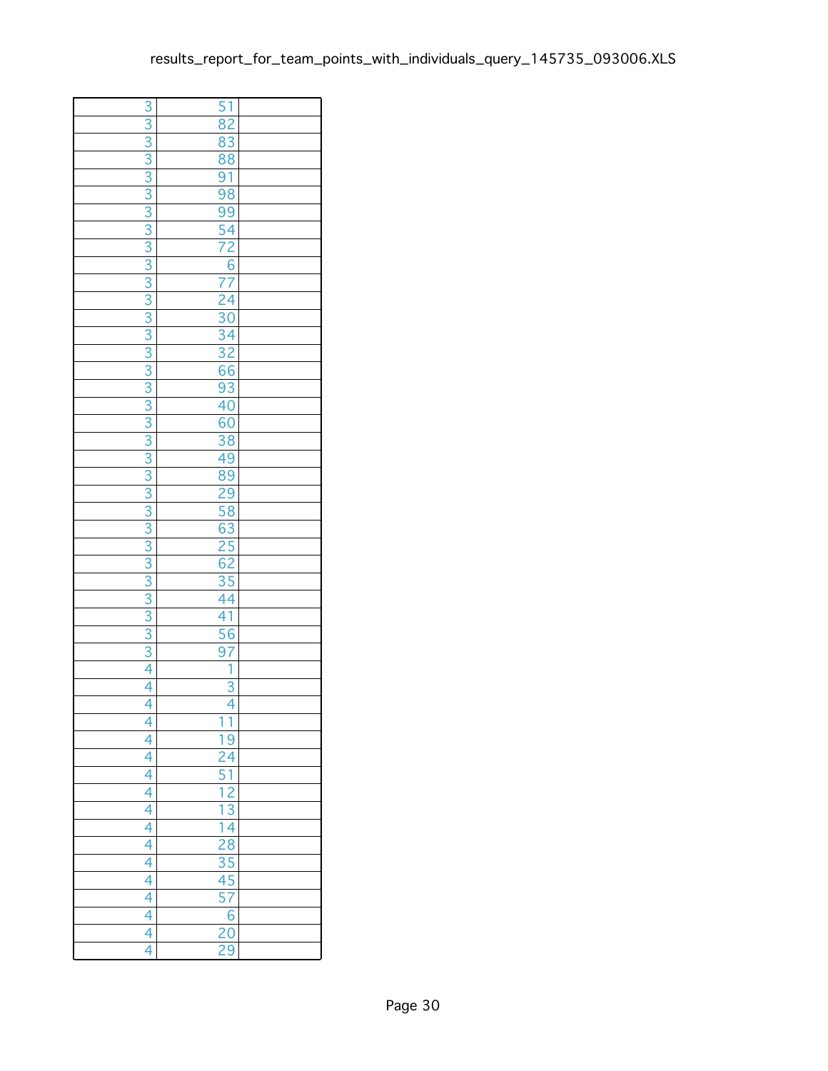| 3                                                       | 51                                                                              |  |
|---------------------------------------------------------|---------------------------------------------------------------------------------|--|
| $\overline{3}$                                          | 82                                                                              |  |
| $\overline{3}$                                          | 83                                                                              |  |
| $\frac{3}{3}$ $\frac{3}{3}$                             | $rac{88}{98}$<br>$rac{91}{98}$                                                  |  |
|                                                         |                                                                                 |  |
|                                                         |                                                                                 |  |
|                                                         |                                                                                 |  |
| $\overline{3}$                                          |                                                                                 |  |
| $\overline{3}$                                          | $\frac{99}{54}$ $\frac{54}{72}$                                                 |  |
| $\frac{3}{3}$                                           | $\frac{6}{77}$<br>$\frac{24}{30}$                                               |  |
|                                                         |                                                                                 |  |
|                                                         |                                                                                 |  |
|                                                         |                                                                                 |  |
|                                                         |                                                                                 |  |
|                                                         |                                                                                 |  |
|                                                         |                                                                                 |  |
| $\frac{1}{3}$                                           |                                                                                 |  |
|                                                         | $\frac{34}{32}$ $\frac{32}{66}$ $\frac{93}{40}$ $\frac{40}{60}$                 |  |
| $\overline{3}$                                          |                                                                                 |  |
| $\overline{3}$                                          | $\frac{38}{49}$                                                                 |  |
| $\overline{3}$                                          |                                                                                 |  |
| $\frac{1}{3}$ $\frac{3}{3}$ $\frac{3}{3}$ $\frac{3}{3}$ | 89<br>29<br>58<br>53<br>63<br>25<br>62                                          |  |
|                                                         |                                                                                 |  |
|                                                         |                                                                                 |  |
|                                                         |                                                                                 |  |
|                                                         |                                                                                 |  |
|                                                         |                                                                                 |  |
| $\frac{3}{3}$                                           | $\frac{1}{35}$<br>44<br>41                                                      |  |
|                                                         |                                                                                 |  |
|                                                         |                                                                                 |  |
| $\overline{3}$                                          | 56                                                                              |  |
| $\overline{3}$                                          | $\overline{97}$                                                                 |  |
| $\overline{4}$                                          | 1                                                                               |  |
| $\overline{4}$                                          | 3                                                                               |  |
| 1                                                       |                                                                                 |  |
| $\overline{4}$                                          | $\overline{1}$<br>1                                                             |  |
| 4                                                       | $\overline{9}$<br>1                                                             |  |
| $\frac{4}{4}$                                           |                                                                                 |  |
|                                                         | $\frac{24}{51}$ $\frac{12}{13}$ $\frac{14}{28}$ $\frac{28}{35}$ $\frac{45}{15}$ |  |
|                                                         |                                                                                 |  |
| $\frac{4}{4}$                                           |                                                                                 |  |
|                                                         |                                                                                 |  |
| 4                                                       |                                                                                 |  |
| $\frac{4}{4}$                                           |                                                                                 |  |
|                                                         |                                                                                 |  |
| $\frac{4}{4}$                                           | $\overline{57}$                                                                 |  |
|                                                         | $\overline{6}$                                                                  |  |
|                                                         | $\overline{20}$                                                                 |  |
| 4                                                       | $\overline{29}$                                                                 |  |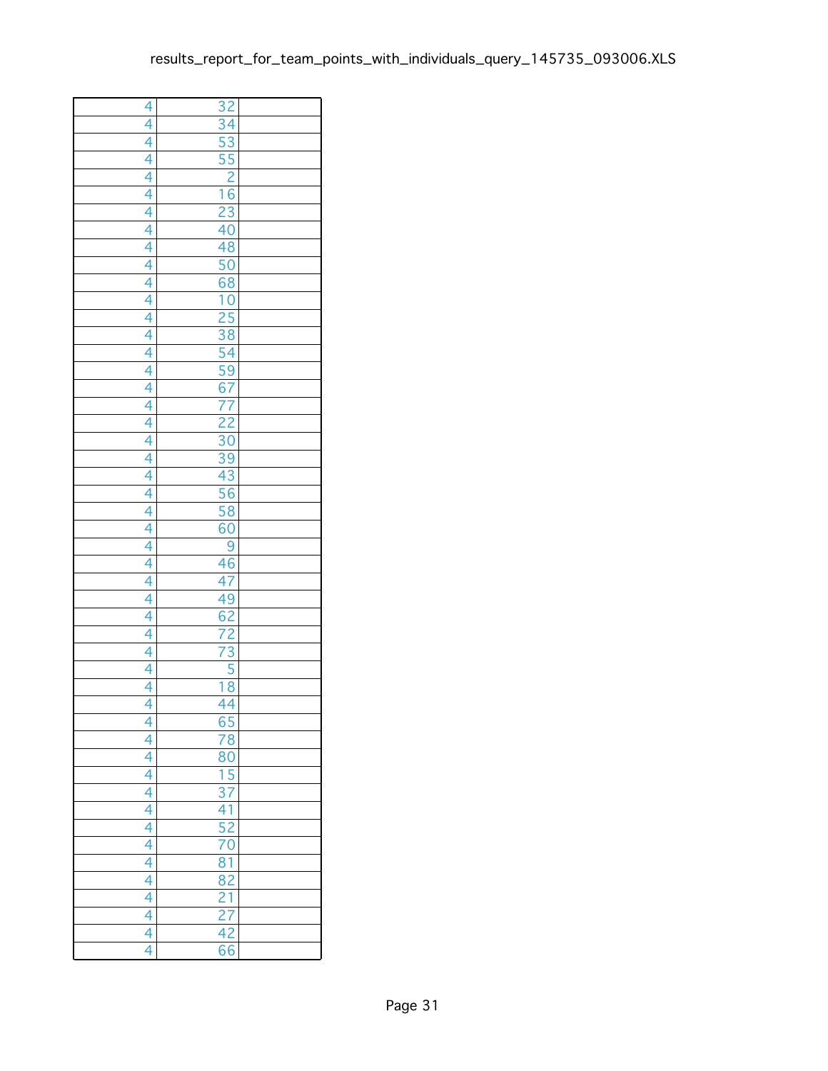| $\overline{4}$                                  | 32                                                    |  |
|-------------------------------------------------|-------------------------------------------------------|--|
|                                                 | $\overline{34}$                                       |  |
|                                                 |                                                       |  |
|                                                 | $\frac{53}{55}$ $\frac{2}{16}$ $\frac{16}{23}$        |  |
|                                                 |                                                       |  |
|                                                 |                                                       |  |
|                                                 |                                                       |  |
|                                                 | $\frac{23}{40}$                                       |  |
|                                                 | 48                                                    |  |
|                                                 | $\frac{50}{68}$                                       |  |
|                                                 |                                                       |  |
|                                                 | $\frac{10}{25}$ $\frac{25}{38}$                       |  |
|                                                 |                                                       |  |
|                                                 |                                                       |  |
|                                                 | 54                                                    |  |
|                                                 |                                                       |  |
|                                                 | $rac{1}{\sqrt{59}}$<br>$rac{67}{77}$<br>$rac{22}{30}$ |  |
|                                                 |                                                       |  |
|                                                 |                                                       |  |
|                                                 |                                                       |  |
|                                                 |                                                       |  |
|                                                 |                                                       |  |
|                                                 | $\frac{39}{43}$                                       |  |
|                                                 | 58                                                    |  |
|                                                 | $\overline{60}$                                       |  |
|                                                 | $\overline{9}$                                        |  |
|                                                 | $\frac{46}{5}$                                        |  |
|                                                 |                                                       |  |
|                                                 |                                                       |  |
|                                                 | $\frac{47}{49}$<br>$\frac{62}{72}$                    |  |
|                                                 |                                                       |  |
|                                                 | 73                                                    |  |
|                                                 |                                                       |  |
| $\frac{4}{4}$ $\frac{4}{4}$ $\frac{4}{4}$       | $\frac{5}{8}$<br>1                                    |  |
|                                                 | 4<br>Ā                                                |  |
| $\overline{4}$                                  |                                                       |  |
| 4                                               | $\frac{65}{78}$                                       |  |
|                                                 | $\overline{80}$                                       |  |
|                                                 |                                                       |  |
|                                                 | $\frac{15}{37}$                                       |  |
| $\frac{4}{4}$<br>$\frac{4}{4}$<br>$\frac{4}{4}$ |                                                       |  |
|                                                 | $\frac{41}{52}$                                       |  |
| $\frac{1}{4}$                                   | $\overline{70}$                                       |  |
|                                                 | 81                                                    |  |
|                                                 | 82                                                    |  |
| $\frac{4}{4}$                                   |                                                       |  |
| 4                                               | $rac{1}{\sqrt{27}}$<br>$rac{27}{\sqrt{42}}$           |  |
| 4                                               |                                                       |  |
| 4                                               | $\overline{66}$                                       |  |
|                                                 |                                                       |  |